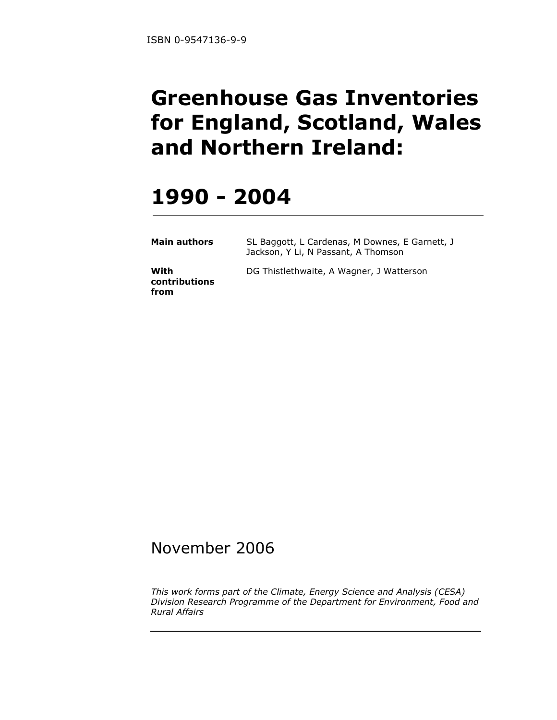# Greenhouse Gas Inventories for England, Scotland, Wales and Northern Ireland:

# 1990 - 2004

| <b>Main authors</b> | SL Baggott, L Cardenas, M Downes, E Garnett, J |
|---------------------|------------------------------------------------|
|                     | Jackson, Y Li, N Passant, A Thomson            |

With contributions from DG Thistlethwaite, A Wagner, J Watterson

## November 2006

This work forms part of the Climate, Energy Science and Analysis (CESA) Division Research Programme of the Department for Environment, Food and Rural Affairs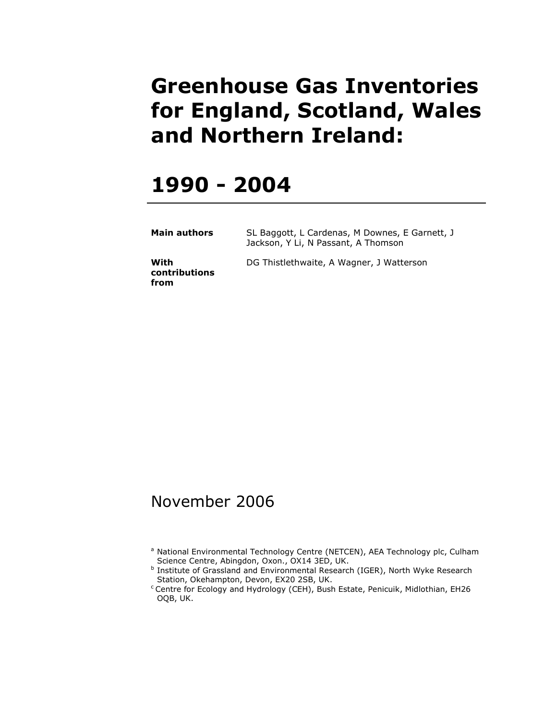# Greenhouse Gas Inventories for England, Scotland, Wales and Northern Ireland:

## 1990 - 2004

| Main authors | SL Baggott, L Cardenas, M Downes, E Garnett, J |
|--------------|------------------------------------------------|
|              | Jackson, Y Li, N Passant, A Thomson            |

**With** contributions from

DG Thistlethwaite, A Wagner, J Watterson

## November 2006

<sup>&</sup>lt;sup>a</sup> National Environmental Technology Centre (NETCEN), AEA Technology plc, Culham Science Centre, Abingdon, Oxon., OX14 3ED, UK.

**b** Institute of Grassland and Environmental Research (IGER), North Wyke Research Station, Okehampton, Devon, EX20 2SB, UK.

<sup>&</sup>lt;sup>c</sup> Centre for Ecology and Hydrology (CEH), Bush Estate, Penicuik, Midlothian, EH26 OQB, UK.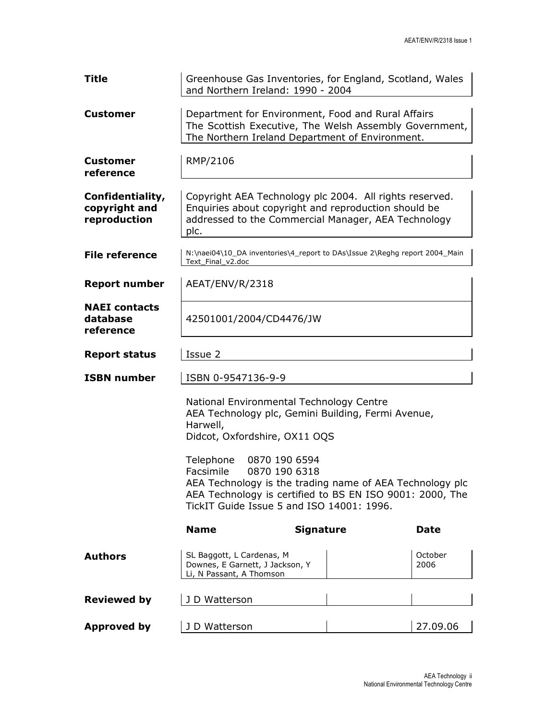| Title                                             | Greenhouse Gas Inventories, for England, Scotland, Wales<br>and Northern Ireland: 1990 - 2004         |                                                                                                                                                                        |                 |  |  |  |  |  |  |
|---------------------------------------------------|-------------------------------------------------------------------------------------------------------|------------------------------------------------------------------------------------------------------------------------------------------------------------------------|-----------------|--|--|--|--|--|--|
| <b>Customer</b>                                   |                                                                                                       | Department for Environment, Food and Rural Affairs<br>The Scottish Executive, The Welsh Assembly Government,<br>The Northern Ireland Department of Environment.        |                 |  |  |  |  |  |  |
| <b>Customer</b><br>reference                      | RMP/2106                                                                                              |                                                                                                                                                                        |                 |  |  |  |  |  |  |
| Confidentiality,<br>copyright and<br>reproduction | plc.                                                                                                  | Copyright AEA Technology plc 2004. All rights reserved.<br>Enquiries about copyright and reproduction should be<br>addressed to the Commercial Manager, AEA Technology |                 |  |  |  |  |  |  |
| <b>File reference</b>                             | Text Final v2.doc                                                                                     | N:\naei04\10_DA inventories\4_report to DAs\Issue 2\Reghg report 2004_Main                                                                                             |                 |  |  |  |  |  |  |
| <b>Report number</b>                              | AEAT/ENV/R/2318                                                                                       |                                                                                                                                                                        |                 |  |  |  |  |  |  |
| <b>NAEI</b> contacts<br>database<br>reference     | 42501001/2004/CD4476/JW                                                                               |                                                                                                                                                                        |                 |  |  |  |  |  |  |
| <b>Report status</b>                              | Issue 2                                                                                               |                                                                                                                                                                        |                 |  |  |  |  |  |  |
| <b>ISBN number</b>                                | ISBN 0-9547136-9-9                                                                                    |                                                                                                                                                                        |                 |  |  |  |  |  |  |
|                                                   | National Environmental Technology Centre<br>Harwell,<br>Didcot, Oxfordshire, OX11 OQS                 | AEA Technology plc, Gemini Building, Fermi Avenue,                                                                                                                     |                 |  |  |  |  |  |  |
|                                                   | Telephone<br>0870 190 6594<br>Facsimile<br>0870 190 6318<br>TickIT Guide Issue 5 and ISO 14001: 1996. | AEA Technology is the trading name of AEA Technology plc<br>AEA Technology is certified to BS EN ISO 9001: 2000, The                                                   |                 |  |  |  |  |  |  |
|                                                   | <b>Name</b>                                                                                           | <b>Signature</b>                                                                                                                                                       | <b>Date</b>     |  |  |  |  |  |  |
| <b>Authors</b>                                    | SL Baggott, L Cardenas, M<br>Downes, E Garnett, J Jackson, Y<br>Li, N Passant, A Thomson              |                                                                                                                                                                        | October<br>2006 |  |  |  |  |  |  |
| <b>Reviewed by</b>                                | J D Watterson                                                                                         |                                                                                                                                                                        |                 |  |  |  |  |  |  |
| <b>Approved by</b>                                | J D Watterson                                                                                         |                                                                                                                                                                        | 27.09.06        |  |  |  |  |  |  |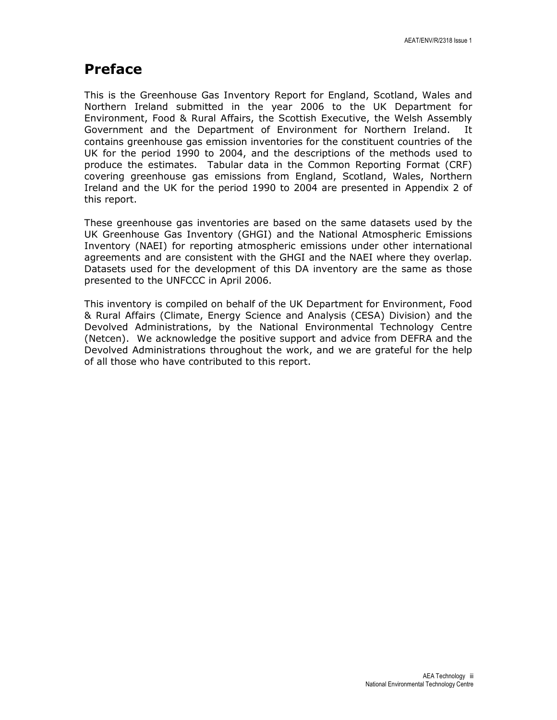## Preface

This is the Greenhouse Gas Inventory Report for England, Scotland, Wales and Northern Ireland submitted in the year 2006 to the UK Department for Environment, Food & Rural Affairs, the Scottish Executive, the Welsh Assembly Government and the Department of Environment for Northern Ireland. It contains greenhouse gas emission inventories for the constituent countries of the UK for the period 1990 to 2004, and the descriptions of the methods used to produce the estimates. Tabular data in the Common Reporting Format (CRF) covering greenhouse gas emissions from England, Scotland, Wales, Northern Ireland and the UK for the period 1990 to 2004 are presented in Appendix 2 of this report.

These greenhouse gas inventories are based on the same datasets used by the UK Greenhouse Gas Inventory (GHGI) and the National Atmospheric Emissions Inventory (NAEI) for reporting atmospheric emissions under other international agreements and are consistent with the GHGI and the NAEI where they overlap. Datasets used for the development of this DA inventory are the same as those presented to the UNFCCC in April 2006.

This inventory is compiled on behalf of the UK Department for Environment, Food & Rural Affairs (Climate, Energy Science and Analysis (CESA) Division) and the Devolved Administrations, by the National Environmental Technology Centre (Netcen). We acknowledge the positive support and advice from DEFRA and the Devolved Administrations throughout the work, and we are grateful for the help of all those who have contributed to this report.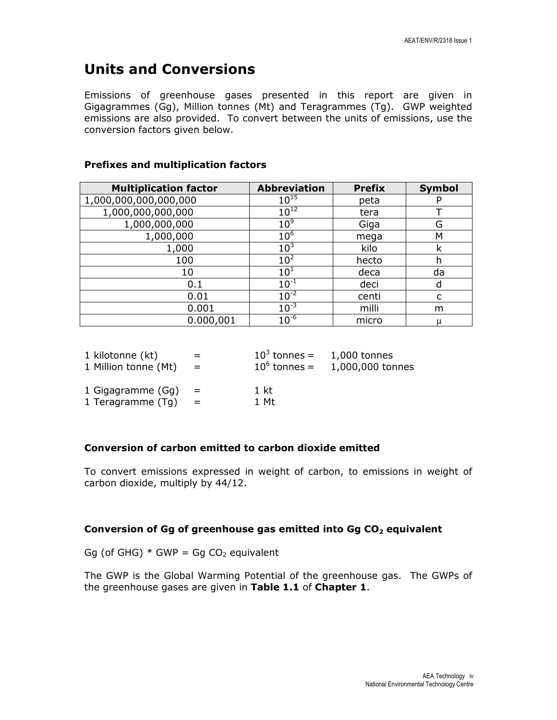## Units and Conversions

Emissions of greenhouse gases presented in this report are given in Gigagrammes (Gg), Million tonnes (Mt) and Teragrammes (Tg). GWP weighted emissions are also provided. To convert between the units of emissions, use the conversion factors given below.

### Prefixes and multiplication factors

| <b>Multiplication factor</b> | <b>Abbreviation</b> | <b>Prefix</b> | <b>Symbol</b> |
|------------------------------|---------------------|---------------|---------------|
| 1,000,000,000,000,000        | $10^{15}$           | peta          |               |
| 1,000,000,000,000            | $10^{12}$           | tera          |               |
| 1,000,000,000                | 10 <sup>9</sup>     | Giga          | G             |
| 1,000,000                    | 10 <sup>6</sup>     | mega          | M             |
| 1,000                        | 10 <sup>3</sup>     | kilo          | k             |
| 100                          | 10 <sup>2</sup>     | hecto         | h             |
| 10                           | 10 <sup>1</sup>     | deca          | da            |
| 0.1                          | $10^{-1}$           | deci          | d             |
| 0.01                         | $10^{-2}$           | centi         |               |
| 0.001                        | $10^{-3}$           | milli         | m             |
| 0.000,001                    | $10^{-6}$           | micro         | μ             |

| 1 kilotonne (kt)     | $=$      | $10^3$ tonnes = | 1,000 tonnes     |
|----------------------|----------|-----------------|------------------|
| 1 Million tonne (Mt) | $=$      | $10^6$ tonnes = | 1,000,000 tonnes |
| 1 Gigagramme (Gg)    | $\equiv$ | 1 kt            |                  |
| 1 Teragramme (Tg)    | $=$      | 1 Mt            |                  |

#### Conversion of carbon emitted to carbon dioxide emitted

To convert emissions expressed in weight of carbon, to emissions in weight of carbon dioxide, multiply by 44/12.

#### Conversion of Gg of greenhouse gas emitted into Gg  $CO<sub>2</sub>$  equivalent

Gg (of GHG)  $*$  GWP = Gg CO<sub>2</sub> equivalent

The GWP is the Global Warming Potential of the greenhouse gas. The GWPs of the greenhouse gases are given in Table 1.1 of Chapter 1.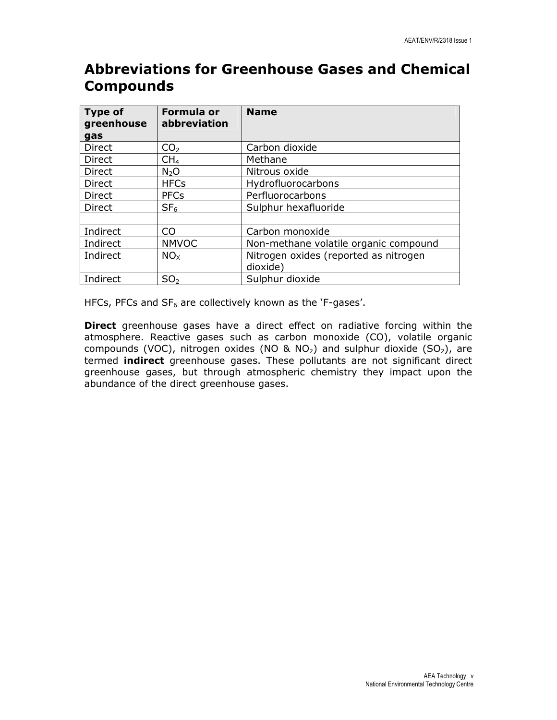## Abbreviations for Greenhouse Gases and Chemical **Compounds**

| <b>Type of</b><br>greenhouse | Formula or<br>abbreviation | <b>Name</b>                           |
|------------------------------|----------------------------|---------------------------------------|
| gas                          |                            |                                       |
| <b>Direct</b>                | CO <sub>2</sub>            | Carbon dioxide                        |
| Direct                       | CH <sub>4</sub>            | Methane                               |
| <b>Direct</b>                | N <sub>2</sub> O           | Nitrous oxide                         |
| <b>Direct</b>                | <b>HFCs</b>                | Hydrofluorocarbons                    |
| <b>Direct</b>                | <b>PFCs</b>                | Perfluorocarbons                      |
| <b>Direct</b>                | SF <sub>6</sub>            | Sulphur hexafluoride                  |
|                              |                            |                                       |
| Indirect                     | C <sub>O</sub>             | Carbon monoxide                       |
| Indirect                     | <b>NMVOC</b>               | Non-methane volatile organic compound |
| Indirect                     | NO <sub>x</sub>            | Nitrogen oxides (reported as nitrogen |
|                              |                            | dioxide)                              |
| Indirect                     | SO <sub>2</sub>            | Sulphur dioxide                       |

HFCs, PFCs and  $SF_6$  are collectively known as the 'F-gases'.

**Direct** greenhouse gases have a direct effect on radiative forcing within the atmosphere. Reactive gases such as carbon monoxide (CO), volatile organic compounds (VOC), nitrogen oxides (NO & NO<sub>2</sub>) and sulphur dioxide (SO<sub>2</sub>), are termed **indirect** greenhouse gases. These pollutants are not significant direct greenhouse gases, but through atmospheric chemistry they impact upon the abundance of the direct greenhouse gases.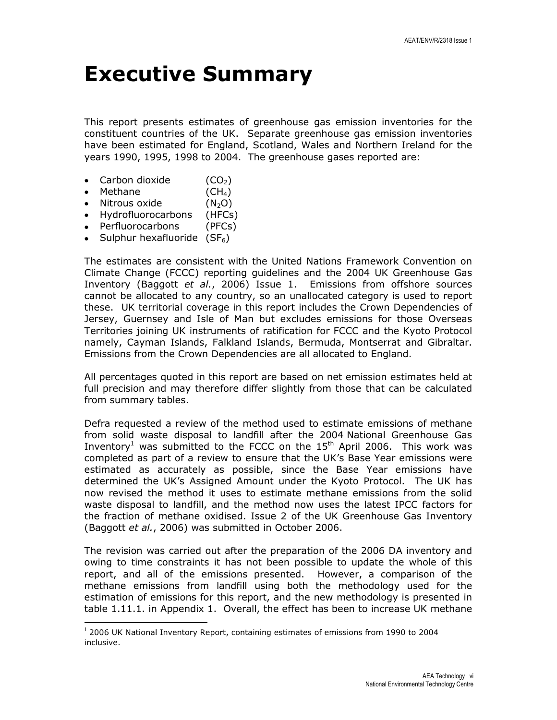# Executive Summary

This report presents estimates of greenhouse gas emission inventories for the constituent countries of the UK. Separate greenhouse gas emission inventories have been estimated for England, Scotland, Wales and Northern Ireland for the years 1990, 1995, 1998 to 2004. The greenhouse gases reported are:

- Carbon dioxide  $(CO<sub>2</sub>)$
- Methane  $(CH<sub>4</sub>)$
- Nitrous oxide  $(N_2O)$
- Hydrofluorocarbons (HFCs)
- Perfluorocarbons (PFCs)

l

• Sulphur hexafluoride  $(SF_6)$ 

The estimates are consistent with the United Nations Framework Convention on Climate Change (FCCC) reporting guidelines and the 2004 UK Greenhouse Gas Inventory (Baggott et al., 2006) Issue 1. Emissions from offshore sources cannot be allocated to any country, so an unallocated category is used to report these. UK territorial coverage in this report includes the Crown Dependencies of Jersey, Guernsey and Isle of Man but excludes emissions for those Overseas Territories joining UK instruments of ratification for FCCC and the Kyoto Protocol namely, Cayman Islands, Falkland Islands, Bermuda, Montserrat and Gibraltar. Emissions from the Crown Dependencies are all allocated to England.

All percentages quoted in this report are based on net emission estimates held at full precision and may therefore differ slightly from those that can be calculated from summary tables.

Defra requested a review of the method used to estimate emissions of methane from solid waste disposal to landfill after the 2004 National Greenhouse Gas Inventory<sup>1</sup> was submitted to the FCCC on the  $15<sup>th</sup>$  April 2006. This work was completed as part of a review to ensure that the UK's Base Year emissions were estimated as accurately as possible, since the Base Year emissions have determined the UK's Assigned Amount under the Kyoto Protocol. The UK has now revised the method it uses to estimate methane emissions from the solid waste disposal to landfill, and the method now uses the latest IPCC factors for the fraction of methane oxidised. Issue 2 of the UK Greenhouse Gas Inventory (Baggott et al., 2006) was submitted in October 2006.

The revision was carried out after the preparation of the 2006 DA inventory and owing to time constraints it has not been possible to update the whole of this report, and all of the emissions presented. However, a comparison of the methane emissions from landfill using both the methodology used for the estimation of emissions for this report, and the new methodology is presented in table 1.11.1. in Appendix 1. Overall, the effect has been to increase UK methane

 $1$  2006 UK National Inventory Report, containing estimates of emissions from 1990 to 2004 inclusive.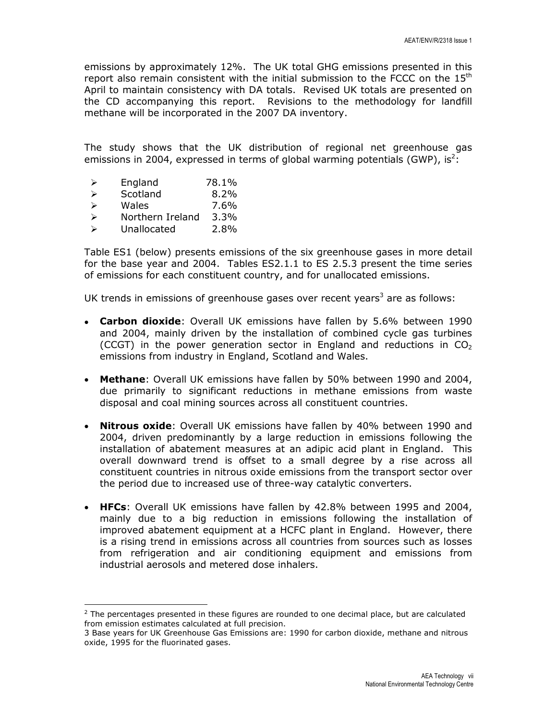emissions by approximately 12%. The UK total GHG emissions presented in this report also remain consistent with the initial submission to the FCCC on the  $15<sup>th</sup>$ April to maintain consistency with DA totals. Revised UK totals are presented on the CD accompanying this report. Revisions to the methodology for landfill methane will be incorporated in the 2007 DA inventory.

The study shows that the UK distribution of regional net greenhouse gas emissions in 2004, expressed in terms of global warming potentials (GWP), is<sup>2</sup>:

- $\geq$  England 78.1%
- $\triangleright$  Scotland 8.2%
- $\triangleright$  Wales 7.6%
- Northern Ireland 3.3%
- Unallocated 2.8%

l

Table ES1 (below) presents emissions of the six greenhouse gases in more detail for the base year and 2004. Tables ES2.1.1 to ES 2.5.3 present the time series of emissions for each constituent country, and for unallocated emissions.

UK trends in emissions of greenhouse gases over recent years<sup>3</sup> are as follows:

- Carbon dioxide: Overall UK emissions have fallen by 5.6% between 1990 and 2004, mainly driven by the installation of combined cycle gas turbines (CCGT) in the power generation sector in England and reductions in  $CO<sub>2</sub>$ emissions from industry in England, Scotland and Wales.
- Methane: Overall UK emissions have fallen by 50% between 1990 and 2004, due primarily to significant reductions in methane emissions from waste disposal and coal mining sources across all constituent countries.
- Nitrous oxide: Overall UK emissions have fallen by 40% between 1990 and 2004, driven predominantly by a large reduction in emissions following the installation of abatement measures at an adipic acid plant in England. This overall downward trend is offset to a small degree by a rise across all constituent countries in nitrous oxide emissions from the transport sector over the period due to increased use of three-way catalytic converters.
- HFCs: Overall UK emissions have fallen by 42.8% between 1995 and 2004, mainly due to a big reduction in emissions following the installation of improved abatement equipment at a HCFC plant in England. However, there is a rising trend in emissions across all countries from sources such as losses from refrigeration and air conditioning equipment and emissions from industrial aerosols and metered dose inhalers.

 $2$  The percentages presented in these figures are rounded to one decimal place, but are calculated from emission estimates calculated at full precision.

<sup>3</sup> Base years for UK Greenhouse Gas Emissions are: 1990 for carbon dioxide, methane and nitrous oxide, 1995 for the fluorinated gases.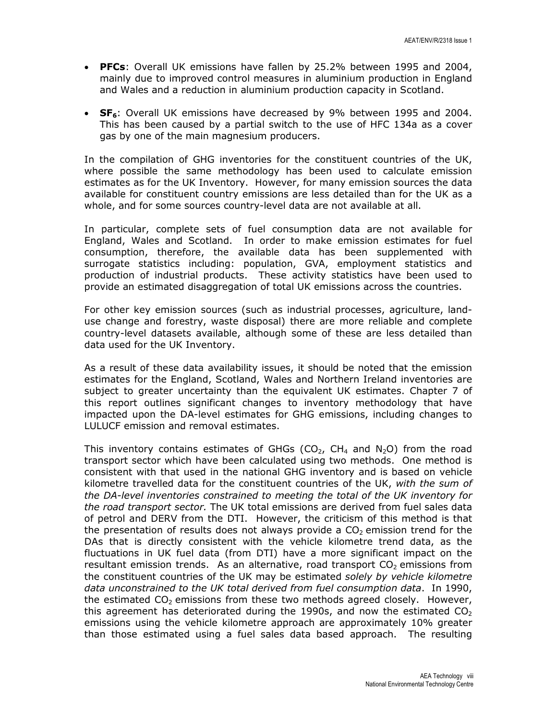- PFCs: Overall UK emissions have fallen by 25.2% between 1995 and 2004, mainly due to improved control measures in aluminium production in England and Wales and a reduction in aluminium production capacity in Scotland.
- $SF<sub>6</sub>$ : Overall UK emissions have decreased by 9% between 1995 and 2004. This has been caused by a partial switch to the use of HFC 134a as a cover gas by one of the main magnesium producers.

In the compilation of GHG inventories for the constituent countries of the UK, where possible the same methodology has been used to calculate emission estimates as for the UK Inventory. However, for many emission sources the data available for constituent country emissions are less detailed than for the UK as a whole, and for some sources country-level data are not available at all.

In particular, complete sets of fuel consumption data are not available for England, Wales and Scotland. In order to make emission estimates for fuel consumption, therefore, the available data has been supplemented with surrogate statistics including: population, GVA, employment statistics and production of industrial products. These activity statistics have been used to provide an estimated disaggregation of total UK emissions across the countries.

For other key emission sources (such as industrial processes, agriculture, landuse change and forestry, waste disposal) there are more reliable and complete country-level datasets available, although some of these are less detailed than data used for the UK Inventory.

As a result of these data availability issues, it should be noted that the emission estimates for the England, Scotland, Wales and Northern Ireland inventories are subject to greater uncertainty than the equivalent UK estimates. Chapter 7 of this report outlines significant changes to inventory methodology that have impacted upon the DA-level estimates for GHG emissions, including changes to LULUCF emission and removal estimates.

This inventory contains estimates of GHGs (CO<sub>2</sub>, CH<sub>4</sub> and N<sub>2</sub>O) from the road transport sector which have been calculated using two methods. One method is consistent with that used in the national GHG inventory and is based on vehicle kilometre travelled data for the constituent countries of the UK, with the sum of the DA-level inventories constrained to meeting the total of the UK inventory for the road transport sector. The UK total emissions are derived from fuel sales data of petrol and DERV from the DTI. However, the criticism of this method is that the presentation of results does not always provide a  $CO<sub>2</sub>$  emission trend for the DAs that is directly consistent with the vehicle kilometre trend data, as the fluctuations in UK fuel data (from DTI) have a more significant impact on the resultant emission trends. As an alternative, road transport  $CO<sub>2</sub>$  emissions from the constituent countries of the UK may be estimated solely by vehicle kilometre data unconstrained to the UK total derived from fuel consumption data. In 1990, the estimated  $CO<sub>2</sub>$  emissions from these two methods agreed closely. However, this agreement has deteriorated during the 1990s, and now the estimated  $CO<sub>2</sub>$ emissions using the vehicle kilometre approach are approximately 10% greater than those estimated using a fuel sales data based approach. The resulting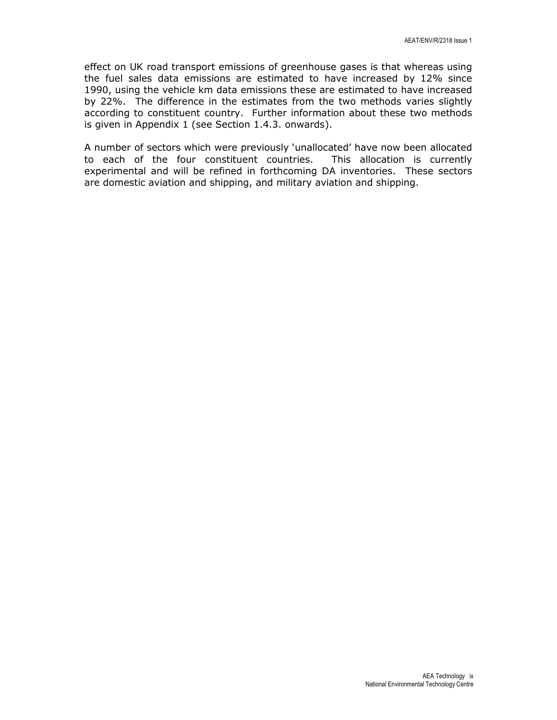effect on UK road transport emissions of greenhouse gases is that whereas using the fuel sales data emissions are estimated to have increased by 12% since 1990, using the vehicle km data emissions these are estimated to have increased by 22%. The difference in the estimates from the two methods varies slightly according to constituent country. Further information about these two methods is given in Appendix 1 (see Section 1.4.3. onwards).

A number of sectors which were previously 'unallocated' have now been allocated to each of the four constituent countries. This allocation is currently experimental and will be refined in forthcoming DA inventories. These sectors are domestic aviation and shipping, and military aviation and shipping.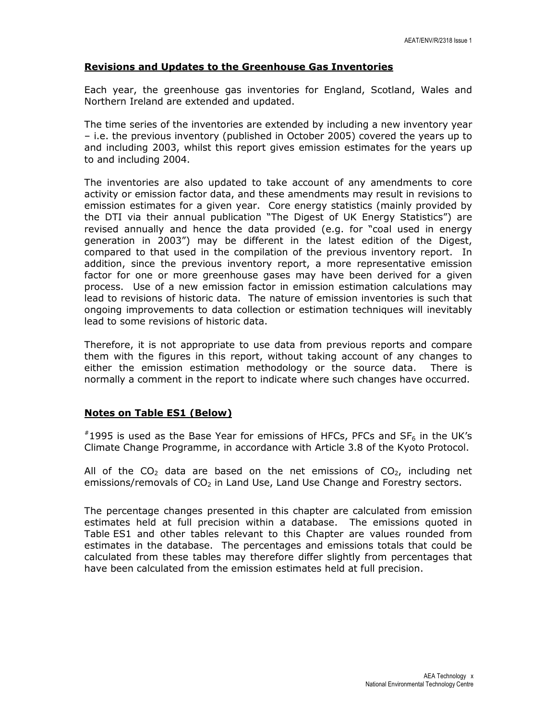#### Revisions and Updates to the Greenhouse Gas Inventories

Each year, the greenhouse gas inventories for England, Scotland, Wales and Northern Ireland are extended and updated.

The time series of the inventories are extended by including a new inventory year – i.e. the previous inventory (published in October 2005) covered the years up to and including 2003, whilst this report gives emission estimates for the years up to and including 2004.

The inventories are also updated to take account of any amendments to core activity or emission factor data, and these amendments may result in revisions to emission estimates for a given year. Core energy statistics (mainly provided by the DTI via their annual publication "The Digest of UK Energy Statistics") are revised annually and hence the data provided (e.g. for "coal used in energy generation in 2003") may be different in the latest edition of the Digest, compared to that used in the compilation of the previous inventory report. In addition, since the previous inventory report, a more representative emission factor for one or more greenhouse gases may have been derived for a given process. Use of a new emission factor in emission estimation calculations may lead to revisions of historic data. The nature of emission inventories is such that ongoing improvements to data collection or estimation techniques will inevitably lead to some revisions of historic data.

Therefore, it is not appropriate to use data from previous reports and compare them with the figures in this report, without taking account of any changes to either the emission estimation methodology or the source data. There is normally a comment in the report to indicate where such changes have occurred.

#### Notes on Table ES1 (Below)

 $*1995$  is used as the Base Year for emissions of HFCs, PFCs and SF<sub>6</sub> in the UK's Climate Change Programme, in accordance with Article 3.8 of the Kyoto Protocol.

All of the  $CO<sub>2</sub>$  data are based on the net emissions of  $CO<sub>2</sub>$ , including net emissions/removals of  $CO<sub>2</sub>$  in Land Use, Land Use Change and Forestry sectors.

The percentage changes presented in this chapter are calculated from emission estimates held at full precision within a database. The emissions quoted in Table ES1 and other tables relevant to this Chapter are values rounded from estimates in the database. The percentages and emissions totals that could be calculated from these tables may therefore differ slightly from percentages that have been calculated from the emission estimates held at full precision.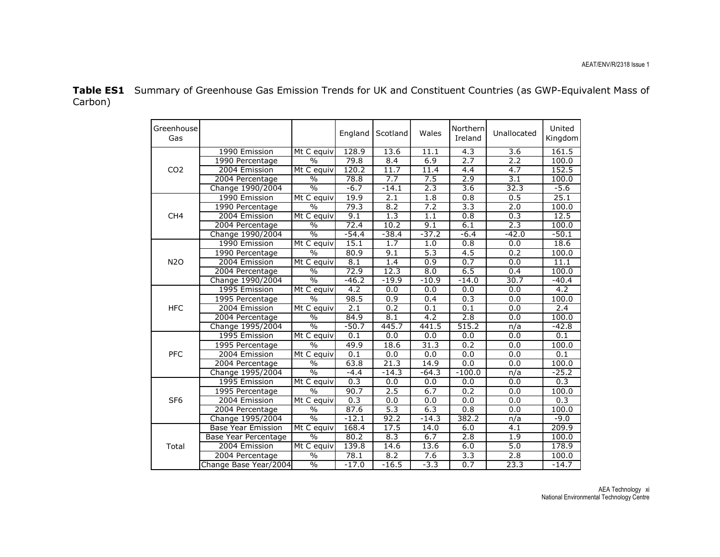Table ES1 Summary of Greenhouse Gas Emission Trends for UK and Constituent Countries (as GWP-Equivalent Mass of Carbon)

| Greenhouse<br>Gas |                           |                          | England          | Scotland         | Wales            | Northern<br>Ireland | Unallocated      | United<br>Kingdom |
|-------------------|---------------------------|--------------------------|------------------|------------------|------------------|---------------------|------------------|-------------------|
|                   | 1990 Emission             | Mt C equiv               | 128.9            | 13.6             | 11.1             | 4.3                 | $\overline{3.6}$ | 161.5             |
|                   | 1990 Percentage           | $\frac{0}{0}$            | 79.8             | 8.4              | 6.9              | 2.7                 | $\overline{2.2}$ | 100.0             |
| CO <sub>2</sub>   | 2004 Emission             | Mt C equiv               | 120.2            | 11.7             | 11.4             | 4.4                 | 4.7              | 152.5             |
|                   | 2004 Percentage           | $\overline{\frac{0}{0}}$ | 78.8             | 7.7              | 7.5              | 2.9                 | 3.1              | 100.0             |
|                   | Change 1990/2004          | $\overline{\frac{0}{0}}$ | $-6.7$           | $-14.1$          | 2.3              | $\overline{3.6}$    | 32.3             | $-5.6$            |
|                   | 1990 Emission             | Mt C equiv               | 19.9             | 2.1              | 1.8              | 0.8                 | 0.5              | 25.1              |
|                   | 1990 Percentage           | $\frac{0}{0}$            | 79.3             | 8.2              | 7.2              | 3.3                 | 2.0              | 100.0             |
| CH <sub>4</sub>   | 2004 Emission             | Mt C equiv               | 9.1              | $\overline{1.3}$ | 1.1              | $\overline{0.8}$    | 0.3              | 12.5              |
|                   | 2004 Percentage           | $\frac{0}{0}$            | 72.4             | 10.2             | 9.1              | 6.1                 | 2.3              | 100.0             |
|                   | Change 1990/2004          | $\overline{\frac{0}{0}}$ | $-54.4$          | $-38.4$          | $-37.2$          | $-6.4$              | $-42.0$          | $-50.1$           |
|                   | 1990 Emission             | Mt C equiv               | 15.1             | 1.7              | 1.0              | $\overline{0.8}$    | 0.0              | 18.6              |
|                   | 1990 Percentage           | $\frac{0}{0}$            | 80.9             | 9.1              | 5.3              | 4.5                 | 0.2              | 100.0             |
| <b>N2O</b>        | 2004 Emission             | Mt C equiv               | 8.1              | 1.4              | 0.9              | 0.7                 | 0.0              | 11.1              |
|                   | 2004 Percentage           | $\frac{0}{0}$            | 72.9             | 12.3             | 8.0              | 6.5                 | 0.4              | 100.0             |
|                   | Change 1990/2004          | $\frac{0}{0}$            | $-46.2$          | $-19.9$          | $-10.9$          | $-14.0$             | 30.7             | $-40.4$           |
|                   | 1995 Emission             | Mt C equiv               | 4.2              | 0.0              | 0.0              | 0.0                 | 0.0              | 4.2               |
|                   | 1995 Percentage           | $\sqrt{0}$               | 98.5             | $\overline{0.9}$ | 0.4              | 0.3                 | 0.0              | 100.0             |
| <b>HFC</b>        | 2004 Emission             | Mt C equiv               | 2.1              | 0.2              | $\overline{0.1}$ | $\overline{0.1}$    | 0.0              | 2.4               |
|                   | 2004 Percentage           | $\frac{0}{0}$            | 84.9             | 8.1              | 4.2              | 2.8                 | 0.0              | 100.0             |
|                   | Change 1995/2004          | $\frac{0}{6}$            | $-50.7$          | 445.7            | 441.5            | 515.2               | n/a              | $-42.8$           |
|                   | 1995 Emission             | Mt C equiv               | 0.1              | 0.0              | 0.0              | 0.0                 | 0.0              | 0.1               |
|                   | 1995 Percentage           | $\frac{0}{0}$            | 49.9             | 18.6             | 31.3             | 0.2                 | 0.0              | 100.0             |
| <b>PFC</b>        | 2004 Emission             | Mt C equiv               | $\overline{0.1}$ | 0.0              | 0.0              | 0.0                 | 0.0              | $\overline{0.1}$  |
| SF <sub>6</sub>   | 2004 Percentage           | $\frac{0}{0}$            | 63.8             | 21.3             | 14.9             | 0.0                 | 0.0              | 100.0             |
|                   | Change 1995/2004          | $\frac{0}{0}$            | $-4.4$           | $-14.3$          | $-64.3$          | $-100.0$            | n/a              | $-25.2$           |
|                   | 1995 Emission             | Mt C equiv               | 0.3              | 0.0              | 0.0              | 0.0                 | 0.0              | 0.3               |
|                   | 1995 Percentage           | $\frac{0}{0}$            | 90.7             | 2.5              | 6.7              | 0.2                 | 0.0              | 100.0             |
|                   | 2004 Emission             | Mt C equiv               | 0.3              | 0.0              | 0.0              | 0.0                 | 0.0              | 0.3               |
|                   | 2004 Percentage           | $\frac{0}{0}$            | 87.6             | 5.3              | 6.3              | 0.8                 | 0.0              | 100.0             |
|                   | Change 1995/2004          | $\frac{0}{0}$            | $-12.1$          | 92.2             | $-14.3$          | 382.2               | n/a              | $-9.0$            |
|                   | <b>Base Year Emission</b> | Mt C equiv               | 168.4            | 17.5             | 14.0             | 6.0                 | $\overline{4.1}$ | 209.9             |
|                   | Base Year Percentage      | $\overline{\frac{0}{6}}$ | 80.2             | 8.3              | 6.7              | 2.8                 | 1.9              | 100.0             |
| Total             | 2004 Emission             | Mt C equiv               | 139.8            | 14.6             | 13.6             | 6.0                 | 5.0              | 178.9             |
|                   | 2004 Percentage           | $\sqrt{0}$               | 78.1             | 8.2              | 7.6              | 3.3                 | 2.8              | 100.0             |
|                   | Change Base Year/2004     | $\sqrt{0}$               | $-17.0$          | $-16.5$          | $-3.3$           | 0.7                 | 23.3             | $-14.7$           |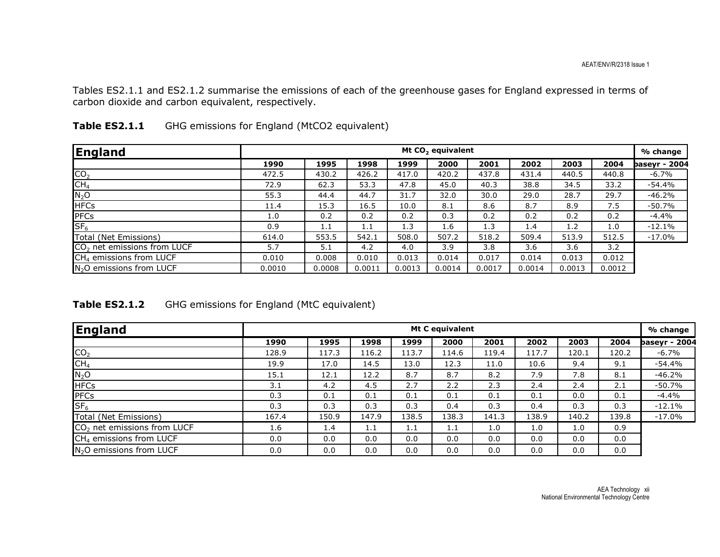Tables ES2.1.1 and ES2.1.2 summarise the emissions of each of the greenhouse gases for England expressed in terms of carbon dioxide and carbon equivalent, respectively.

| England                                 |        | Mt CO <sub>2</sub> equivalent |        |        |        |        |        |        |        | % change      |
|-----------------------------------------|--------|-------------------------------|--------|--------|--------|--------|--------|--------|--------|---------------|
|                                         | 1990   | 1995                          | 1998   | 1999   | 2000   | 2001   | 2002   | 2003   | 2004   | baseyr - 2004 |
| CO <sub>2</sub>                         | 472.5  | 430.2                         | 426.2  | 417.0  | 420.2  | 437.8  | 431.4  | 440.5  | 440.8  | $-6.7\%$      |
| CH <sub>4</sub>                         | 72.9   | 62.3                          | 53.3   | 47.8   | 45.0   | 40.3   | 38.8   | 34.5   | 33.2   | -54.4%        |
| $N_2O$                                  | 55.3   | 44.4                          | 44.7   | 31.7   | 32.0   | 30.0   | 29.0   | 28.7   | 29.7   | $-46.2%$      |
| <b>HFCs</b>                             | 11.4   | 15.3                          | 16.5   | 10.0   | 8.1    | 8.6    | 8.7    | 8.9    | 7.5    | $-50.7%$      |
| PFCs                                    | 1.0    | 0.2                           | 0.2    | 0.2    | 0.3    | 0.2    | 0.2    | 0.2    | 0.2    | $-4.4%$       |
| SF <sub>6</sub>                         | 0.9    | 1.1                           | 1.1    | 1.3    | 1.6    | 1.3    | 1.4    | 1.2    | 1.0    | $-12.1\%$     |
| Total (Net Emissions)                   | 614.0  | 553.5                         | 542.1  | 508.0  | 507.2  | 518.2  | 509.4  | 513.9  | 512.5  | -17.0%        |
| CO <sub>2</sub> net emissions from LUCF | 5.7    | 5.1                           | 4.2    | 4.0    | 3.9    | 3.8    | 3.6    | 3.6    | 3.2    |               |
| CH <sub>4</sub> emissions from LUCF     | 0.010  | 0.008                         | 0.010  | 0.013  | 0.014  | 0.017  | 0.014  | 0.013  | 0.012  |               |
| N <sub>2</sub> O emissions from LUCF    | 0.0010 | 0.0008                        | 0.0011 | 0.0013 | 0.0014 | 0.0017 | 0.0014 | 0.0013 | 0.0012 |               |

| Table ES2.1.1 | GHG emissions for England (MtCO2 equivalent) |  |  |  |
|---------------|----------------------------------------------|--|--|--|
|---------------|----------------------------------------------|--|--|--|

| <b>Table ES2.1.2</b> | GHG emissions for England (MtC equivalent) |  |
|----------------------|--------------------------------------------|--|
|----------------------|--------------------------------------------|--|

| England                                 | Mt C equivalent |       |       |       |       |       |       | % change |       |                      |
|-----------------------------------------|-----------------|-------|-------|-------|-------|-------|-------|----------|-------|----------------------|
|                                         | 1990            | 1995  | 1998  | 1999  | 2000  | 2001  | 2002  | 2003     | 2004  | <b>baseyr - 2004</b> |
| CO <sub>2</sub>                         | 128.9           | 117.3 | 116.2 | 113.7 | 114.6 | 119.4 | 117.7 | 120.1    | 120.2 | $-6.7%$              |
| CH <sub>4</sub>                         | 19.9            | 17.0  | 14.5  | 13.0  | 12.3  | 11.0  | 10.6  | 9.4      | 9.1   | -54.4%               |
| $N_2$ O                                 | 15.1            | 12.1  | 12.2  | 8.7   | 8.7   | 8.2   | 7.9   | 7.8      | 8.1   | $-46.2%$             |
| <b>HFCs</b>                             | 3.1             | 4.2   | 4.5   | 2.7   | 2.2   | 2.3   | 2.4   | 2.4      | 2.1   | $-50.7\%$            |
| PFCs                                    | 0.3             | 0.1   | 0.1   | 0.1   | 0.1   | 0.1   | 0.1   | 0.0      | 0.1   | -4.4%                |
| SF <sub>6</sub>                         | 0.3             | 0.3   | 0.3   | 0.3   | 0.4   | 0.3   | 0.4   | 0.3      | 0.3   | $-12.1%$             |
| Total (Net Emissions)                   | 167.4           | 150.9 | 147.9 | 138.5 | 138.3 | 141.3 | 138.9 | 140.2    | 139.8 | $-17.0\%$            |
| CO <sub>2</sub> net emissions from LUCF | 1.6             | 1.4   | 1.1   | 1.1   | 1.1   | 1.0   | 1.0   | 1.0      | 0.9   |                      |
| CH <sub>4</sub> emissions from LUCF     | 0.0             | 0.0   | 0.0   | 0.0   | 0.0   | 0.0   | 0.0   | 0.0      | 0.0   |                      |
| $N2O$ emissions from LUCF               | 0.0             | 0.0   | 0.0   | 0.0   | 0.0   | 0.0   | 0.0   | 0.0      | 0.0   |                      |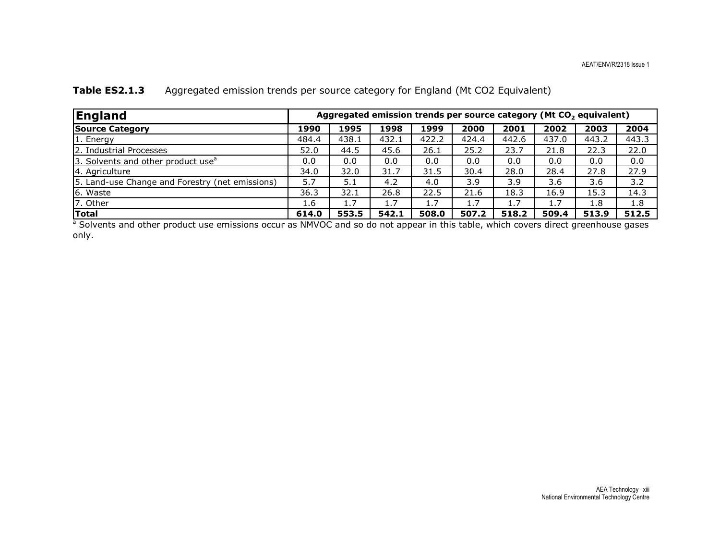| <b>England</b>                                  | Aggregated emission trends per source category (Mt CO <sub>2</sub> equivalent) |       |       |       |       |       |       |       |       |
|-------------------------------------------------|--------------------------------------------------------------------------------|-------|-------|-------|-------|-------|-------|-------|-------|
| <b>Source Category</b>                          | 1990                                                                           | 1995  | 1998  | 1999  | 2000  | 2001  | 2002  | 2003  | 2004  |
| 1. Energy                                       | 484.4                                                                          | 438.1 | 432.1 | 422.2 | 424.4 | 442.6 | 437.0 | 443.2 | 443.3 |
| 2. Industrial Processes                         | 52.0                                                                           | 44.5  | 45.6  | 26.1  | 25.2  | 23.7  | 21.8  | 22.3  | 22.0  |
| 3. Solvents and other product use <sup>a</sup>  | 0.0                                                                            | 0.0   | 0.0   | 0.0   | 0.0   | 0.0   | 0.0   | 0.0   | 0.0   |
| 4. Agriculture                                  | 34.0                                                                           | 32.0  | 31.7  | 31.5  | 30.4  | 28.0  | 28.4  | 27.8  | 27.9  |
| 5. Land-use Change and Forestry (net emissions) | 5.7                                                                            | 5.1   | 4.2   | 4.0   | 3.9   | 3.9   | 3.6   | 3.6   | 3.2   |
| 6. Waste                                        | 36.3                                                                           | 32.1  | 26.8  | 22.5  | 21.6  | 18.3  | 16.9  | 15.3  | 14.3  |
| 7. Other                                        | 1.6                                                                            | 1.7   | 1.7   | 1.7   | 1.7   | 1.7   | 1.7   | 1.8   | 1.8   |
| <b>Total</b>                                    | 614.0                                                                          | 553.5 | 542.1 | 508.0 | 507.2 | 518.2 | 509.4 | 513.9 | 512.5 |

### Table ES2.1.3 Aggregated emission trends per source category for England (Mt CO2 Equivalent)

 614.0 553.5 542.1 508.0 507.2 518.2 509.4 513.9 512.5 a Solvents and other product use emissions occur as NMVOC and so do not appear in this table, which covers direct greenhouse gases only.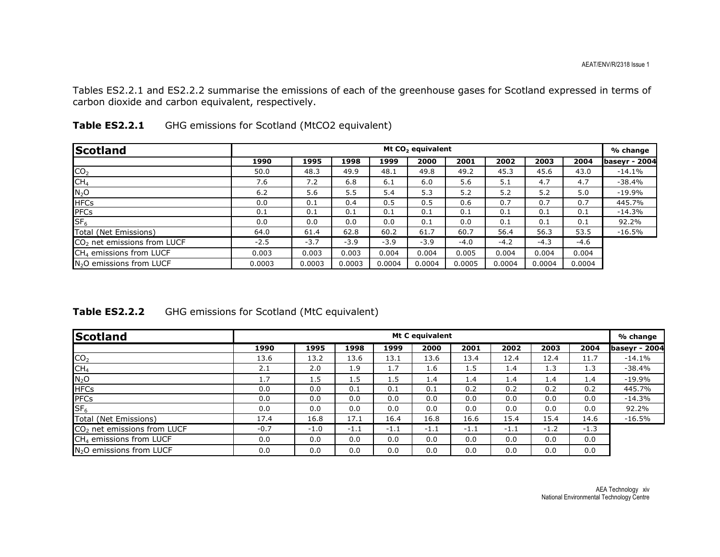Tables ES2.2.1 and ES2.2.2 summarise the emissions of each of the greenhouse gases for Scotland expressed in terms of carbon dioxide and carbon equivalent, respectively.

| <b>Scotland</b>                      |        | Mt CO <sub>2</sub> equivalent |        |        |        |        |        |        |        |                      |  |  |
|--------------------------------------|--------|-------------------------------|--------|--------|--------|--------|--------|--------|--------|----------------------|--|--|
|                                      | 1990   | 1995                          | 1998   | 1999   | 2000   | 2001   | 2002   | 2003   | 2004   | <b>baseyr - 2004</b> |  |  |
| CO <sub>2</sub>                      | 50.0   | 48.3                          | 49.9   | 48.1   | 49.8   | 49.2   | 45.3   | 45.6   | 43.0   | $-14.1\%$            |  |  |
| CH <sub>4</sub>                      | 7.6    | 7.2                           | 6.8    | 6.1    | 6.0    | 5.6    | 5.1    | 4.7    | 4.7    | $-38.4%$             |  |  |
| $N_2$ O                              | 6.2    | 5.6                           | 5.5    | 5.4    | 5.3    | 5.2    | 5.2    | 5.2    | 5.0    | $-19.9\%$            |  |  |
| <b>HFCs</b>                          | 0.0    | 0.1                           | 0.4    | 0.5    | 0.5    | 0.6    | 0.7    | 0.7    | 0.7    | 445.7%               |  |  |
| PFCs                                 | 0.1    | 0.1                           | 0.1    | 0.1    | 0.1    | 0.1    | 0.1    | 0.1    | 0.1    | $-14.3\%$            |  |  |
| SF <sub>6</sub>                      | 0.0    | 0.0                           | 0.0    | 0.0    | 0.1    | 0.0    | 0.1    | 0.1    | 0.1    | 92.2%                |  |  |
| Total (Net Emissions)                | 64.0   | 61.4                          | 62.8   | 60.2   | 61.7   | 60.7   | 56.4   | 56.3   | 53.5   | $-16.5\%$            |  |  |
| $CO2$ net emissions from LUCF        | $-2.5$ | $-3.7$                        | $-3.9$ | $-3.9$ | $-3.9$ | $-4.0$ | $-4.2$ | $-4.3$ | $-4.6$ |                      |  |  |
| CH <sub>4</sub> emissions from LUCF  | 0.003  | 0.003                         | 0.003  | 0.004  | 0.004  | 0.005  | 0.004  | 0.004  | 0.004  |                      |  |  |
| N <sub>2</sub> O emissions from LUCF | 0.0003 | 0.0003                        | 0.0003 | 0.0004 | 0.0004 | 0.0005 | 0.0004 | 0.0004 | 0.0004 |                      |  |  |

| <b>Table ES2.2.1</b> | GHG emissions for Scotland (MtCO2 equivalent) |
|----------------------|-----------------------------------------------|
|                      |                                               |

| Table ES2.2.2 | GHG emissions for Scotland (MtC equivalent) |  |
|---------------|---------------------------------------------|--|
|---------------|---------------------------------------------|--|

| <b>Scotland</b>                         |        | Mt C equivalent |        |        |        |        |        |        |        |               |  |  |
|-----------------------------------------|--------|-----------------|--------|--------|--------|--------|--------|--------|--------|---------------|--|--|
|                                         | 1990   | 1995            | 1998   | 1999   | 2000   | 2001   | 2002   | 2003   | 2004   | baseyr - 2004 |  |  |
| CO <sub>2</sub>                         | 13.6   | 13.2            | 13.6   | 13.1   | 13.6   | 13.4   | 12.4   | 12.4   | 11.7   | $-14.1%$      |  |  |
| CH <sub>4</sub>                         | 2.1    | 2.0             | 1.9    | 1.7    | 1.6    | 1.5    | 1.4    | 1.3    | 1.3    | $-38.4%$      |  |  |
| $N_2$ O                                 | 1.7    | 1.5             | 1.5    | 1.5    | 1.4    | 1.4    | 1.4    | 1.4    | 1.4    | $-19.9%$      |  |  |
| <b>HFCs</b>                             | 0.0    | 0.0             | 0.1    | 0.1    | 0.1    | 0.2    | 0.2    | 0.2    | 0.2    | 445.7%        |  |  |
| <b>PFCs</b>                             | 0.0    | 0.0             | 0.0    | 0.0    | 0.0    | 0.0    | 0.0    | 0.0    | 0.0    | $-14.3%$      |  |  |
| $S_{F_6}$                               | 0.0    | 0.0             | 0.0    | 0.0    | 0.0    | 0.0    | 0.0    | 0.0    | 0.0    | 92.2%         |  |  |
| Total (Net Emissions)                   | 17.4   | 16.8            | 17.1   | 16.4   | 16.8   | 16.6   | 15.4   | 15.4   | 14.6   | $-16.5%$      |  |  |
| CO <sub>2</sub> net emissions from LUCF | $-0.7$ | $-1.0$          | $-1.1$ | $-1.1$ | $-1.1$ | $-1.1$ | $-1.1$ | $-1.2$ | $-1.3$ |               |  |  |
| CH <sub>4</sub> emissions from LUCF     | 0.0    | 0.0             | 0.0    | 0.0    | 0.0    | 0.0    | 0.0    | 0.0    | 0.0    |               |  |  |
| N <sub>2</sub> O emissions from LUCF    | 0.0    | 0.0             | 0.0    | 0.0    | 0.0    | 0.0    | 0.0    | 0.0    | 0.0    |               |  |  |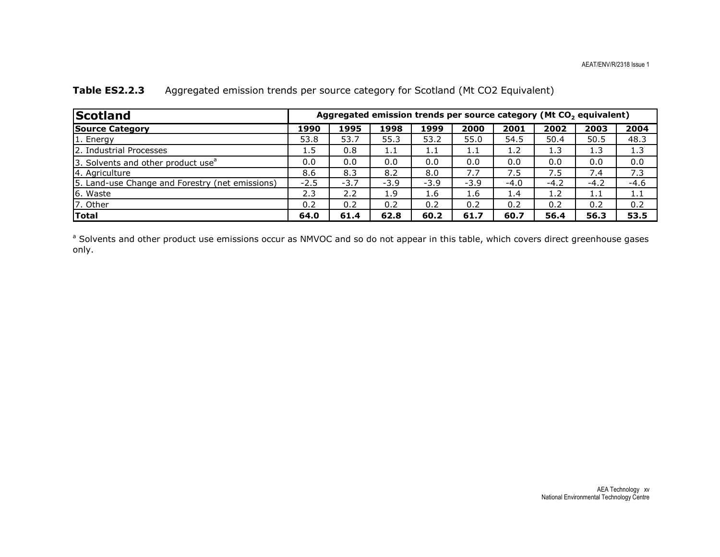| <b>Scotland</b>                                 | Aggregated emission trends per source category (Mt CO <sub>2</sub> equivalent) |        |        |        |        |        |        |        |        |
|-------------------------------------------------|--------------------------------------------------------------------------------|--------|--------|--------|--------|--------|--------|--------|--------|
| <b>Source Category</b>                          | 1990                                                                           | 1995   | 1998   | 1999   | 2000   | 2001   | 2002   | 2003   | 2004   |
| 1. Energy                                       | 53.8                                                                           | 53.7   | 55.3   | 53.2   | 55.0   | 54.5   | 50.4   | 50.5   | 48.3   |
| 2. Industrial Processes                         | 1.5                                                                            | 0.8    | 1.1    | 1.1    | 1.1    | 1.2    | 1.3    | 1.3    | 1.3    |
| 3. Solvents and other product use <sup>a</sup>  | 0.0                                                                            | 0.0    | 0.0    | 0.0    | 0.0    | 0.0    | 0.0    | 0.0    | 0.0    |
| 4. Agriculture                                  | 8.6                                                                            | 8.3    | 8.2    | 8.0    | 7.7    | 7.5    | 7.5    | 7.4    | 7.3    |
| 5. Land-use Change and Forestry (net emissions) | $-2.5$                                                                         | $-3.7$ | $-3.9$ | $-3.9$ | $-3.9$ | $-4.0$ | $-4.2$ | $-4.2$ | $-4.6$ |
| 6. Waste                                        | 2.3                                                                            | 2.2    | 1.9    | 1.6    | 1.6    | 1.4    | 1.2    | 1.1    | 1.1    |
| 7. Other                                        | 0.2                                                                            | 0.2    | 0.2    | 0.2    | 0.2    | 0.2    | 0.2    | 0.2    | 0.2    |
| Total                                           | 64.0                                                                           | 61.4   | 62.8   | 60.2   | 61.7   | 60.7   | 56.4   | 56.3   | 53.5   |

#### Table ES2.2.3 Aggregated emission trends per source category for Scotland (Mt CO2 Equivalent)

<sup>a</sup> Solvents and other product use emissions occur as NMVOC and so do not appear in this table, which covers direct greenhouse gases only.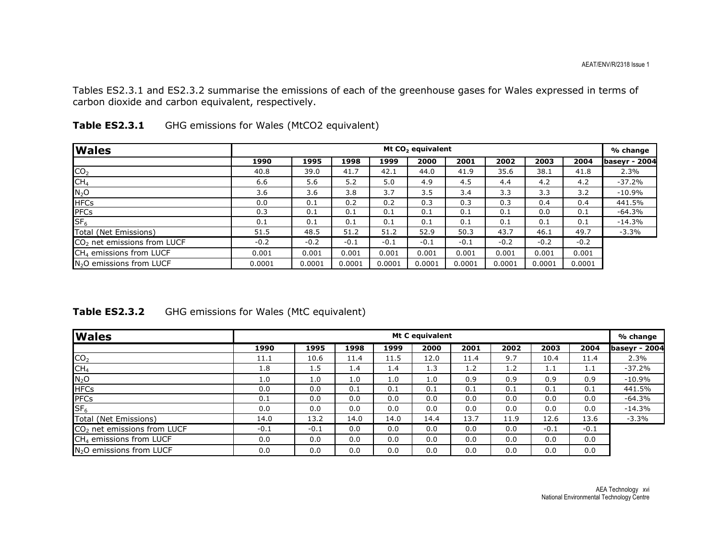Tables ES2.3.1 and ES2.3.2 summarise the emissions of each of the greenhouse gases for Wales expressed in terms of carbon dioxide and carbon equivalent, respectively.

| <b>Wales</b>                            |        | Mt CO <sub>2</sub> equivalent |        |        |        |        |        |        |        |                      |  |  |
|-----------------------------------------|--------|-------------------------------|--------|--------|--------|--------|--------|--------|--------|----------------------|--|--|
|                                         | 1990   | 1995                          | 1998   | 1999   | 2000   | 2001   | 2002   | 2003   | 2004   | <b>baseyr - 2004</b> |  |  |
| CO <sub>2</sub>                         | 40.8   | 39.0                          | 41.7   | 42.1   | 44.0   | 41.9   | 35.6   | 38.1   | 41.8   | 2.3%                 |  |  |
| CH <sub>4</sub>                         | 6.6    | 5.6                           | 5.2    | 5.0    | 4.9    | 4.5    | 4.4    | 4.2    | 4.2    | $-37.2%$             |  |  |
| $N_2O$                                  | 3.6    | 3.6                           | 3.8    | 3.7    | 3.5    | 3.4    | 3.3    | 3.3    | 3.2    | $-10.9%$             |  |  |
| <b>HFCs</b>                             | 0.0    | 0.1                           | 0.2    | 0.2    | 0.3    | 0.3    | 0.3    | 0.4    | 0.4    | 441.5%               |  |  |
| <b>PFCs</b>                             | 0.3    | 0.1                           | 0.1    | 0.1    | 0.1    | 0.1    | 0.1    | 0.0    | 0.1    | -64.3%               |  |  |
| SF <sub>6</sub>                         | 0.1    | 0.1                           | 0.1    | 0.1    | 0.1    | 0.1    | 0.1    | 0.1    | 0.1    | $-14.3%$             |  |  |
| Total (Net Emissions)                   | 51.5   | 48.5                          | 51.2   | 51.2   | 52.9   | 50.3   | 43.7   | 46.1   | 49.7   | $-3.3%$              |  |  |
| CO <sub>2</sub> net emissions from LUCF | $-0.2$ | $-0.2$                        | $-0.1$ | $-0.1$ | $-0.1$ | $-0.1$ | $-0.2$ | $-0.2$ | $-0.2$ |                      |  |  |
| CH <sub>4</sub> emissions from LUCF     | 0.001  | 0.001                         | 0.001  | 0.001  | 0.001  | 0.001  | 0.001  | 0.001  | 0.001  |                      |  |  |
| N <sub>2</sub> O emissions from LUCF    | 0.0001 | 0.0001                        | 0.0001 | 0.0001 | 0.0001 | 0.0001 | 0.0001 | 0.0001 | 0.0001 |                      |  |  |

| Table ES2.3.1 |  |  | GHG emissions for Wales (MtCO2 equivalent) |
|---------------|--|--|--------------------------------------------|
|---------------|--|--|--------------------------------------------|

| Table ES2.3.2 | GHG emissions for Wales (MtC equivalent) |  |
|---------------|------------------------------------------|--|
|---------------|------------------------------------------|--|

| <b>Wales</b>                            | Mt C equivalent |        |      |      |      |      |      |        |        |               |  |
|-----------------------------------------|-----------------|--------|------|------|------|------|------|--------|--------|---------------|--|
|                                         | 1990            | 1995   | 1998 | 1999 | 2000 | 2001 | 2002 | 2003   | 2004   | baseyr - 2004 |  |
| CO <sub>2</sub>                         | 11.1            | 10.6   | 11.4 | 11.5 | 12.0 | 11.4 | 9.7  | 10.4   | 11.4   | 2.3%          |  |
| CH <sub>4</sub>                         | 1.8             | 1.5    | 1.4  | 1.4  | 1.3  | 1.2  | 1.2  | 1.1    | 1.1    | $-37.2%$      |  |
| $N_2O$                                  | 1.0             | 1.0    | 1.0  | 1.0  | 1.0  | 0.9  | 0.9  | 0.9    | 0.9    | $-10.9%$      |  |
| <b>HFCs</b>                             | 0.0             | 0.0    | 0.1  | 0.1  | 0.1  | 0.1  | 0.1  | 0.1    | 0.1    | 441.5%        |  |
| <b>PFCs</b>                             | 0.1             | 0.0    | 0.0  | 0.0  | 0.0  | 0.0  | 0.0  | 0.0    | 0.0    | $-64.3%$      |  |
| $S_{F_6}$                               | 0.0             | 0.0    | 0.0  | 0.0  | 0.0  | 0.0  | 0.0  | 0.0    | 0.0    | $-14.3%$      |  |
| Total (Net Emissions)                   | 14.0            | 13.2   | 14.0 | 14.0 | 14.4 | 13.7 | 11.9 | 12.6   | 13.6   | $-3.3%$       |  |
| CO <sub>2</sub> net emissions from LUCF | $-0.1$          | $-0.1$ | 0.0  | 0.0  | 0.0  | 0.0  | 0.0  | $-0.1$ | $-0.1$ |               |  |
| CH <sub>4</sub> emissions from LUCF     | 0.0             | 0.0    | 0.0  | 0.0  | 0.0  | 0.0  | 0.0  | 0.0    | 0.0    |               |  |
| N <sub>2</sub> O emissions from LUCF    | 0.0             | 0.0    | 0.0  | 0.0  | 0.0  | 0.0  | 0.0  | 0.0    | 0.0    |               |  |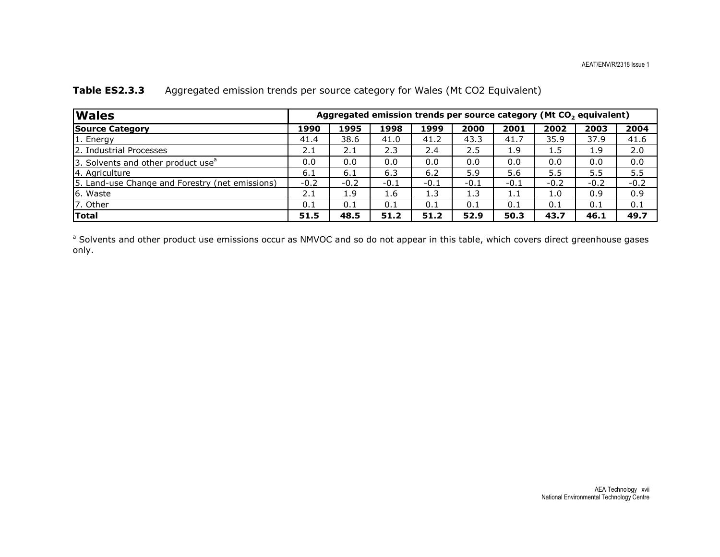| <b>Wales</b>                                    | Aggregated emission trends per source category (Mt CO <sub>2</sub> equivalent) |        |        |        |        |        |        |        |        |
|-------------------------------------------------|--------------------------------------------------------------------------------|--------|--------|--------|--------|--------|--------|--------|--------|
| <b>Source Category</b>                          | 1990                                                                           | 1995   | 1998   | 1999   | 2000   | 2001   | 2002   | 2003   | 2004   |
| 1. Energy                                       | 41.4                                                                           | 38.6   | 41.0   | 41.2   | 43.3   | 41.7   | 35.9   | 37.9   | 41.6   |
| 2. Industrial Processes                         | 2.1                                                                            | 2.1    | 2.3    | 2.4    | 2.5    | 1.9    | 1.5    | 1.9    | 2.0    |
| 3. Solvents and other product use <sup>a</sup>  | 0.0                                                                            | 0.0    | 0.0    | 0.0    | 0.0    | 0.0    | 0.0    | 0.0    | 0.0    |
| 4. Agriculture                                  | 6.1                                                                            | 6.1    | 6.3    | 6.2    | 5.9    | 5.6    | 5.5    | 5.5    | 5.5    |
| 5. Land-use Change and Forestry (net emissions) | $-0.2$                                                                         | $-0.2$ | $-0.1$ | $-0.1$ | $-0.1$ | $-0.1$ | $-0.2$ | $-0.2$ | $-0.2$ |
| 6. Waste                                        | 2.1                                                                            | 1.9    | 1.6    | 1.3    | 1.3    | 1.1    | 1.0    | 0.9    | 0.9    |
| 7. Other                                        | 0.1                                                                            | 0.1    | 0.1    | 0.1    | 0.1    | 0.1    | 0.1    | 0.1    | 0.1    |
| Total                                           | 51.5                                                                           | 48.5   | 51.2   | 51.2   | 52.9   | 50.3   | 43.7   | 46.1   | 49.7   |

### Table ES2.3.3 Aggregated emission trends per source category for Wales (Mt CO2 Equivalent)

<sup>a</sup> Solvents and other product use emissions occur as NMVOC and so do not appear in this table, which covers direct greenhouse gases only.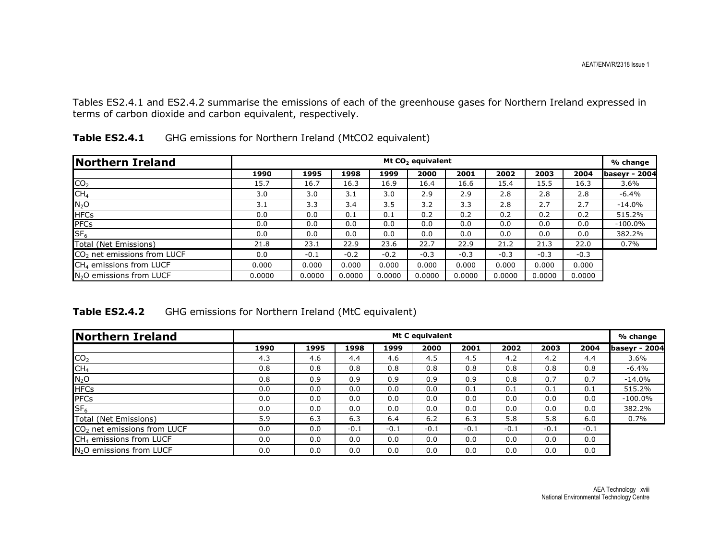Tables ES2.4.1 and ES2.4.2 summarise the emissions of each of the greenhouse gases for Northern Ireland expressed in terms of carbon dioxide and carbon equivalent, respectively.

| Northern Ireland                        |        | Mt CO <sub>2</sub> equivalent |        |        |        |        |        |        |        |                      |  |  |
|-----------------------------------------|--------|-------------------------------|--------|--------|--------|--------|--------|--------|--------|----------------------|--|--|
|                                         | 1990   | 1995                          | 1998   | 1999   | 2000   | 2001   | 2002   | 2003   | 2004   | <b>basevr - 2004</b> |  |  |
| CO <sub>2</sub>                         | 15.7   | 16.7                          | 16.3   | 16.9   | 16.4   | 16.6   | 15.4   | 15.5   | 16.3   | 3.6%                 |  |  |
| CH <sub>4</sub>                         | 3.0    | 3.0                           | 3.1    | 3.0    | 2.9    | 2.9    | 2.8    | 2.8    | 2.8    | -6.4%                |  |  |
| $N_2$ O                                 | 3.1    | 3.3                           | 3.4    | 3.5    | 3.2    | 3.3    | 2.8    | 2.7    | 2.7    | $-14.0\%$            |  |  |
| <b>HFCs</b>                             | 0.0    | 0.0                           | 0.1    | 0.1    | 0.2    | 0.2    | 0.2    | 0.2    | 0.2    | 515.2%               |  |  |
| PFCs                                    | 0.0    | 0.0                           | 0.0    | 0.0    | 0.0    | 0.0    | 0.0    | 0.0    | 0.0    | $-100.0\%$           |  |  |
| SF <sub>6</sub>                         | 0.0    | 0.0                           | 0.0    | 0.0    | 0.0    | 0.0    | 0.0    | 0.0    | 0.0    | 382.2%               |  |  |
| Total (Net Emissions)                   | 21.8   | 23.1                          | 22.9   | 23.6   | 22.7   | 22.9   | 21.2   | 21.3   | 22.0   | $0.7\%$              |  |  |
| CO <sub>2</sub> net emissions from LUCF | 0.0    | $-0.1$                        | $-0.2$ | $-0.2$ | $-0.3$ | $-0.3$ | $-0.3$ | $-0.3$ | $-0.3$ |                      |  |  |
| $CH4$ emissions from LUCF               | 0.000  | 0.000                         | 0.000  | 0.000  | 0.000  | 0.000  | 0.000  | 0.000  | 0.000  |                      |  |  |
| $N2O$ emissions from LUCF               | 0.0000 | 0.0000                        | 0.0000 | 0.0000 | 0.0000 | 0.0000 | 0.0000 | 0.0000 | 0.0000 |                      |  |  |

| Table ES2.4.1 | GHG emissions for Northern Ireland (MtCO2 equivalent) |
|---------------|-------------------------------------------------------|
|---------------|-------------------------------------------------------|

Table ES2.4.2 GHG emissions for Northern Ireland (MtC equivalent)

| Northern Ireland                        | <b>Mt C equivalent</b> |      |        |        |        |        |        |        |        | % change      |
|-----------------------------------------|------------------------|------|--------|--------|--------|--------|--------|--------|--------|---------------|
|                                         | 1990                   | 1995 | 1998   | 1999   | 2000   | 2001   | 2002   | 2003   | 2004   | baseyr - 2004 |
| CO <sub>2</sub>                         | 4.3                    | 4.6  | 4.4    | 4.6    | 4.5    | 4.5    | 4.2    | 4.2    | 4.4    | 3.6%          |
| CH <sub>4</sub>                         | 0.8                    | 0.8  | 0.8    | 0.8    | 0.8    | 0.8    | 0.8    | 0.8    | 0.8    | -6.4%         |
| $N_2$ O                                 | 0.8                    | 0.9  | 0.9    | 0.9    | 0.9    | 0.9    | 0.8    | 0.7    | 0.7    | $-14.0%$      |
| <b>HFCs</b>                             | 0.0                    | 0.0  | 0.0    | 0.0    | 0.0    | 0.1    | 0.1    | 0.1    | 0.1    | 515.2%        |
| PFCs                                    | 0.0                    | 0.0  | 0.0    | 0.0    | 0.0    | 0.0    | 0.0    | 0.0    | 0.0    | $-100.0\%$    |
| SF <sub>6</sub>                         | 0.0                    | 0.0  | 0.0    | 0.0    | 0.0    | 0.0    | 0.0    | 0.0    | 0.0    | 382.2%        |
| Total (Net Emissions)                   | 5.9                    | 6.3  | 6.3    | 6.4    | 6.2    | 6.3    | 5.8    | 5.8    | 6.0    | 0.7%          |
| CO <sub>2</sub> net emissions from LUCF | 0.0                    | 0.0  | $-0.1$ | $-0.1$ | $-0.1$ | $-0.1$ | $-0.1$ | $-0.1$ | $-0.1$ |               |
| CH <sub>4</sub> emissions from LUCF     | 0.0                    | 0.0  | 0.0    | 0.0    | 0.0    | 0.0    | 0.0    | 0.0    | 0.0    |               |
| N <sub>2</sub> O emissions from LUCF    | 0.0                    | 0.0  | 0.0    | 0.0    | 0.0    | 0.0    | 0.0    | 0.0    | 0.0    |               |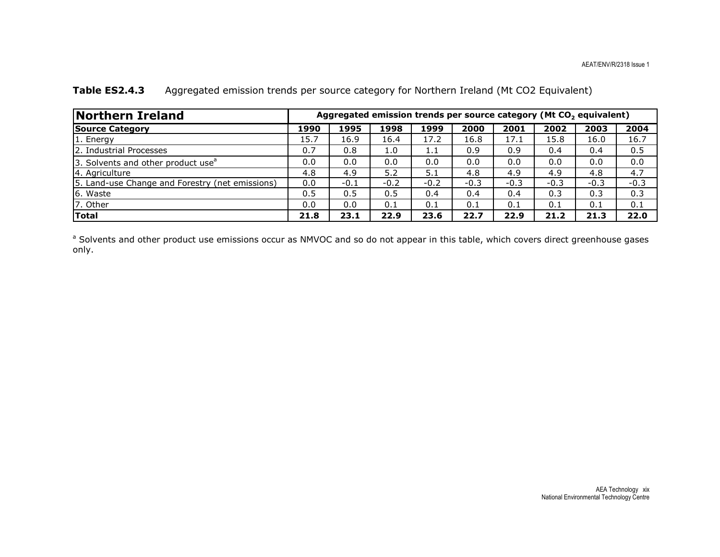| <b>Northern Ireland</b>                         | Aggregated emission trends per source category (Mt CO <sub>2</sub> equivalent) |        |        |         |        |        |        |        |        |  |  |
|-------------------------------------------------|--------------------------------------------------------------------------------|--------|--------|---------|--------|--------|--------|--------|--------|--|--|
| <b>Source Category</b>                          | 1990                                                                           | 1995   | 1998   | 1999    | 2000   | 2001   | 2002   | 2003   | 2004   |  |  |
| 1. Energy                                       | 15.7                                                                           | 16.9   | 16.4   | 17.2    | 16.8   | 17.1   | 15.8   | 16.0   | 16.7   |  |  |
| 2. Industrial Processes                         | 0.7                                                                            | 0.8    | 1.0    | $1.1\,$ | 0.9    | 0.9    | 0.4    | 0.4    | 0.5    |  |  |
| 3. Solvents and other product use <sup>a</sup>  | 0.0                                                                            | 0.0    | 0.0    | 0.0     | 0.0    | 0.0    | 0.0    | 0.0    | 0.0    |  |  |
| 4. Agriculture                                  | 4.8                                                                            | 4.9    | 5.2    | 5.1     | 4.8    | 4.9    | 4.9    | 4.8    | 4.7    |  |  |
| 5. Land-use Change and Forestry (net emissions) | 0.0                                                                            | $-0.1$ | $-0.2$ | $-0.2$  | $-0.3$ | $-0.3$ | $-0.3$ | $-0.3$ | $-0.3$ |  |  |
| 6. Waste                                        | 0.5                                                                            | 0.5    | 0.5    | 0.4     | 0.4    | 0.4    | 0.3    | 0.3    | 0.3    |  |  |
| 7. Other                                        | 0.0                                                                            | 0.0    | 0.1    | 0.1     | 0.1    | 0.1    | 0.1    | 0.1    | 0.1    |  |  |
| <b>Total</b>                                    | 21.8                                                                           | 23.1   | 22.9   | 23.6    | 22.7   | 22.9   | 21.2   | 21.3   | 22.0   |  |  |

### Table ES2.4.3 Aggregated emission trends per source category for Northern Ireland (Mt CO2 Equivalent)

<sup>a</sup> Solvents and other product use emissions occur as NMVOC and so do not appear in this table, which covers direct greenhouse gases only.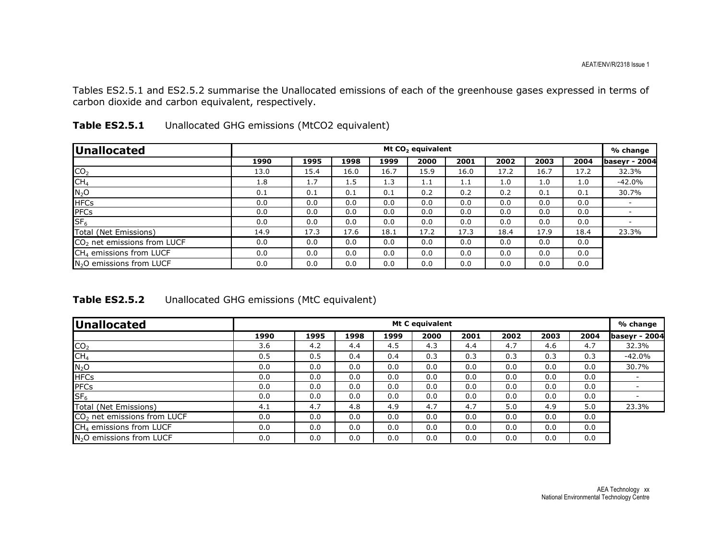Tables ES2.5.1 and ES2.5.2 summarise the Unallocated emissions of each of the greenhouse gases expressed in terms of carbon dioxide and carbon equivalent, respectively.

| Unallocated                             | Mt CO <sub>2</sub> equivalent |      |      |      |      |      |      |      |      |                      |
|-----------------------------------------|-------------------------------|------|------|------|------|------|------|------|------|----------------------|
|                                         | 1990                          | 1995 | 1998 | 1999 | 2000 | 2001 | 2002 | 2003 | 2004 | <b>baseyr - 2004</b> |
| CO <sub>2</sub>                         | 13.0                          | 15.4 | 16.0 | 16.7 | 15.9 | 16.0 | 17.2 | 16.7 | 17.2 | 32.3%                |
| CH <sub>4</sub>                         | 1.8                           | 1.7  | 1.5  | 1.3  | 1.1  | 1.1  | 1.0  | 1.0  | 1.0  | $-42.0%$             |
| $N_2O$                                  | 0.1                           | 0.1  | 0.1  | 0.1  | 0.2  | 0.2  | 0.2  | 0.1  | 0.1  | 30.7%                |
| <b>HFCs</b>                             | 0.0                           | 0.0  | 0.0  | 0.0  | 0.0  | 0.0  | 0.0  | 0.0  | 0.0  |                      |
| <b>PFCs</b>                             | 0.0                           | 0.0  | 0.0  | 0.0  | 0.0  | 0.0  | 0.0  | 0.0  | 0.0  |                      |
| SF <sub>6</sub>                         | 0.0                           | 0.0  | 0.0  | 0.0  | 0.0  | 0.0  | 0.0  | 0.0  | 0.0  |                      |
| Total (Net Emissions)                   | 14.9                          | 17.3 | 17.6 | 18.1 | 17.2 | 17.3 | 18.4 | 17.9 | 18.4 | 23.3%                |
| CO <sub>2</sub> net emissions from LUCF | 0.0                           | 0.0  | 0.0  | 0.0  | 0.0  | 0.0  | 0.0  | 0.0  | 0.0  |                      |
| CH <sub>4</sub> emissions from LUCF     | 0.0                           | 0.0  | 0.0  | 0.0  | 0.0  | 0.0  | 0.0  | 0.0  | 0.0  |                      |
| N <sub>2</sub> O emissions from LUCF    | 0.0                           | 0.0  | 0.0  | 0.0  | 0.0  | 0.0  | 0.0  | 0.0  | 0.0  |                      |

| Table ES2.5.1 | Unallocated GHG emissions (MtCO2 equivalent) |  |
|---------------|----------------------------------------------|--|
|               |                                              |  |

| Unallocated GHG emissions (MtC equivalent)<br><b>Table ES2.5.2</b> |  |
|--------------------------------------------------------------------|--|
|--------------------------------------------------------------------|--|

| <b>Unallocated</b>                   | Mt C equivalent |      |      |      |      |      |      |      |      | % change             |
|--------------------------------------|-----------------|------|------|------|------|------|------|------|------|----------------------|
|                                      | 1990            | 1995 | 1998 | 1999 | 2000 | 2001 | 2002 | 2003 | 2004 | <b>baseyr - 2004</b> |
| CO <sub>2</sub>                      | 3.6             | 4.2  | 4.4  | 4.5  | 4.3  | 4.4  | 4.7  | 4.6  | 4.7  | 32.3%                |
| CH <sub>4</sub>                      | 0.5             | 0.5  | 0.4  | 0.4  | 0.3  | 0.3  | 0.3  | 0.3  | 0.3  | $-42.0%$             |
| $N_2$ O                              | 0.0             | 0.0  | 0.0  | 0.0  | 0.0  | 0.0  | 0.0  | 0.0  | 0.0  | 30.7%                |
| <b>HFCs</b>                          | 0.0             | 0.0  | 0.0  | 0.0  | 0.0  | 0.0  | 0.0  | 0.0  | 0.0  |                      |
| PFCs                                 | 0.0             | 0.0  | 0.0  | 0.0  | 0.0  | 0.0  | 0.0  | 0.0  | 0.0  |                      |
| SF <sub>6</sub>                      | 0.0             | 0.0  | 0.0  | 0.0  | 0.0  | 0.0  | 0.0  | 0.0  | 0.0  |                      |
| Total (Net Emissions)                | 4.1             | 4.7  | 4.8  | 4.9  | 4.7  | 4.7  | 5.0  | 4.9  | 5.0  | 23.3%                |
| $CO2$ net emissions from LUCF        | 0.0             | 0.0  | 0.0  | 0.0  | 0.0  | 0.0  | 0.0  | 0.0  | 0.0  |                      |
| CH <sub>4</sub> emissions from LUCF  | 0.0             | 0.0  | 0.0  | 0.0  | 0.0  | 0.0  | 0.0  | 0.0  | 0.0  |                      |
| N <sub>2</sub> O emissions from LUCF | 0.0             | 0.0  | 0.0  | 0.0  | 0.0  | 0.0  | 0.0  | 0.0  | 0.0  |                      |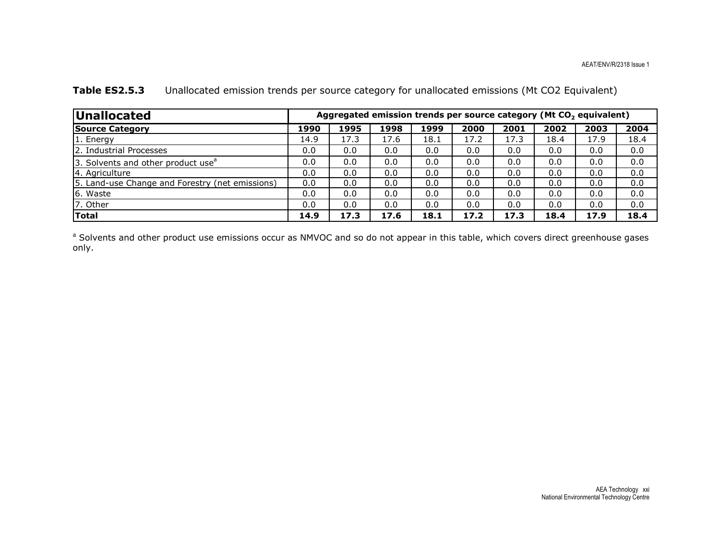| <b>Unallocated</b>                              |      | Aggregated emission trends per source category (Mt CO <sub>2</sub> equivalent) |      |      |      |      |      |      |      |  |  |  |
|-------------------------------------------------|------|--------------------------------------------------------------------------------|------|------|------|------|------|------|------|--|--|--|
| <b>Source Category</b>                          | 1990 | 1995                                                                           | 1998 | 1999 | 2000 | 2001 | 2002 | 2003 | 2004 |  |  |  |
| 1. Energy                                       | 14.9 | 17.3                                                                           | 17.6 | 18.1 | 17.2 | 17.3 | 18.4 | 17.9 | 18.4 |  |  |  |
| 2. Industrial Processes                         | 0.0  | 0.0                                                                            | 0.0  | 0.0  | 0.0  | 0.0  | 0.0  | 0.0  | 0.0  |  |  |  |
| 3. Solvents and other product use <sup>a</sup>  | 0.0  | 0.0                                                                            | 0.0  | 0.0  | 0.0  | 0.0  | 0.0  | 0.0  | 0.0  |  |  |  |
| 4. Agriculture                                  | 0.0  | 0.0                                                                            | 0.0  | 0.0  | 0.0  | 0.0  | 0.0  | 0.0  | 0.0  |  |  |  |
| 5. Land-use Change and Forestry (net emissions) | 0.0  | 0.0                                                                            | 0.0  | 0.0  | 0.0  | 0.0  | 0.0  | 0.0  | 0.0  |  |  |  |
| 6. Waste                                        | 0.0  | 0.0                                                                            | 0.0  | 0.0  | 0.0  | 0.0  | 0.0  | 0.0  | 0.0  |  |  |  |
| 7. Other                                        | 0.0  | 0.0                                                                            | 0.0  | 0.0  | 0.0  | 0.0  | 0.0  | 0.0  | 0.0  |  |  |  |
| Total                                           | 14.9 | 17.3                                                                           | 17.6 | 18.1 | 17.2 | 17.3 | 18.4 | 17.9 | 18.4 |  |  |  |

### Table ES2.5.3 Unallocated emission trends per source category for unallocated emissions (Mt CO2 Equivalent)

<sup>a</sup> Solvents and other product use emissions occur as NMVOC and so do not appear in this table, which covers direct greenhouse gases only.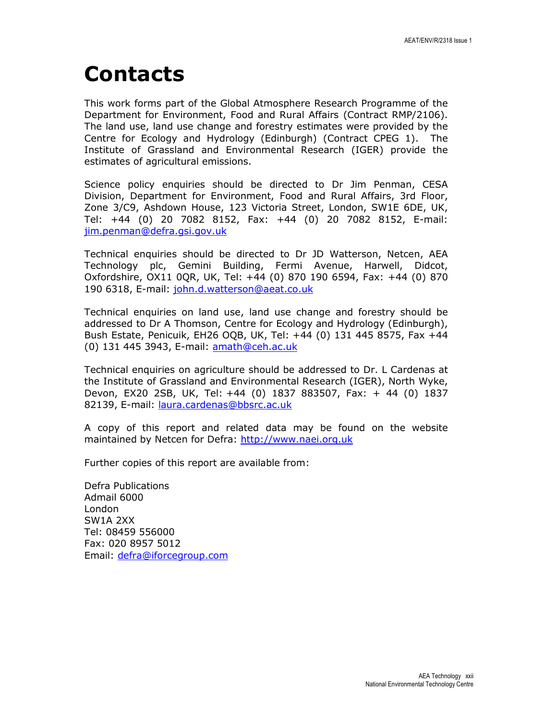# Contacts

This work forms part of the Global Atmosphere Research Programme of the Department for Environment, Food and Rural Affairs (Contract RMP/2106). The land use, land use change and forestry estimates were provided by the Centre for Ecology and Hydrology (Edinburgh) (Contract CPEG 1). The Institute of Grassland and Environmental Research (IGER) provide the estimates of agricultural emissions.

Science policy enquiries should be directed to Dr Jim Penman, CESA Division, Department for Environment, Food and Rural Affairs, 3rd Floor, Zone 3/C9, Ashdown House, 123 Victoria Street, London, SW1E 6DE, UK, Tel: +44 (0) 20 7082 8152, Fax: +44 (0) 20 7082 8152, E-mail: jim.penman@defra.gsi.gov.uk

Technical enquiries should be directed to Dr JD Watterson, Netcen, AEA Technology plc, Gemini Building, Fermi Avenue, Harwell, Didcot, Oxfordshire, OX11 0QR, UK, Tel: +44 (0) 870 190 6594, Fax: +44 (0) 870 190 6318, E-mail: john.d.watterson@aeat.co.uk

Technical enquiries on land use, land use change and forestry should be addressed to Dr A Thomson, Centre for Ecology and Hydrology (Edinburgh), Bush Estate, Penicuik, EH26 OQB, UK, Tel: +44 (0) 131 445 8575, Fax +44 (0) 131 445 3943, E-mail: amath@ceh.ac.uk

Technical enquiries on agriculture should be addressed to Dr. L Cardenas at the Institute of Grassland and Environmental Research (IGER), North Wyke, Devon, EX20 2SB, UK, Tel: +44 (0) 1837 883507, Fax: + 44 (0) 1837 82139, E-mail: laura.cardenas@bbsrc.ac.uk

A copy of this report and related data may be found on the website maintained by Netcen for Defra: http://www.naei.org.uk

Further copies of this report are available from:

Defra Publications Admail 6000 London SW1A 2XX Tel: 08459 556000 Fax: 020 8957 5012 Email: defra@iforcegroup.com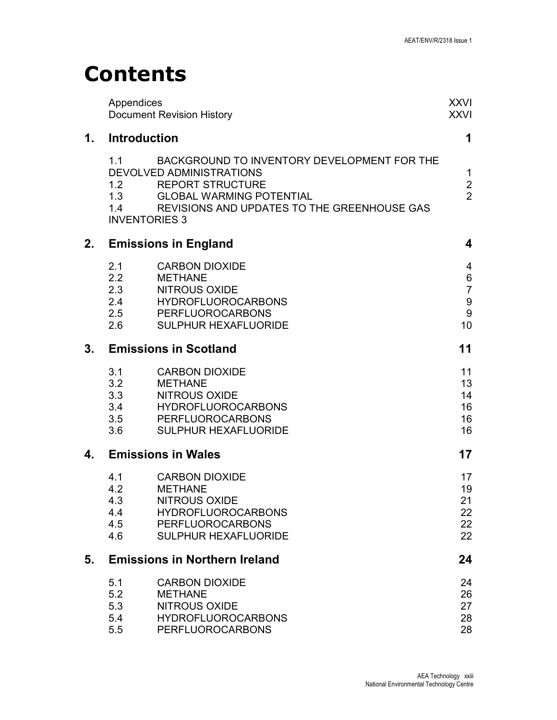# **Contents**

|    | Appendices                                       | <b>Document Revision History</b>                                                                                                                                                     | <b>XXVI</b><br><b>XXVI</b>                                                                |
|----|--------------------------------------------------|--------------------------------------------------------------------------------------------------------------------------------------------------------------------------------------|-------------------------------------------------------------------------------------------|
| 1. | Introduction                                     |                                                                                                                                                                                      | 1                                                                                         |
|    | 1.1<br>1.2<br>1.3<br>1.4<br><b>INVENTORIES 3</b> | BACKGROUND TO INVENTORY DEVELOPMENT FOR THE<br>DEVOLVED ADMINISTRATIONS<br><b>REPORT STRUCTURE</b><br><b>GLOBAL WARMING POTENTIAL</b><br>REVISIONS AND UPDATES TO THE GREENHOUSE GAS | $\mathbf 1$<br>$\overline{\mathbf{c}}$<br>$\overline{2}$                                  |
| 2. |                                                  | <b>Emissions in England</b>                                                                                                                                                          | 4                                                                                         |
|    | 2.1<br>2.2<br>2.3<br>2.4<br>2.5<br>2.6           | <b>CARBON DIOXIDE</b><br><b>METHANE</b><br><b>NITROUS OXIDE</b><br><b>HYDROFLUOROCARBONS</b><br><b>PERFLUOROCARBONS</b><br><b>SULPHUR HEXAFLUORIDE</b>                               | $\overline{4}$<br>$\,6\,$<br>$\overline{7}$<br>$\boldsymbol{9}$<br>$\boldsymbol{9}$<br>10 |
| 3. |                                                  | <b>Emissions in Scotland</b>                                                                                                                                                         | 11                                                                                        |
|    | 3.1<br>3.2<br>3.3<br>3.4<br>3.5<br>3.6           | <b>CARBON DIOXIDE</b><br><b>METHANE</b><br><b>NITROUS OXIDE</b><br><b>HYDROFLUOROCARBONS</b><br><b>PERFLUOROCARBONS</b><br><b>SULPHUR HEXAFLUORIDE</b>                               | 11<br>13<br>14<br>16<br>16<br>16                                                          |
| 4. |                                                  | <b>Emissions in Wales</b>                                                                                                                                                            | 17                                                                                        |
|    | 4.1<br>4.2<br>4.3<br>4.4<br>4.5<br>4.6           | <b>CARBON DIOXIDE</b><br><b>METHANE</b><br><b>NITROUS OXIDE</b><br><b>HYDROFLUOROCARBONS</b><br><b>PERFLUOROCARBONS</b><br><b>SULPHUR HEXAFLUORIDE</b>                               | 17<br>19<br>21<br>22<br>22<br>22                                                          |
| 5. |                                                  | <b>Emissions in Northern Ireland</b>                                                                                                                                                 | 24                                                                                        |
|    | 5.1<br>5.2<br>5.3<br>5.4<br>5.5                  | <b>CARBON DIOXIDE</b><br><b>METHANE</b><br><b>NITROUS OXIDE</b><br><b>HYDROFLUOROCARBONS</b><br><b>PERFLUOROCARBONS</b>                                                              | 24<br>26<br>27<br>28<br>28                                                                |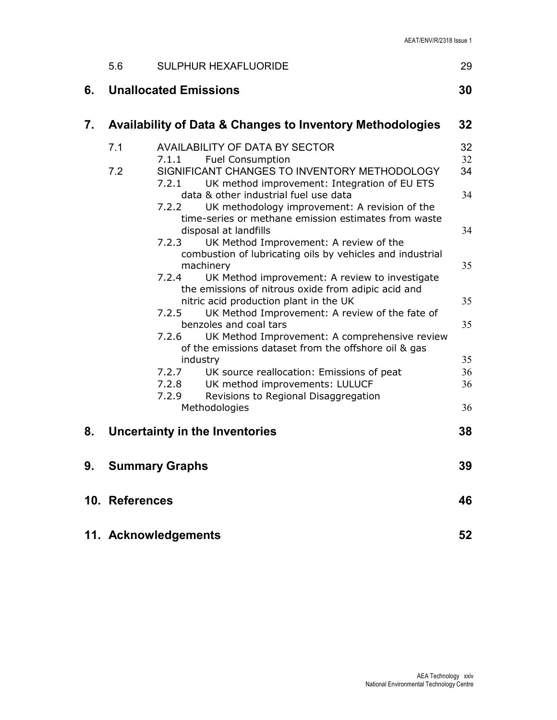|    | 5.6            | <b>SULPHUR HEXAFLUORIDE</b>                                                                                                                                                        | 29             |
|----|----------------|------------------------------------------------------------------------------------------------------------------------------------------------------------------------------------|----------------|
| 6. |                | <b>Unallocated Emissions</b>                                                                                                                                                       | 30             |
| 7. |                | <b>Availability of Data &amp; Changes to Inventory Methodologies</b>                                                                                                               | 32             |
|    | 7.1<br>7.2     | <b>AVAILABILITY OF DATA BY SECTOR</b><br><b>Fuel Consumption</b><br>7.1.1<br>SIGNIFICANT CHANGES TO INVENTORY METHODOLOGY<br>7.2.1<br>UK method improvement: Integration of EU ETS | 32<br>32<br>34 |
|    |                | data & other industrial fuel use data<br>7.2.2<br>UK methodology improvement: A revision of the<br>time-series or methane emission estimates from waste                            | 34             |
|    |                | disposal at landfills<br>UK Method Improvement: A review of the<br>7.2.3<br>combustion of lubricating oils by vehicles and industrial                                              | 34             |
|    |                | machinery<br>7.2.4<br>UK Method improvement: A review to investigate<br>the emissions of nitrous oxide from adipic acid and                                                        | 35             |
|    |                | nitric acid production plant in the UK<br>UK Method Improvement: A review of the fate of<br>7.2.5<br>benzoles and coal tars                                                        | 35<br>35       |
|    |                | 7.2.6<br>UK Method Improvement: A comprehensive review<br>of the emissions dataset from the offshore oil & gas<br>industry                                                         | 35             |
|    |                | 7.2.7<br>UK source reallocation: Emissions of peat<br>UK method improvements: LULUCF<br>7.2.8<br>Revisions to Regional Disaggregation<br>7.2.9                                     | 36<br>36       |
| 8. |                | Methodologies<br>Uncertainty in the Inventories                                                                                                                                    | 36<br>38       |
|    |                |                                                                                                                                                                                    |                |
|    |                | 9. Summary Graphs                                                                                                                                                                  | 39             |
|    | 10. References |                                                                                                                                                                                    | 46             |
|    |                | 11. Acknowledgements                                                                                                                                                               | 52             |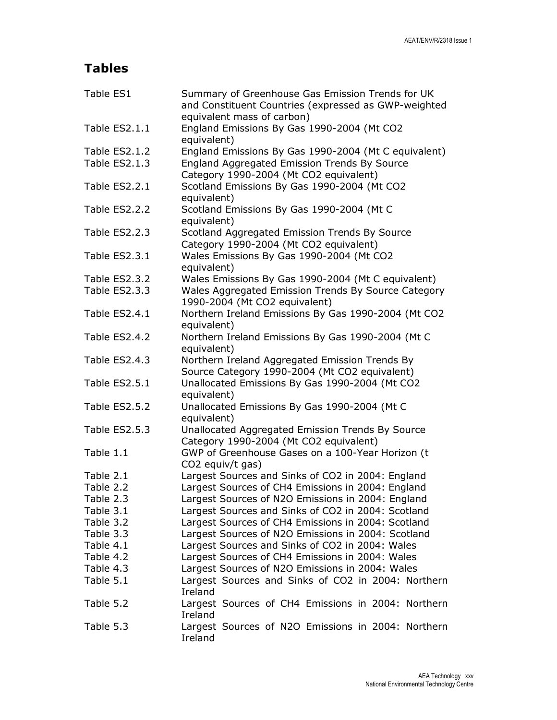## Tables

| Table ES1     | Summary of Greenhouse Gas Emission Trends for UK<br>and Constituent Countries (expressed as GWP-weighted<br>equivalent mass of carbon) |  |  |  |  |  |  |
|---------------|----------------------------------------------------------------------------------------------------------------------------------------|--|--|--|--|--|--|
| Table ES2.1.1 | England Emissions By Gas 1990-2004 (Mt CO2<br>equivalent)                                                                              |  |  |  |  |  |  |
| Table ES2.1.2 | England Emissions By Gas 1990-2004 (Mt C equivalent)                                                                                   |  |  |  |  |  |  |
| Table ES2.1.3 | England Aggregated Emission Trends By Source<br>Category 1990-2004 (Mt CO2 equivalent)                                                 |  |  |  |  |  |  |
| Table ES2.2.1 | Scotland Emissions By Gas 1990-2004 (Mt CO2<br>equivalent)                                                                             |  |  |  |  |  |  |
| Table ES2.2.2 | Scotland Emissions By Gas 1990-2004 (Mt C<br>equivalent)                                                                               |  |  |  |  |  |  |
| Table ES2.2.3 | Scotland Aggregated Emission Trends By Source<br>Category 1990-2004 (Mt CO2 equivalent)                                                |  |  |  |  |  |  |
| Table ES2.3.1 | Wales Emissions By Gas 1990-2004 (Mt CO2<br>equivalent)                                                                                |  |  |  |  |  |  |
| Table ES2.3.2 | Wales Emissions By Gas 1990-2004 (Mt C equivalent)                                                                                     |  |  |  |  |  |  |
| Table ES2.3.3 | Wales Aggregated Emission Trends By Source Category<br>1990-2004 (Mt CO2 equivalent)                                                   |  |  |  |  |  |  |
| Table ES2.4.1 | Northern Ireland Emissions By Gas 1990-2004 (Mt CO2<br>equivalent)                                                                     |  |  |  |  |  |  |
| Table ES2.4.2 | Northern Ireland Emissions By Gas 1990-2004 (Mt C<br>equivalent)                                                                       |  |  |  |  |  |  |
| Table ES2.4.3 | Northern Ireland Aggregated Emission Trends By<br>Source Category 1990-2004 (Mt CO2 equivalent)                                        |  |  |  |  |  |  |
| Table ES2.5.1 | Unallocated Emissions By Gas 1990-2004 (Mt CO2<br>equivalent)                                                                          |  |  |  |  |  |  |
| Table ES2.5.2 | Unallocated Emissions By Gas 1990-2004 (Mt C<br>equivalent)                                                                            |  |  |  |  |  |  |
| Table ES2.5.3 | Unallocated Aggregated Emission Trends By Source<br>Category 1990-2004 (Mt CO2 equivalent)                                             |  |  |  |  |  |  |
| Table 1.1     | GWP of Greenhouse Gases on a 100-Year Horizon (t<br>CO2 equiv/t gas)                                                                   |  |  |  |  |  |  |
| Table 2.1     | Largest Sources and Sinks of CO2 in 2004: England                                                                                      |  |  |  |  |  |  |
| Table 2.2     | Largest Sources of CH4 Emissions in 2004: England                                                                                      |  |  |  |  |  |  |
| Table 2.3     | Largest Sources of N2O Emissions in 2004: England                                                                                      |  |  |  |  |  |  |
| Table 3.1     | Largest Sources and Sinks of CO2 in 2004: Scotland                                                                                     |  |  |  |  |  |  |
| Table 3.2     | Largest Sources of CH4 Emissions in 2004: Scotland                                                                                     |  |  |  |  |  |  |
| Table 3.3     | Largest Sources of N2O Emissions in 2004: Scotland                                                                                     |  |  |  |  |  |  |
| Table 4.1     | Largest Sources and Sinks of CO2 in 2004: Wales                                                                                        |  |  |  |  |  |  |
| Table 4.2     | Largest Sources of CH4 Emissions in 2004: Wales                                                                                        |  |  |  |  |  |  |
| Table 4.3     | Largest Sources of N2O Emissions in 2004: Wales                                                                                        |  |  |  |  |  |  |
| Table 5.1     | Largest Sources and Sinks of CO2 in 2004: Northern<br>Ireland                                                                          |  |  |  |  |  |  |
| Table 5.2     | Largest Sources of CH4 Emissions in 2004: Northern<br>Ireland                                                                          |  |  |  |  |  |  |
| Table 5.3     | Largest Sources of N2O Emissions in 2004: Northern<br>Ireland                                                                          |  |  |  |  |  |  |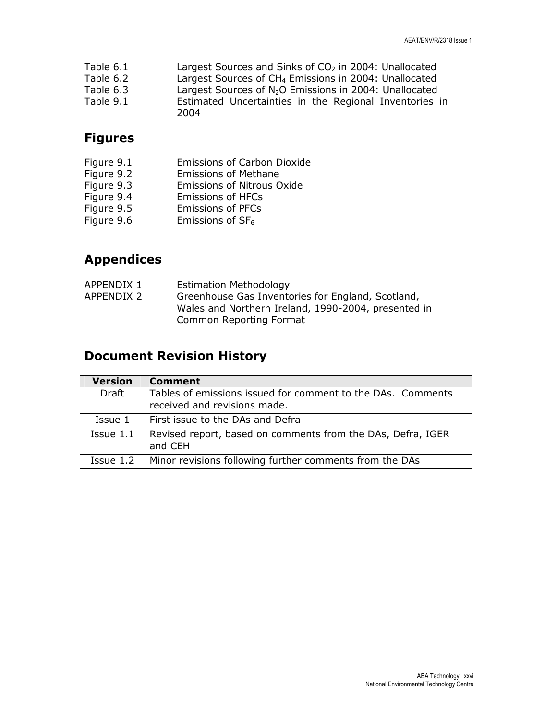| Table 6.1 | Largest Sources and Sinks of $CO2$ in 2004: Unallocated            |
|-----------|--------------------------------------------------------------------|
| Table 6.2 | Largest Sources of CH <sub>4</sub> Emissions in 2004: Unallocated  |
| Table 6.3 | Largest Sources of N <sub>2</sub> O Emissions in 2004: Unallocated |
| Table 9.1 | Estimated Uncertainties in the Regional Inventories in<br>2004     |

## Figures

| Figure 9.1 | <b>Emissions of Carbon Dioxide</b> |
|------------|------------------------------------|
| Figure 9.2 | <b>Emissions of Methane</b>        |
| Figure 9.3 | <b>Emissions of Nitrous Oxide</b>  |
| Figure 9.4 | <b>Emissions of HFCs</b>           |
| Figure 9.5 | <b>Emissions of PFCs</b>           |
| Figure 9.6 | Emissions of $SF6$                 |

## Appendices

| APPENDIX 1 | <b>Estimation Methodology</b>                       |
|------------|-----------------------------------------------------|
| APPENDIX 2 | Greenhouse Gas Inventories for England, Scotland,   |
|            | Wales and Northern Ireland, 1990-2004, presented in |
|            | Common Reporting Format                             |

## Document Revision History

| <b>Version</b> | Comment                                                                                     |
|----------------|---------------------------------------------------------------------------------------------|
| Draft          | Tables of emissions issued for comment to the DAs. Comments<br>received and revisions made. |
| Issue 1        | First issue to the DAs and Defra                                                            |
| Issue 1.1      | Revised report, based on comments from the DAs, Defra, IGER<br>and CEH                      |
| Issue 1.2      | Minor revisions following further comments from the DAs                                     |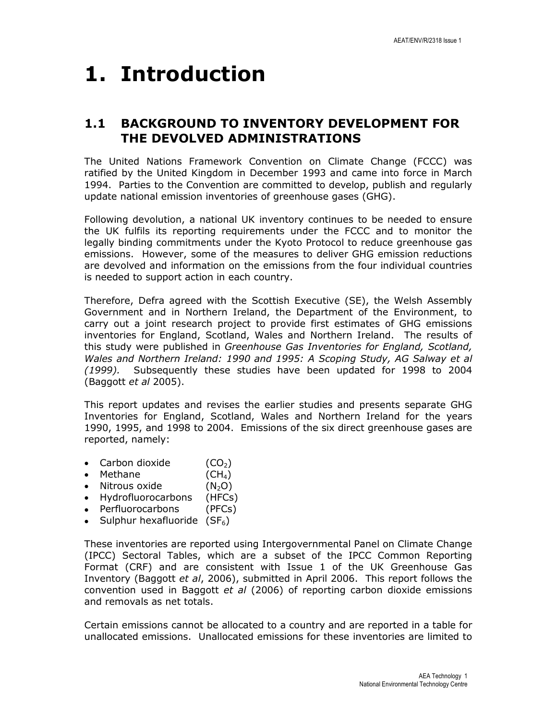# 1. Introduction

### 1.1 BACKGROUND TO INVENTORY DEVELOPMENT FOR THE DEVOLVED ADMINISTRATIONS

The United Nations Framework Convention on Climate Change (FCCC) was ratified by the United Kingdom in December 1993 and came into force in March 1994. Parties to the Convention are committed to develop, publish and regularly update national emission inventories of greenhouse gases (GHG).

Following devolution, a national UK inventory continues to be needed to ensure the UK fulfils its reporting requirements under the FCCC and to monitor the legally binding commitments under the Kyoto Protocol to reduce greenhouse gas emissions. However, some of the measures to deliver GHG emission reductions are devolved and information on the emissions from the four individual countries is needed to support action in each country.

Therefore, Defra agreed with the Scottish Executive (SE), the Welsh Assembly Government and in Northern Ireland, the Department of the Environment, to carry out a joint research project to provide first estimates of GHG emissions inventories for England, Scotland, Wales and Northern Ireland. The results of this study were published in Greenhouse Gas Inventories for England, Scotland, Wales and Northern Ireland: 1990 and 1995: A Scoping Study, AG Salway et al (1999). Subsequently these studies have been updated for 1998 to 2004 (Baggott et al 2005).

This report updates and revises the earlier studies and presents separate GHG Inventories for England, Scotland, Wales and Northern Ireland for the years 1990, 1995, and 1998 to 2004. Emissions of the six direct greenhouse gases are reported, namely:

- Carbon dioxide  $(CO_2)$
- Methane  $(CH_4)$
- Nitrous oxide  $(N_2O)$
- Hydrofluorocarbons (HFCs)
- Perfluorocarbons (PFCs)
- Sulphur hexafluoride  $(SF_6)$

These inventories are reported using Intergovernmental Panel on Climate Change (IPCC) Sectoral Tables, which are a subset of the IPCC Common Reporting Format (CRF) and are consistent with Issue 1 of the UK Greenhouse Gas Inventory (Baggott et al, 2006), submitted in April 2006. This report follows the convention used in Baggott et al (2006) of reporting carbon dioxide emissions and removals as net totals.

Certain emissions cannot be allocated to a country and are reported in a table for unallocated emissions. Unallocated emissions for these inventories are limited to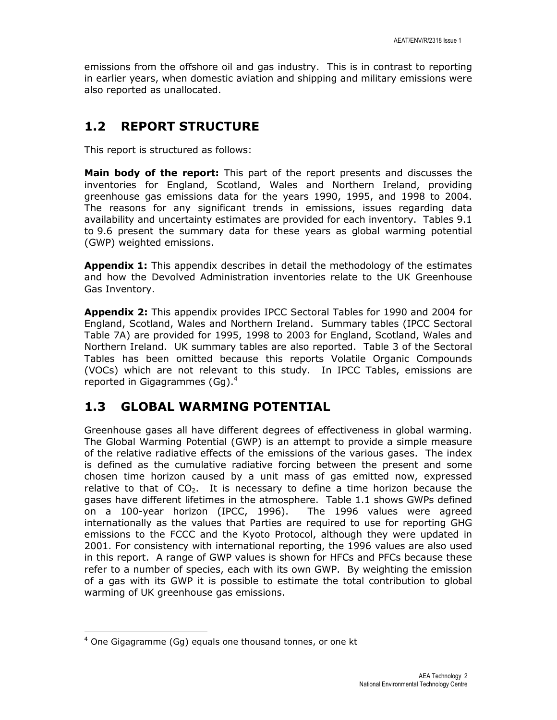emissions from the offshore oil and gas industry. This is in contrast to reporting in earlier years, when domestic aviation and shipping and military emissions were also reported as unallocated.

### 1.2 REPORT STRUCTURE

This report is structured as follows:

**Main body of the report:** This part of the report presents and discusses the inventories for England, Scotland, Wales and Northern Ireland, providing greenhouse gas emissions data for the years 1990, 1995, and 1998 to 2004. The reasons for any significant trends in emissions, issues regarding data availability and uncertainty estimates are provided for each inventory. Tables 9.1 to 9.6 present the summary data for these years as global warming potential (GWP) weighted emissions.

**Appendix 1:** This appendix describes in detail the methodology of the estimates and how the Devolved Administration inventories relate to the UK Greenhouse Gas Inventory.

Appendix 2: This appendix provides IPCC Sectoral Tables for 1990 and 2004 for England, Scotland, Wales and Northern Ireland. Summary tables (IPCC Sectoral Table 7A) are provided for 1995, 1998 to 2003 for England, Scotland, Wales and Northern Ireland. UK summary tables are also reported. Table 3 of the Sectoral Tables has been omitted because this reports Volatile Organic Compounds (VOCs) which are not relevant to this study. In IPCC Tables, emissions are reported in Gigagrammes (Gg).<sup>4</sup>

### 1.3 GLOBAL WARMING POTENTIAL

Greenhouse gases all have different degrees of effectiveness in global warming. The Global Warming Potential (GWP) is an attempt to provide a simple measure of the relative radiative effects of the emissions of the various gases. The index is defined as the cumulative radiative forcing between the present and some chosen time horizon caused by a unit mass of gas emitted now, expressed relative to that of  $CO<sub>2</sub>$ . It is necessary to define a time horizon because the gases have different lifetimes in the atmosphere. Table 1.1 shows GWPs defined on a 100-year horizon (IPCC, 1996). The 1996 values were agreed internationally as the values that Parties are required to use for reporting GHG emissions to the FCCC and the Kyoto Protocol, although they were updated in 2001. For consistency with international reporting, the 1996 values are also used in this report. A range of GWP values is shown for HFCs and PFCs because these refer to a number of species, each with its own GWP. By weighting the emission of a gas with its GWP it is possible to estimate the total contribution to global warming of UK greenhouse gas emissions.

l

<sup>&</sup>lt;sup>4</sup> One Gigagramme (Gg) equals one thousand tonnes, or one kt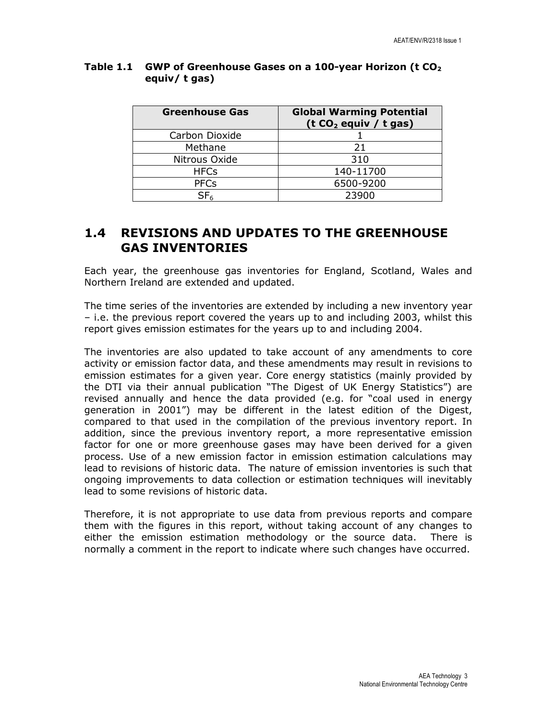| <b>Greenhouse Gas</b> | <b>Global Warming Potential</b><br>(t $CO2$ equiv / t gas) |
|-----------------------|------------------------------------------------------------|
| Carbon Dioxide        |                                                            |
| Methane               | 21                                                         |
| Nitrous Oxide         | 310                                                        |
| <b>HFCs</b>           | 140-11700                                                  |
| <b>PFCs</b>           | 6500-9200                                                  |
| SF <sub>6</sub>       | 23900                                                      |

#### Table 1.1 GWP of Greenhouse Gases on a 100-year Horizon ( $tCO<sub>2</sub>$ equiv/ t gas)

### 1.4 REVISIONS AND UPDATES TO THE GREENHOUSE GAS INVENTORIES

Each year, the greenhouse gas inventories for England, Scotland, Wales and Northern Ireland are extended and updated.

The time series of the inventories are extended by including a new inventory year – i.e. the previous report covered the years up to and including 2003, whilst this report gives emission estimates for the years up to and including 2004.

The inventories are also updated to take account of any amendments to core activity or emission factor data, and these amendments may result in revisions to emission estimates for a given year. Core energy statistics (mainly provided by the DTI via their annual publication "The Digest of UK Energy Statistics") are revised annually and hence the data provided (e.g. for "coal used in energy generation in 2001") may be different in the latest edition of the Digest, compared to that used in the compilation of the previous inventory report. In addition, since the previous inventory report, a more representative emission factor for one or more greenhouse gases may have been derived for a given process. Use of a new emission factor in emission estimation calculations may lead to revisions of historic data. The nature of emission inventories is such that ongoing improvements to data collection or estimation techniques will inevitably lead to some revisions of historic data.

Therefore, it is not appropriate to use data from previous reports and compare them with the figures in this report, without taking account of any changes to either the emission estimation methodology or the source data. There is normally a comment in the report to indicate where such changes have occurred.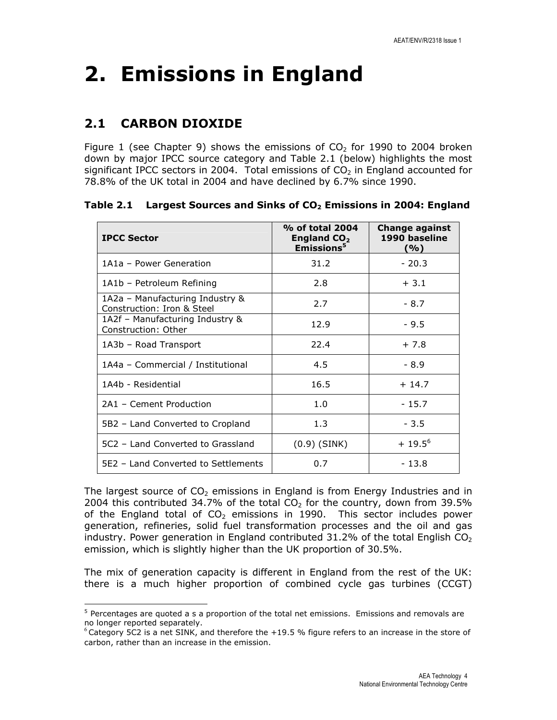# 2. Emissions in England

## 2.1 CARBON DIOXIDE

l

Figure 1 (see Chapter 9) shows the emissions of  $CO<sub>2</sub>$  for 1990 to 2004 broken down by major IPCC source category and Table 2.1 (below) highlights the most significant IPCC sectors in 2004. Total emissions of  $CO<sub>2</sub>$  in England accounted for 78.8% of the UK total in 2004 and have declined by 6.7% since 1990.

Table 2.1 Largest Sources and Sinks of  $CO<sub>2</sub>$  Emissions in 2004: England

| <b>IPCC Sector</b>                                            | % of total 2004<br>England $CO2$<br>Emissions <sup>5</sup> | <b>Change against</b><br>1990 baseline<br>(%) |
|---------------------------------------------------------------|------------------------------------------------------------|-----------------------------------------------|
| 1A1a - Power Generation                                       | 31.2                                                       | $-20.3$                                       |
| 1A1b - Petroleum Refining                                     | 2.8                                                        | $+3.1$                                        |
| 1A2a – Manufacturing Industry &<br>Construction: Iron & Steel | 2.7                                                        | $-8.7$                                        |
| 1A2f – Manufacturing Industry &<br>Construction: Other        | 12.9                                                       | $-9.5$                                        |
| 1A3b - Road Transport                                         | 22.4                                                       | $+7.8$                                        |
| 1A4a - Commercial / Institutional                             | 4.5                                                        | $-8.9$                                        |
| 1A4b - Residential                                            | 16.5                                                       | $+14.7$                                       |
| 2A1 - Cement Production                                       | 1.0                                                        | $-15.7$                                       |
| 5B2 – Land Converted to Cropland                              | 1.3                                                        | $-3.5$                                        |
| 5C2 - Land Converted to Grassland                             | $(0.9)$ (SINK)                                             | $+19.5^{6}$                                   |
| 5E2 - Land Converted to Settlements                           | 0.7                                                        | $-13.8$                                       |

The largest source of  $CO<sub>2</sub>$  emissions in England is from Energy Industries and in 2004 this contributed 34.7% of the total  $CO<sub>2</sub>$  for the country, down from 39.5% of the England total of  $CO<sub>2</sub>$  emissions in 1990. This sector includes power generation, refineries, solid fuel transformation processes and the oil and gas industry. Power generation in England contributed  $31.2\%$  of the total English CO<sub>2</sub> emission, which is slightly higher than the UK proportion of 30.5%.

The mix of generation capacity is different in England from the rest of the UK: there is a much higher proportion of combined cycle gas turbines (CCGT)

<sup>&</sup>lt;sup>5</sup> Percentages are quoted a s a proportion of the total net emissions. Emissions and removals are no longer reported separately.

 $6$ Category 5C2 is a net SINK, and therefore the +19.5 % figure refers to an increase in the store of carbon, rather than an increase in the emission.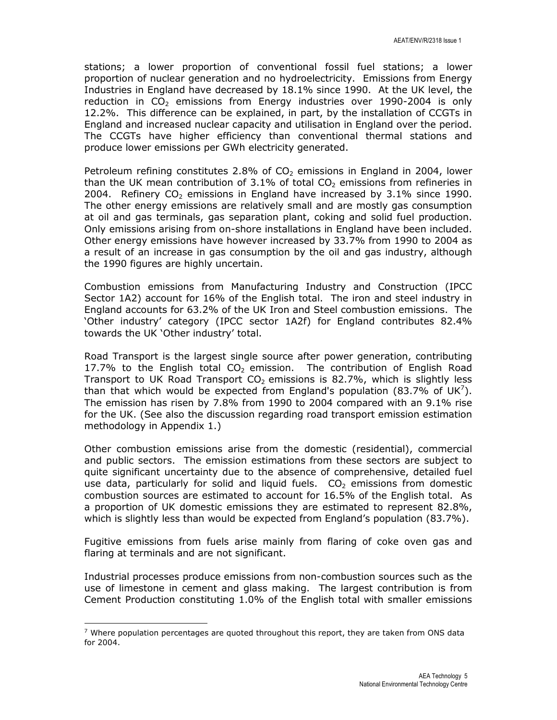stations; a lower proportion of conventional fossil fuel stations; a lower proportion of nuclear generation and no hydroelectricity. Emissions from Energy Industries in England have decreased by 18.1% since 1990. At the UK level, the reduction in  $CO<sub>2</sub>$  emissions from Energy industries over 1990-2004 is only 12.2%. This difference can be explained, in part, by the installation of CCGTs in England and increased nuclear capacity and utilisation in England over the period. The CCGTs have higher efficiency than conventional thermal stations and produce lower emissions per GWh electricity generated.

Petroleum refining constitutes 2.8% of  $CO<sub>2</sub>$  emissions in England in 2004, lower than the UK mean contribution of  $3.1\%$  of total CO<sub>2</sub> emissions from refineries in 2004. Refinery  $CO<sub>2</sub>$  emissions in England have increased by 3.1% since 1990. The other energy emissions are relatively small and are mostly gas consumption at oil and gas terminals, gas separation plant, coking and solid fuel production. Only emissions arising from on-shore installations in England have been included. Other energy emissions have however increased by 33.7% from 1990 to 2004 as a result of an increase in gas consumption by the oil and gas industry, although the 1990 figures are highly uncertain.

Combustion emissions from Manufacturing Industry and Construction (IPCC Sector 1A2) account for 16% of the English total. The iron and steel industry in England accounts for 63.2% of the UK Iron and Steel combustion emissions. The 'Other industry' category (IPCC sector 1A2f) for England contributes 82.4% towards the UK 'Other industry' total.

Road Transport is the largest single source after power generation, contributing 17.7% to the English total  $CO<sub>2</sub>$  emission. The contribution of English Road Transport to UK Road Transport  $CO<sub>2</sub>$  emissions is 82.7%, which is slightly less than that which would be expected from England's population (83.7% of UK<sup>7</sup>). The emission has risen by 7.8% from 1990 to 2004 compared with an 9.1% rise for the UK. (See also the discussion regarding road transport emission estimation methodology in Appendix 1.)

Other combustion emissions arise from the domestic (residential), commercial and public sectors. The emission estimations from these sectors are subject to quite significant uncertainty due to the absence of comprehensive, detailed fuel use data, particularly for solid and liquid fuels.  $CO<sub>2</sub>$  emissions from domestic combustion sources are estimated to account for 16.5% of the English total. As a proportion of UK domestic emissions they are estimated to represent 82.8%, which is slightly less than would be expected from England's population (83.7%).

Fugitive emissions from fuels arise mainly from flaring of coke oven gas and flaring at terminals and are not significant.

Industrial processes produce emissions from non-combustion sources such as the use of limestone in cement and glass making. The largest contribution is from Cement Production constituting 1.0% of the English total with smaller emissions

l

 $7$  Where population percentages are quoted throughout this report, they are taken from ONS data for 2004.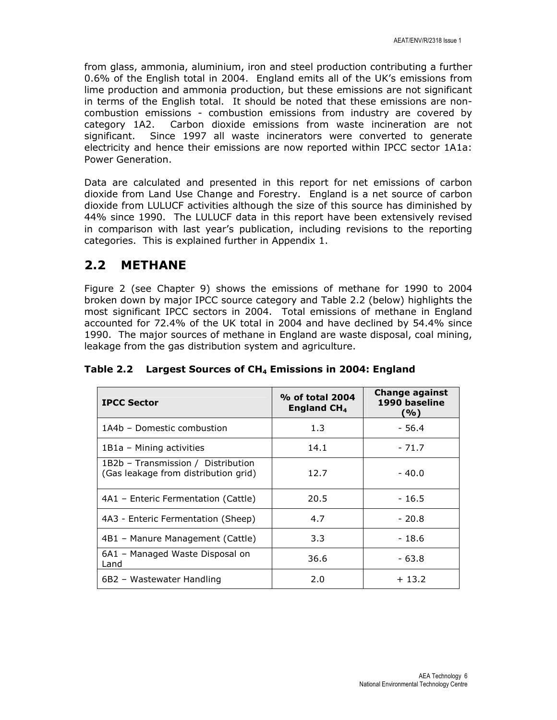from glass, ammonia, aluminium, iron and steel production contributing a further 0.6% of the English total in 2004. England emits all of the UK's emissions from lime production and ammonia production, but these emissions are not significant in terms of the English total. It should be noted that these emissions are noncombustion emissions - combustion emissions from industry are covered by category 1A2. Carbon dioxide emissions from waste incineration are not significant. Since 1997 all waste incinerators were converted to generate electricity and hence their emissions are now reported within IPCC sector 1A1a: Power Generation.

Data are calculated and presented in this report for net emissions of carbon dioxide from Land Use Change and Forestry. England is a net source of carbon dioxide from LULUCF activities although the size of this source has diminished by 44% since 1990. The LULUCF data in this report have been extensively revised in comparison with last year's publication, including revisions to the reporting categories. This is explained further in Appendix 1.

### 2.2 METHANE

Figure 2 (see Chapter 9) shows the emissions of methane for 1990 to 2004 broken down by major IPCC source category and Table 2.2 (below) highlights the most significant IPCC sectors in 2004. Total emissions of methane in England accounted for 72.4% of the UK total in 2004 and have declined by 54.4% since 1990. The major sources of methane in England are waste disposal, coal mining, leakage from the gas distribution system and agriculture.

| <b>IPCC Sector</b>                                                         | % of total 2004<br>England $CH4$ | Change against<br>1990 baseline<br>(%) |
|----------------------------------------------------------------------------|----------------------------------|----------------------------------------|
| 1A4b - Domestic combustion                                                 | 1.3                              | - 56.4                                 |
| 1B1a - Mining activities                                                   | 14.1                             | $-71.7$                                |
| 1B2b – Transmission / Distribution<br>(Gas leakage from distribution grid) | 12.7                             | - 40.0                                 |
| 4A1 – Enteric Fermentation (Cattle)                                        | 20.5                             | $-16.5$                                |
| 4A3 - Enteric Fermentation (Sheep)                                         | 4.7                              | $-20.8$                                |
| 4B1 - Manure Management (Cattle)                                           | 3.3                              | $-18.6$                                |
| 6A1 – Managed Waste Disposal on<br>Land                                    | 36.6                             | - 63.8                                 |
| 6B2 - Wastewater Handling                                                  | 2.0                              | $+13.2$                                |

Table 2.2 Largest Sources of CH<sub>4</sub> Emissions in 2004: England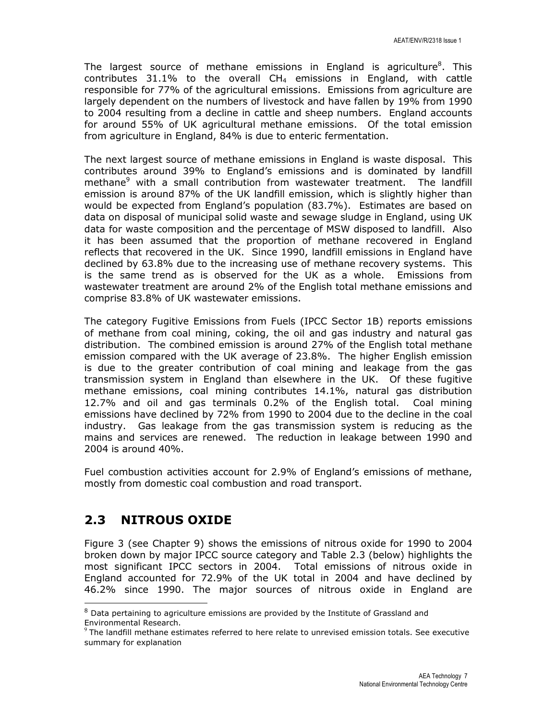The largest source of methane emissions in England is agriculture<sup>8</sup>. This contributes  $31.1\%$  to the overall CH<sub>4</sub> emissions in England, with cattle responsible for 77% of the agricultural emissions. Emissions from agriculture are largely dependent on the numbers of livestock and have fallen by 19% from 1990 to 2004 resulting from a decline in cattle and sheep numbers. England accounts for around 55% of UK agricultural methane emissions. Of the total emission from agriculture in England, 84% is due to enteric fermentation.

The next largest source of methane emissions in England is waste disposal. This contributes around 39% to England's emissions and is dominated by landfill methane<sup>9</sup> with a small contribution from wastewater treatment. The landfill emission is around 87% of the UK landfill emission, which is slightly higher than would be expected from England's population (83.7%). Estimates are based on data on disposal of municipal solid waste and sewage sludge in England, using UK data for waste composition and the percentage of MSW disposed to landfill. Also it has been assumed that the proportion of methane recovered in England reflects that recovered in the UK. Since 1990, landfill emissions in England have declined by 63.8% due to the increasing use of methane recovery systems. This is the same trend as is observed for the UK as a whole. Emissions from wastewater treatment are around 2% of the English total methane emissions and comprise 83.8% of UK wastewater emissions.

The category Fugitive Emissions from Fuels (IPCC Sector 1B) reports emissions of methane from coal mining, coking, the oil and gas industry and natural gas distribution. The combined emission is around 27% of the English total methane emission compared with the UK average of 23.8%. The higher English emission is due to the greater contribution of coal mining and leakage from the gas transmission system in England than elsewhere in the UK. Of these fugitive methane emissions, coal mining contributes 14.1%, natural gas distribution 12.7% and oil and gas terminals 0.2% of the English total. Coal mining emissions have declined by 72% from 1990 to 2004 due to the decline in the coal industry. Gas leakage from the gas transmission system is reducing as the mains and services are renewed. The reduction in leakage between 1990 and 2004 is around 40%.

Fuel combustion activities account for 2.9% of England's emissions of methane, mostly from domestic coal combustion and road transport.

### 2.3 NITROUS OXIDE

Figure 3 (see Chapter 9) shows the emissions of nitrous oxide for 1990 to 2004 broken down by major IPCC source category and Table 2.3 (below) highlights the most significant IPCC sectors in 2004. Total emissions of nitrous oxide in England accounted for 72.9% of the UK total in 2004 and have declined by 46.2% since 1990. The major sources of nitrous oxide in England are l

 $8$  Data pertaining to agriculture emissions are provided by the Institute of Grassland and Environmental Research.

 $9$  The landfill methane estimates referred to here relate to unrevised emission totals. See executive summary for explanation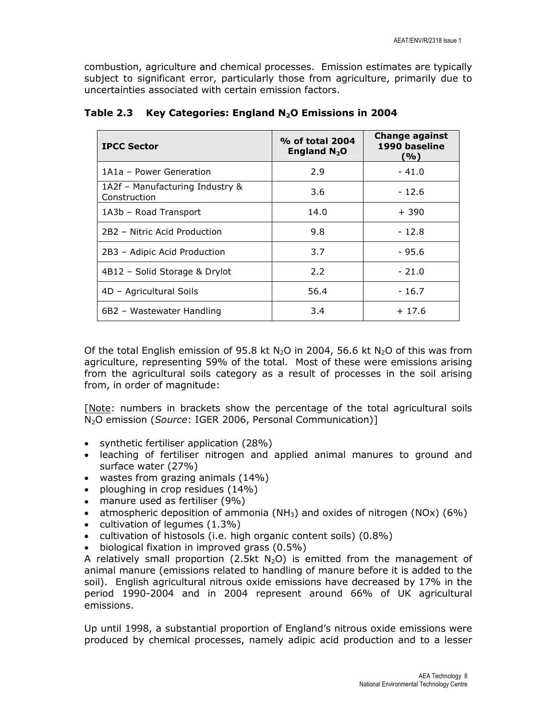combustion, agriculture and chemical processes. Emission estimates are typically subject to significant error, particularly those from agriculture, primarily due to uncertainties associated with certain emission factors.

| <b>IPCC Sector</b>                              | % of total 2004<br>England $N_2O$ | <b>Change against</b><br>1990 baseline<br>(%) |
|-------------------------------------------------|-----------------------------------|-----------------------------------------------|
| 1A1a - Power Generation                         | 2.9                               | $-41.0$                                       |
| 1A2f - Manufacturing Industry &<br>Construction | 3.6                               | $-12.6$                                       |
| 1A3b - Road Transport                           | 14.0                              | $+390$                                        |
| 2B2 - Nitric Acid Production                    | 9.8                               | $-12.8$                                       |
| 2B3 - Adipic Acid Production                    | 3.7                               | - 95.6                                        |
| 4B12 - Solid Storage & Drylot                   | 2.2                               | $-21.0$                                       |
| 4D - Agricultural Soils                         | 56.4                              | $-16.7$                                       |
| 6B2 - Wastewater Handling                       | 3.4                               | $+17.6$                                       |

Table 2.3 Key Categories: England  $N_2$ O Emissions in 2004

Of the total English emission of 95.8 kt N<sub>2</sub>O in 2004, 56.6 kt N<sub>2</sub>O of this was from agriculture, representing 59% of the total. Most of these were emissions arising from the agricultural soils category as a result of processes in the soil arising from, in order of magnitude:

[Note: numbers in brackets show the percentage of the total agricultural soils N2O emission (Source: IGER 2006, Personal Communication)]

- synthetic fertiliser application (28%)
- leaching of fertiliser nitrogen and applied animal manures to ground and surface water (27%)
- wastes from grazing animals (14%)
- ploughing in crop residues (14%)
- manure used as fertiliser (9%)
- atmospheric deposition of ammonia ( $NH<sub>3</sub>$ ) and oxides of nitrogen (NOx) (6%)
- cultivation of legumes (1.3%)
- cultivation of histosols (i.e. high organic content soils) (0.8%)
- biological fixation in improved grass (0.5%)

A relatively small proportion (2.5kt N<sub>2</sub>O) is emitted from the management of animal manure (emissions related to handling of manure before it is added to the soil). English agricultural nitrous oxide emissions have decreased by 17% in the period 1990-2004 and in 2004 represent around 66% of UK agricultural emissions.

Up until 1998, a substantial proportion of England's nitrous oxide emissions were produced by chemical processes, namely adipic acid production and to a lesser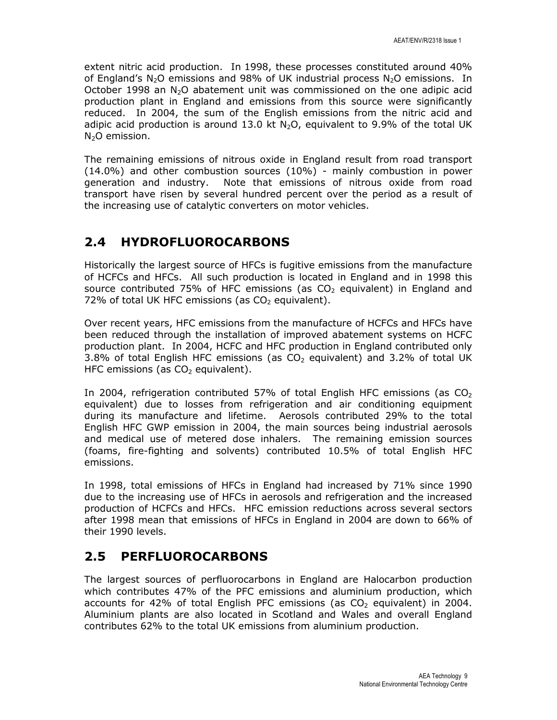extent nitric acid production. In 1998, these processes constituted around 40% of England's  $N_2O$  emissions and 98% of UK industrial process  $N_2O$  emissions. In October 1998 an  $N_2O$  abatement unit was commissioned on the one adipic acid production plant in England and emissions from this source were significantly reduced. In 2004, the sum of the English emissions from the nitric acid and adipic acid production is around 13.0 kt  $N_2O$ , equivalent to 9.9% of the total UK N<sub>2</sub>O emission.

The remaining emissions of nitrous oxide in England result from road transport (14.0%) and other combustion sources (10%) - mainly combustion in power generation and industry. Note that emissions of nitrous oxide from road transport have risen by several hundred percent over the period as a result of the increasing use of catalytic converters on motor vehicles.

## 2.4 HYDROFLUOROCARBONS

Historically the largest source of HFCs is fugitive emissions from the manufacture of HCFCs and HFCs. All such production is located in England and in 1998 this source contributed 75% of HFC emissions (as  $CO<sub>2</sub>$  equivalent) in England and 72% of total UK HFC emissions (as  $CO<sub>2</sub>$  equivalent).

Over recent years, HFC emissions from the manufacture of HCFCs and HFCs have been reduced through the installation of improved abatement systems on HCFC production plant. In 2004, HCFC and HFC production in England contributed only 3.8% of total English HFC emissions (as  $CO<sub>2</sub>$  equivalent) and 3.2% of total UK HFC emissions (as  $CO<sub>2</sub>$  equivalent).

In 2004, refrigeration contributed 57% of total English HFC emissions (as  $CO<sub>2</sub>$ equivalent) due to losses from refrigeration and air conditioning equipment during its manufacture and lifetime. Aerosols contributed 29% to the total English HFC GWP emission in 2004, the main sources being industrial aerosols and medical use of metered dose inhalers. The remaining emission sources (foams, fire-fighting and solvents) contributed 10.5% of total English HFC emissions.

In 1998, total emissions of HFCs in England had increased by 71% since 1990 due to the increasing use of HFCs in aerosols and refrigeration and the increased production of HCFCs and HFCs. HFC emission reductions across several sectors after 1998 mean that emissions of HFCs in England in 2004 are down to 66% of their 1990 levels.

## 2.5 PERFLUOROCARBONS

The largest sources of perfluorocarbons in England are Halocarbon production which contributes 47% of the PFC emissions and aluminium production, which accounts for 42% of total English PFC emissions (as  $CO<sub>2</sub>$  equivalent) in 2004. Aluminium plants are also located in Scotland and Wales and overall England contributes 62% to the total UK emissions from aluminium production.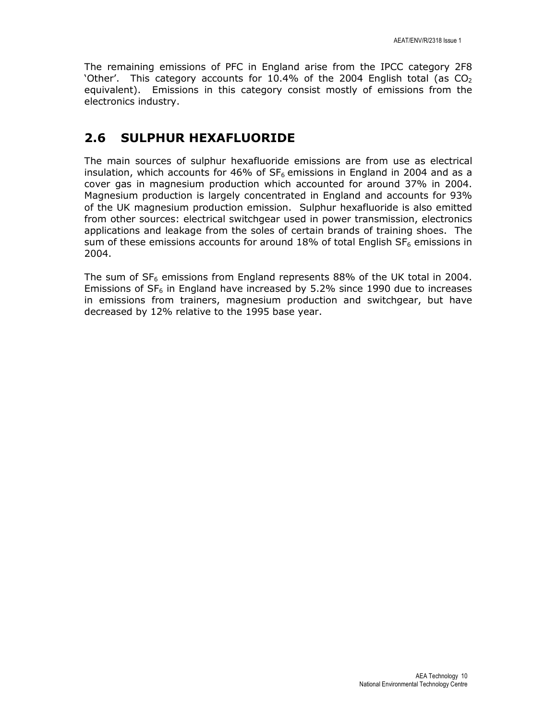The remaining emissions of PFC in England arise from the IPCC category 2F8 'Other'. This category accounts for 10.4% of the 2004 English total (as  $CO<sub>2</sub>$ ) equivalent). Emissions in this category consist mostly of emissions from the electronics industry.

## 2.6 SULPHUR HEXAFLUORIDE

The main sources of sulphur hexafluoride emissions are from use as electrical insulation, which accounts for 46% of  $SF<sub>6</sub>$  emissions in England in 2004 and as a cover gas in magnesium production which accounted for around 37% in 2004. Magnesium production is largely concentrated in England and accounts for 93% of the UK magnesium production emission. Sulphur hexafluoride is also emitted from other sources: electrical switchgear used in power transmission, electronics applications and leakage from the soles of certain brands of training shoes. The sum of these emissions accounts for around 18% of total English  $SF<sub>6</sub>$  emissions in 2004.

The sum of  $SF_6$  emissions from England represents 88% of the UK total in 2004. Emissions of  $SF_6$  in England have increased by 5.2% since 1990 due to increases in emissions from trainers, magnesium production and switchgear, but have decreased by 12% relative to the 1995 base year.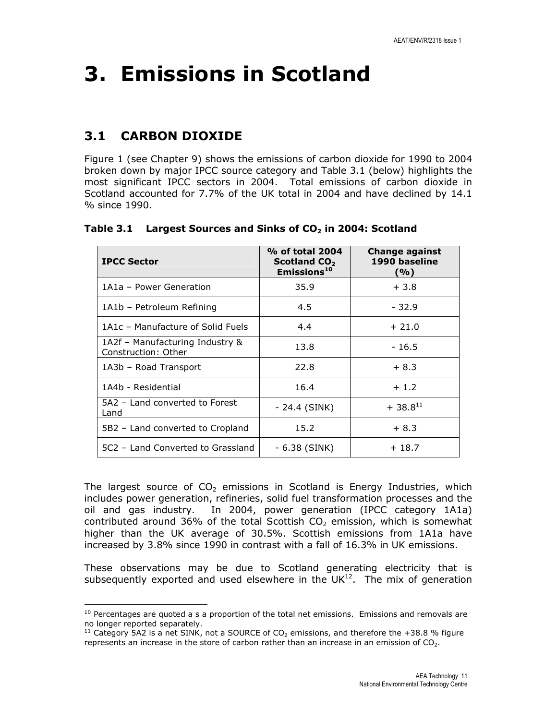# 3. Emissions in Scotland

# 3.1 CARBON DIOXIDE

l

Figure 1 (see Chapter 9) shows the emissions of carbon dioxide for 1990 to 2004 broken down by major IPCC source category and Table 3.1 (below) highlights the most significant IPCC sectors in 2004. Total emissions of carbon dioxide in Scotland accounted for 7.7% of the UK total in 2004 and have declined by 14.1 % since 1990.

| <b>IPCC Sector</b>                                     | % of total 2004<br>Scotland CO <sub>2</sub><br>Emissions <sup>10</sup> | Change against<br>1990 baseline<br>(%) |
|--------------------------------------------------------|------------------------------------------------------------------------|----------------------------------------|
| 1A1a - Power Generation                                | 35.9                                                                   | $+3.8$                                 |
| 1A1b - Petroleum Refining                              | 4.5                                                                    | $-32.9$                                |
| 1A1c - Manufacture of Solid Fuels                      | 4.4                                                                    | $+21.0$                                |
| 1A2f - Manufacturing Industry &<br>Construction: Other | 13.8                                                                   | $-16.5$                                |
| 1A3b - Road Transport                                  | 22.8                                                                   | $+8.3$                                 |
| 1A4b - Residential                                     | 16.4                                                                   | $+1.2$                                 |
| 5A2 - Land converted to Forest<br>Land                 | - 24.4 (SINK)                                                          | $+38.8^{11}$                           |
| 5B2 – Land converted to Cropland                       | 15.2                                                                   | $+8.3$                                 |
| 5C2 - Land Converted to Grassland                      | - 6.38 (SINK)                                                          | $+18.7$                                |

## Table 3.1 Largest Sources and Sinks of  $CO<sub>2</sub>$  in 2004: Scotland

The largest source of  $CO<sub>2</sub>$  emissions in Scotland is Energy Industries, which includes power generation, refineries, solid fuel transformation processes and the oil and gas industry. In 2004, power generation (IPCC category 1A1a) contributed around 36% of the total Scottish  $CO<sub>2</sub>$  emission, which is somewhat higher than the UK average of 30.5%. Scottish emissions from 1A1a have increased by 3.8% since 1990 in contrast with a fall of 16.3% in UK emissions.

These observations may be due to Scotland generating electricity that is subsequently exported and used elsewhere in the  $UK<sup>12</sup>$ . The mix of generation

 $10$  Percentages are quoted a s a proportion of the total net emissions. Emissions and removals are no longer reported separately.

<sup>&</sup>lt;sup>11</sup> Category 5A2 is a net SINK, not a SOURCE of  $CO<sub>2</sub>$  emissions, and therefore the +38.8 % figure represents an increase in the store of carbon rather than an increase in an emission of  $CO<sub>2</sub>$ .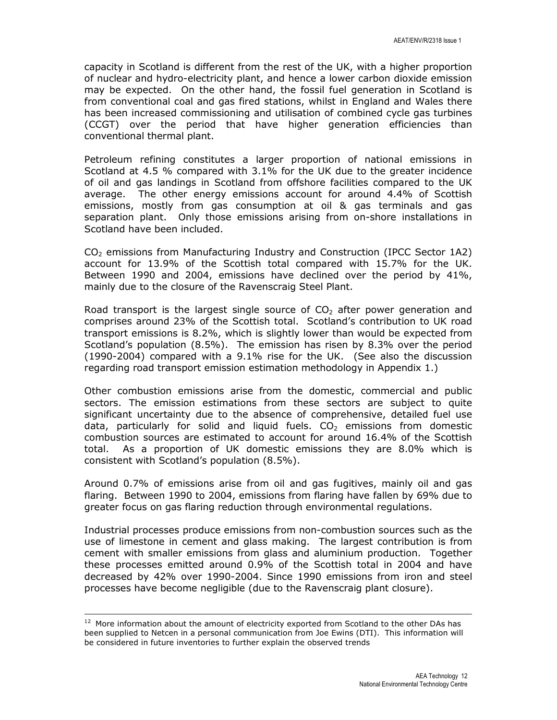capacity in Scotland is different from the rest of the UK, with a higher proportion of nuclear and hydro-electricity plant, and hence a lower carbon dioxide emission may be expected. On the other hand, the fossil fuel generation in Scotland is from conventional coal and gas fired stations, whilst in England and Wales there has been increased commissioning and utilisation of combined cycle gas turbines (CCGT) over the period that have higher generation efficiencies than conventional thermal plant.

Petroleum refining constitutes a larger proportion of national emissions in Scotland at 4.5 % compared with 3.1% for the UK due to the greater incidence of oil and gas landings in Scotland from offshore facilities compared to the UK average. The other energy emissions account for around 4.4% of Scottish emissions, mostly from gas consumption at oil & gas terminals and gas separation plant. Only those emissions arising from on-shore installations in Scotland have been included.

 $CO<sub>2</sub>$  emissions from Manufacturing Industry and Construction (IPCC Sector 1A2) account for 13.9% of the Scottish total compared with 15.7% for the UK. Between 1990 and 2004, emissions have declined over the period by 41%, mainly due to the closure of the Ravenscraig Steel Plant.

Road transport is the largest single source of  $CO<sub>2</sub>$  after power generation and comprises around 23% of the Scottish total. Scotland's contribution to UK road transport emissions is 8.2%, which is slightly lower than would be expected from Scotland's population (8.5%). The emission has risen by 8.3% over the period (1990-2004) compared with a 9.1% rise for the UK. (See also the discussion regarding road transport emission estimation methodology in Appendix 1.)

Other combustion emissions arise from the domestic, commercial and public sectors. The emission estimations from these sectors are subject to quite significant uncertainty due to the absence of comprehensive, detailed fuel use data, particularly for solid and liquid fuels.  $CO<sub>2</sub>$  emissions from domestic combustion sources are estimated to account for around 16.4% of the Scottish total. As a proportion of UK domestic emissions they are 8.0% which is consistent with Scotland's population (8.5%).

Around 0.7% of emissions arise from oil and gas fugitives, mainly oil and gas flaring. Between 1990 to 2004, emissions from flaring have fallen by 69% due to greater focus on gas flaring reduction through environmental regulations.

Industrial processes produce emissions from non-combustion sources such as the use of limestone in cement and glass making. The largest contribution is from cement with smaller emissions from glass and aluminium production. Together these processes emitted around 0.9% of the Scottish total in 2004 and have decreased by 42% over 1990-2004. Since 1990 emissions from iron and steel processes have become negligible (due to the Ravenscraig plant closure).

l

 $12$  More information about the amount of electricity exported from Scotland to the other DAs has been supplied to Netcen in a personal communication from Joe Ewins (DTI). This information will be considered in future inventories to further explain the observed trends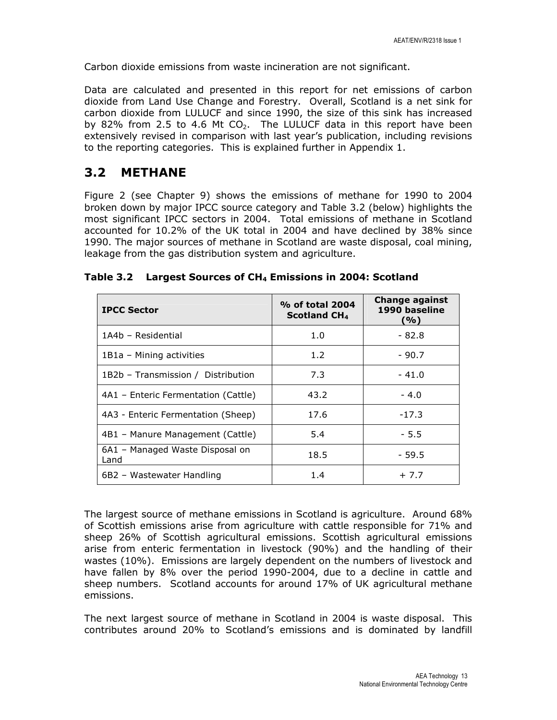Carbon dioxide emissions from waste incineration are not significant.

Data are calculated and presented in this report for net emissions of carbon dioxide from Land Use Change and Forestry. Overall, Scotland is a net sink for carbon dioxide from LULUCF and since 1990, the size of this sink has increased by 82% from 2.5 to 4.6 Mt  $CO<sub>2</sub>$ . The LULUCF data in this report have been extensively revised in comparison with last year's publication, including revisions to the reporting categories. This is explained further in Appendix 1.

## 3.2 METHANE

Figure 2 (see Chapter 9) shows the emissions of methane for 1990 to 2004 broken down by major IPCC source category and Table 3.2 (below) highlights the most significant IPCC sectors in 2004. Total emissions of methane in Scotland accounted for 10.2% of the UK total in 2004 and have declined by 38% since 1990. The major sources of methane in Scotland are waste disposal, coal mining, leakage from the gas distribution system and agriculture.

| <b>IPCC Sector</b>                      | % of total 2004<br><b>Scotland CH<sub>4</sub></b> | <b>Change against</b><br>1990 baseline<br>(%) |
|-----------------------------------------|---------------------------------------------------|-----------------------------------------------|
| 1A4b - Residential                      | 1.0                                               | $-82.8$                                       |
| 1B1a - Mining activities                | 1.2                                               | $-90.7$                                       |
| 1B2b - Transmission / Distribution      | 7.3                                               | $-41.0$                                       |
| 4A1 – Enteric Fermentation (Cattle)     | 43.2                                              | $-4.0$                                        |
| 4A3 - Enteric Fermentation (Sheep)      | 17.6                                              | $-17.3$                                       |
| 4B1 - Manure Management (Cattle)        | 5.4                                               | $-5.5$                                        |
| 6A1 - Managed Waste Disposal on<br>Land | 18.5                                              | $-59.5$                                       |
| 6B2 - Wastewater Handling               | 1.4                                               | $+7.7$                                        |

|  |  | Table 3.2 Largest Sources of CH <sub>4</sub> Emissions in 2004: Scotland |
|--|--|--------------------------------------------------------------------------|
|--|--|--------------------------------------------------------------------------|

The largest source of methane emissions in Scotland is agriculture. Around 68% of Scottish emissions arise from agriculture with cattle responsible for 71% and sheep 26% of Scottish agricultural emissions. Scottish agricultural emissions arise from enteric fermentation in livestock (90%) and the handling of their wastes (10%). Emissions are largely dependent on the numbers of livestock and have fallen by 8% over the period 1990-2004, due to a decline in cattle and sheep numbers. Scotland accounts for around 17% of UK agricultural methane emissions.

The next largest source of methane in Scotland in 2004 is waste disposal. This contributes around 20% to Scotland's emissions and is dominated by landfill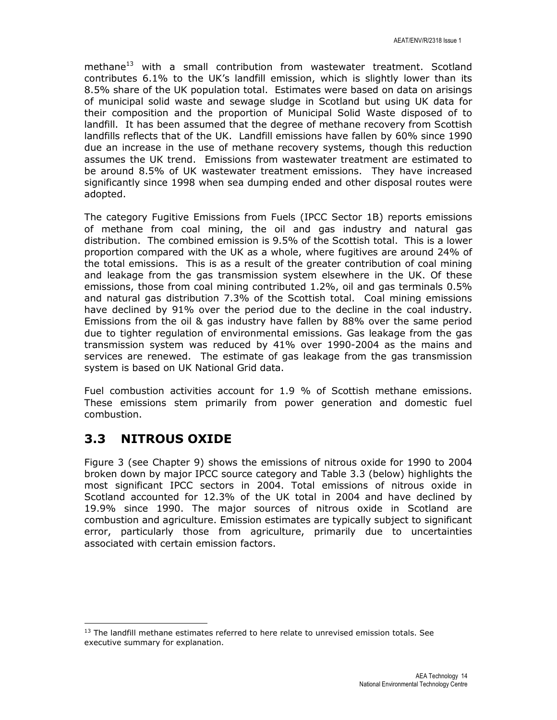methane<sup>13</sup> with a small contribution from wastewater treatment. Scotland contributes 6.1% to the UK's landfill emission, which is slightly lower than its 8.5% share of the UK population total. Estimates were based on data on arisings of municipal solid waste and sewage sludge in Scotland but using UK data for their composition and the proportion of Municipal Solid Waste disposed of to landfill. It has been assumed that the degree of methane recovery from Scottish landfills reflects that of the UK. Landfill emissions have fallen by 60% since 1990 due an increase in the use of methane recovery systems, though this reduction assumes the UK trend. Emissions from wastewater treatment are estimated to be around 8.5% of UK wastewater treatment emissions. They have increased significantly since 1998 when sea dumping ended and other disposal routes were adopted.

The category Fugitive Emissions from Fuels (IPCC Sector 1B) reports emissions of methane from coal mining, the oil and gas industry and natural gas distribution. The combined emission is 9.5% of the Scottish total. This is a lower proportion compared with the UK as a whole, where fugitives are around 24% of the total emissions. This is as a result of the greater contribution of coal mining and leakage from the gas transmission system elsewhere in the UK. Of these emissions, those from coal mining contributed 1.2%, oil and gas terminals 0.5% and natural gas distribution 7.3% of the Scottish total. Coal mining emissions have declined by 91% over the period due to the decline in the coal industry. Emissions from the oil & gas industry have fallen by 88% over the same period due to tighter regulation of environmental emissions. Gas leakage from the gas transmission system was reduced by 41% over 1990-2004 as the mains and services are renewed. The estimate of gas leakage from the gas transmission system is based on UK National Grid data.

Fuel combustion activities account for 1.9 % of Scottish methane emissions. These emissions stem primarily from power generation and domestic fuel combustion.

## 3.3 NITROUS OXIDE

l

Figure 3 (see Chapter 9) shows the emissions of nitrous oxide for 1990 to 2004 broken down by major IPCC source category and Table 3.3 (below) highlights the most significant IPCC sectors in 2004. Total emissions of nitrous oxide in Scotland accounted for 12.3% of the UK total in 2004 and have declined by 19.9% since 1990. The major sources of nitrous oxide in Scotland are combustion and agriculture. Emission estimates are typically subject to significant error, particularly those from agriculture, primarily due to uncertainties associated with certain emission factors.

 $13$  The landfill methane estimates referred to here relate to unrevised emission totals. See executive summary for explanation.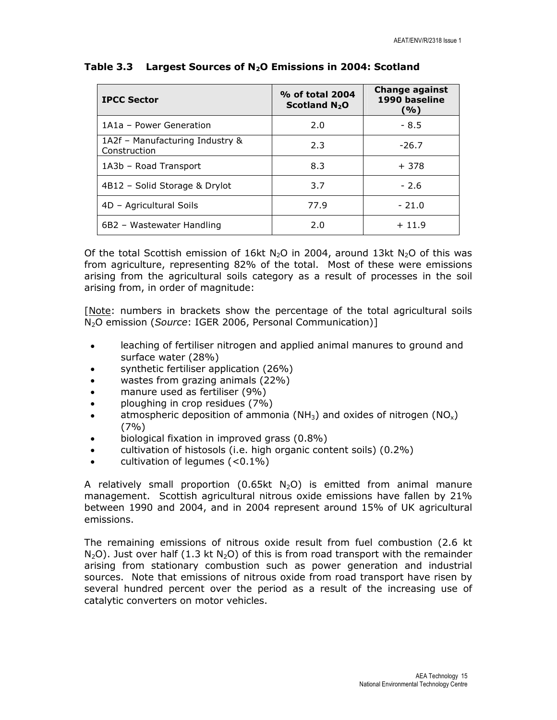| <b>IPCC Sector</b>                              | % of total 2004<br>Scotland $N_2O$ | <b>Change against</b><br>1990 baseline<br>(%) |
|-------------------------------------------------|------------------------------------|-----------------------------------------------|
| 1A1a - Power Generation                         | 2.0                                | $-8.5$                                        |
| 1A2f - Manufacturing Industry &<br>Construction | 2.3                                | $-26.7$                                       |
| 1A3b - Road Transport                           | 8.3                                | $+378$                                        |
| 4B12 - Solid Storage & Drylot                   | 3.7                                | $-2.6$                                        |
| 4D - Agricultural Soils                         | 77.9                               | $-21.0$                                       |
| 6B2 - Wastewater Handling                       | 2.0                                | $+11.9$                                       |

#### Table 3.3 Largest Sources of  $N_2O$  Emissions in 2004: Scotland

Of the total Scottish emission of 16kt N<sub>2</sub>O in 2004, around 13kt N<sub>2</sub>O of this was from agriculture, representing 82% of the total. Most of these were emissions arising from the agricultural soils category as a result of processes in the soil arising from, in order of magnitude:

[Note: numbers in brackets show the percentage of the total agricultural soils N<sub>2</sub>O emission (Source: IGER 2006, Personal Communication)]

- leaching of fertiliser nitrogen and applied animal manures to ground and surface water (28%)
- synthetic fertiliser application (26%)
- wastes from grazing animals (22%)
- manure used as fertiliser (9%)
- ploughing in crop residues (7%)
- atmospheric deposition of ammonia (NH<sub>3</sub>) and oxides of nitrogen (NO<sub>x</sub>) (7%)
- biological fixation in improved grass (0.8%)
- cultivation of histosols (i.e. high organic content soils) (0.2%)
- cultivation of legumes  $(<0.1\%)$

A relatively small proportion (0.65kt  $N_2O$ ) is emitted from animal manure management. Scottish agricultural nitrous oxide emissions have fallen by 21% between 1990 and 2004, and in 2004 represent around 15% of UK agricultural emissions.

The remaining emissions of nitrous oxide result from fuel combustion (2.6 kt  $N_2O$ ). Just over half (1.3 kt  $N_2O$ ) of this is from road transport with the remainder arising from stationary combustion such as power generation and industrial sources. Note that emissions of nitrous oxide from road transport have risen by several hundred percent over the period as a result of the increasing use of catalytic converters on motor vehicles.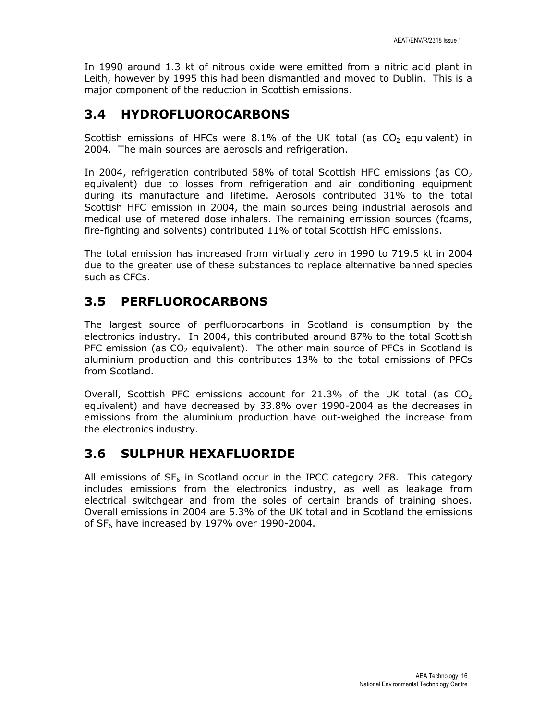In 1990 around 1.3 kt of nitrous oxide were emitted from a nitric acid plant in Leith, however by 1995 this had been dismantled and moved to Dublin. This is a major component of the reduction in Scottish emissions.

## 3.4 HYDROFLUOROCARBONS

Scottish emissions of HFCs were  $8.1\%$  of the UK total (as CO<sub>2</sub> equivalent) in 2004. The main sources are aerosols and refrigeration.

In 2004, refrigeration contributed 58% of total Scottish HFC emissions (as  $CO<sub>2</sub>$ equivalent) due to losses from refrigeration and air conditioning equipment during its manufacture and lifetime. Aerosols contributed 31% to the total Scottish HFC emission in 2004, the main sources being industrial aerosols and medical use of metered dose inhalers. The remaining emission sources (foams, fire-fighting and solvents) contributed 11% of total Scottish HFC emissions.

The total emission has increased from virtually zero in 1990 to 719.5 kt in 2004 due to the greater use of these substances to replace alternative banned species such as CFCs.

# 3.5 PERFLUOROCARBONS

The largest source of perfluorocarbons in Scotland is consumption by the electronics industry. In 2004, this contributed around 87% to the total Scottish PFC emission (as  $CO<sub>2</sub>$  equivalent). The other main source of PFCs in Scotland is aluminium production and this contributes 13% to the total emissions of PFCs from Scotland.

Overall, Scottish PFC emissions account for 21.3% of the UK total (as  $CO<sub>2</sub>$ ) equivalent) and have decreased by 33.8% over 1990-2004 as the decreases in emissions from the aluminium production have out-weighed the increase from the electronics industry.

## 3.6 SULPHUR HEXAFLUORIDE

All emissions of  $SF<sub>6</sub>$  in Scotland occur in the IPCC category 2F8. This category includes emissions from the electronics industry, as well as leakage from electrical switchgear and from the soles of certain brands of training shoes. Overall emissions in 2004 are 5.3% of the UK total and in Scotland the emissions of  $SF<sub>6</sub>$  have increased by 197% over 1990-2004.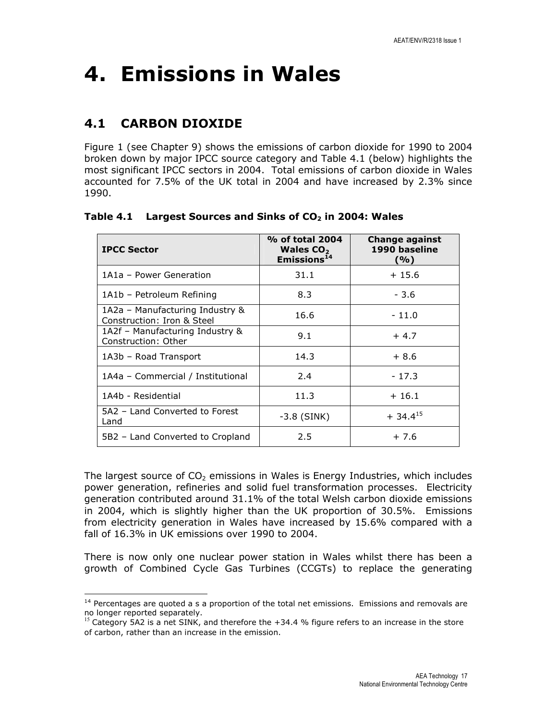# 4. Emissions in Wales

# 4.1 CARBON DIOXIDE

l

Figure 1 (see Chapter 9) shows the emissions of carbon dioxide for 1990 to 2004 broken down by major IPCC source category and Table 4.1 (below) highlights the most significant IPCC sectors in 2004. Total emissions of carbon dioxide in Wales accounted for 7.5% of the UK total in 2004 and have increased by 2.3% since 1990.

| <b>IPCC Sector</b>                                            | % of total 2004<br>Wales $CO2$<br>Emissions <sup>14</sup> | <b>Change against</b><br>1990 baseline<br>(9/0) |
|---------------------------------------------------------------|-----------------------------------------------------------|-------------------------------------------------|
| 1A1a - Power Generation                                       | 31.1                                                      | $+15.6$                                         |
| 1A1b - Petroleum Refining                                     | 8.3                                                       | $-3.6$                                          |
| 1A2a – Manufacturing Industry &<br>Construction: Iron & Steel | 16.6                                                      | $-11.0$                                         |
| 1A2f - Manufacturing Industry &<br>Construction: Other        | 9.1                                                       | $+4.7$                                          |
| 1A3b - Road Transport                                         | 14.3                                                      | $+8.6$                                          |
| 1A4a - Commercial / Institutional                             | 2.4                                                       | $-17.3$                                         |
| 1A4b - Residential                                            | 11.3                                                      | $+16.1$                                         |
| 5A2 - Land Converted to Forest<br>Land                        | $-3.8$ (SINK)                                             | $+34.4^{15}$                                    |
| 5B2 - Land Converted to Cropland                              | 2.5                                                       | $+7.6$                                          |

Table 4.1 Largest Sources and Sinks of  $CO<sub>2</sub>$  in 2004: Wales

The largest source of  $CO<sub>2</sub>$  emissions in Wales is Energy Industries, which includes power generation, refineries and solid fuel transformation processes. Electricity generation contributed around 31.1% of the total Welsh carbon dioxide emissions in 2004, which is slightly higher than the UK proportion of 30.5%. Emissions from electricity generation in Wales have increased by 15.6% compared with a fall of 16.3% in UK emissions over 1990 to 2004.

There is now only one nuclear power station in Wales whilst there has been a growth of Combined Cycle Gas Turbines (CCGTs) to replace the generating

<sup>&</sup>lt;sup>14</sup> Percentages are quoted a s a proportion of the total net emissions. Emissions and removals are no longer reported separately.

Category 5A2 is a net SINK, and therefore the +34.4 % figure refers to an increase in the store of carbon, rather than an increase in the emission.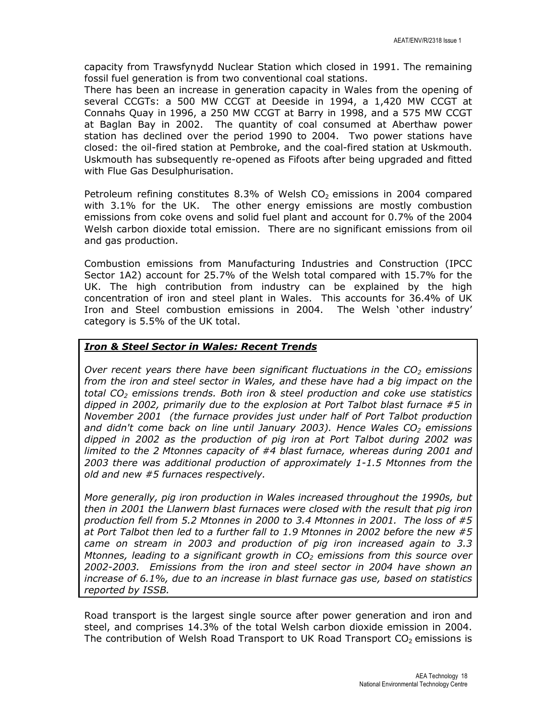capacity from Trawsfynydd Nuclear Station which closed in 1991. The remaining fossil fuel generation is from two conventional coal stations.

There has been an increase in generation capacity in Wales from the opening of several CCGTs: a 500 MW CCGT at Deeside in 1994, a 1,420 MW CCGT at Connahs Quay in 1996, a 250 MW CCGT at Barry in 1998, and a 575 MW CCGT at Baglan Bay in 2002. The quantity of coal consumed at Aberthaw power station has declined over the period 1990 to 2004. Two power stations have closed: the oil-fired station at Pembroke, and the coal-fired station at Uskmouth. Uskmouth has subsequently re-opened as Fifoots after being upgraded and fitted with Flue Gas Desulphurisation.

Petroleum refining constitutes 8.3% of Welsh  $CO<sub>2</sub>$  emissions in 2004 compared with 3.1% for the UK. The other energy emissions are mostly combustion emissions from coke ovens and solid fuel plant and account for 0.7% of the 2004 Welsh carbon dioxide total emission. There are no significant emissions from oil and gas production.

Combustion emissions from Manufacturing Industries and Construction (IPCC Sector 1A2) account for 25.7% of the Welsh total compared with 15.7% for the UK. The high contribution from industry can be explained by the high concentration of iron and steel plant in Wales. This accounts for 36.4% of UK Iron and Steel combustion emissions in 2004. The Welsh 'other industry' category is 5.5% of the UK total.

### **Iron & Steel Sector in Wales: Recent Trends**

Over recent years there have been significant fluctuations in the  $CO<sub>2</sub>$  emissions from the iron and steel sector in Wales, and these have had a big impact on the total  $CO<sub>2</sub>$  emissions trends. Both iron & steel production and coke use statistics dipped in 2002, primarily due to the explosion at Port Talbot blast furnace #5 in November 2001 (the furnace provides just under half of Port Talbot production and didn't come back on line until January 2003). Hence Wales  $CO<sub>2</sub>$  emissions dipped in 2002 as the production of pig iron at Port Talbot during 2002 was limited to the 2 Mtonnes capacity of #4 blast furnace, whereas during 2001 and 2003 there was additional production of approximately 1-1.5 Mtonnes from the old and new #5 furnaces respectively.

More generally, pig iron production in Wales increased throughout the 1990s, but then in 2001 the Llanwern blast furnaces were closed with the result that pig iron production fell from 5.2 Mtonnes in 2000 to 3.4 Mtonnes in 2001. The loss of #5 at Port Talbot then led to a further fall to 1.9 Mtonnes in 2002 before the new #5 came on stream in 2003 and production of pig iron increased again to 3.3 Mtonnes, leading to a significant growth in  $CO<sub>2</sub>$  emissions from this source over 2002-2003. Emissions from the iron and steel sector in 2004 have shown an increase of 6.1%, due to an increase in blast furnace gas use, based on statistics reported by ISSB.

Road transport is the largest single source after power generation and iron and steel, and comprises 14.3% of the total Welsh carbon dioxide emission in 2004. The contribution of Welsh Road Transport to UK Road Transport  $CO<sub>2</sub>$  emissions is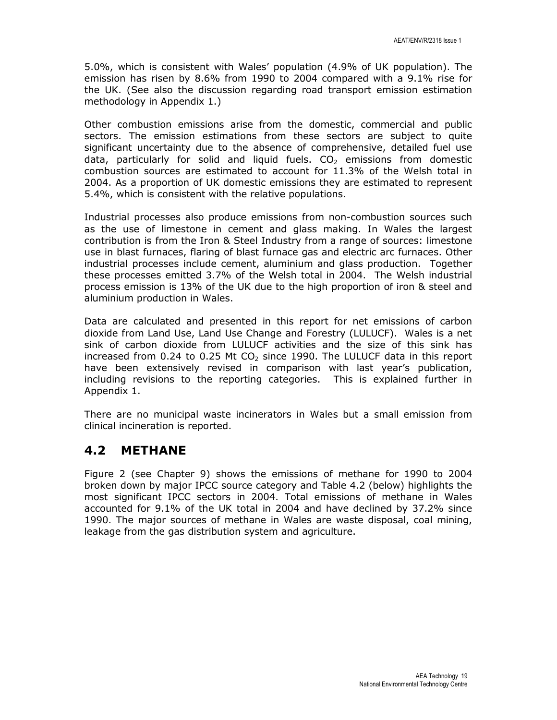5.0%, which is consistent with Wales' population (4.9% of UK population). The emission has risen by 8.6% from 1990 to 2004 compared with a 9.1% rise for the UK. (See also the discussion regarding road transport emission estimation methodology in Appendix 1.)

Other combustion emissions arise from the domestic, commercial and public sectors. The emission estimations from these sectors are subject to quite significant uncertainty due to the absence of comprehensive, detailed fuel use data, particularly for solid and liquid fuels.  $CO<sub>2</sub>$  emissions from domestic combustion sources are estimated to account for 11.3% of the Welsh total in 2004. As a proportion of UK domestic emissions they are estimated to represent 5.4%, which is consistent with the relative populations.

Industrial processes also produce emissions from non-combustion sources such as the use of limestone in cement and glass making. In Wales the largest contribution is from the Iron & Steel Industry from a range of sources: limestone use in blast furnaces, flaring of blast furnace gas and electric arc furnaces. Other industrial processes include cement, aluminium and glass production. Together these processes emitted 3.7% of the Welsh total in 2004. The Welsh industrial process emission is 13% of the UK due to the high proportion of iron & steel and aluminium production in Wales.

Data are calculated and presented in this report for net emissions of carbon dioxide from Land Use, Land Use Change and Forestry (LULUCF). Wales is a net sink of carbon dioxide from LULUCF activities and the size of this sink has increased from 0.24 to 0.25 Mt  $CO<sub>2</sub>$  since 1990. The LULUCF data in this report have been extensively revised in comparison with last year's publication, including revisions to the reporting categories. This is explained further in Appendix 1.

There are no municipal waste incinerators in Wales but a small emission from clinical incineration is reported.

## 4.2 METHANE

Figure 2 (see Chapter 9) shows the emissions of methane for 1990 to 2004 broken down by major IPCC source category and Table 4.2 (below) highlights the most significant IPCC sectors in 2004. Total emissions of methane in Wales accounted for 9.1% of the UK total in 2004 and have declined by 37.2% since 1990. The major sources of methane in Wales are waste disposal, coal mining, leakage from the gas distribution system and agriculture.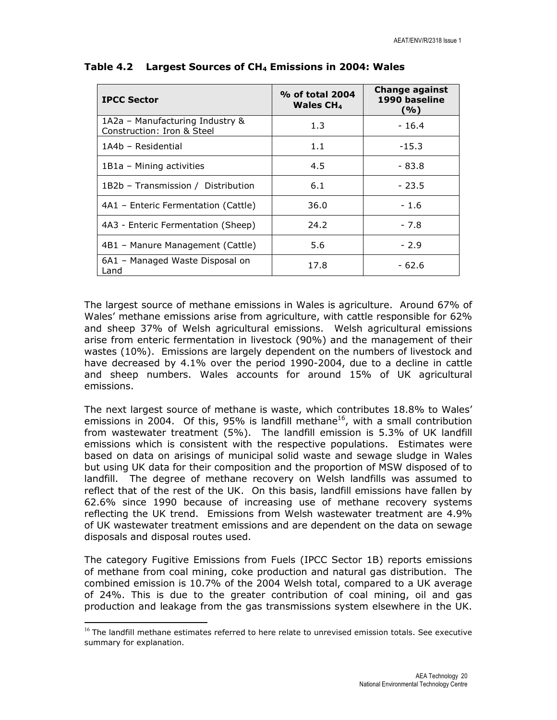| <b>IPCC Sector</b>                                            | % of total 2004<br>Wales $CH4$ | <b>Change against</b><br>1990 baseline<br>( %) |
|---------------------------------------------------------------|--------------------------------|------------------------------------------------|
| 1A2a - Manufacturing Industry &<br>Construction: Iron & Steel | 1.3                            | $-16.4$                                        |
| 1A4b - Residential                                            | 1.1                            | $-15.3$                                        |
| 1B1a - Mining activities                                      | 4.5                            | - 83.8                                         |
| 1B2b - Transmission / Distribution                            | 6.1                            | $-23.5$                                        |
| 4A1 – Enteric Fermentation (Cattle)                           | 36.0                           | $-1.6$                                         |
| 4A3 - Enteric Fermentation (Sheep)                            | 24.2                           | $-7.8$                                         |
| 4B1 - Manure Management (Cattle)                              | 5.6                            | $-2.9$                                         |
| 6A1 - Managed Waste Disposal on<br>Land                       | 17.8                           | $-62.6$                                        |

#### Table 4.2 Largest Sources of  $CH<sub>4</sub>$  Emissions in 2004: Wales

The largest source of methane emissions in Wales is agriculture. Around 67% of Wales' methane emissions arise from agriculture, with cattle responsible for 62% and sheep 37% of Welsh agricultural emissions. Welsh agricultural emissions arise from enteric fermentation in livestock (90%) and the management of their wastes (10%). Emissions are largely dependent on the numbers of livestock and have decreased by 4.1% over the period 1990-2004, due to a decline in cattle and sheep numbers. Wales accounts for around 15% of UK agricultural emissions.

The next largest source of methane is waste, which contributes 18.8% to Wales' emissions in 2004. Of this, 95% is landfill methane<sup>16</sup>, with a small contribution from wastewater treatment (5%). The landfill emission is 5.3% of UK landfill emissions which is consistent with the respective populations. Estimates were based on data on arisings of municipal solid waste and sewage sludge in Wales but using UK data for their composition and the proportion of MSW disposed of to landfill. The degree of methane recovery on Welsh landfills was assumed to reflect that of the rest of the UK. On this basis, landfill emissions have fallen by 62.6% since 1990 because of increasing use of methane recovery systems reflecting the UK trend. Emissions from Welsh wastewater treatment are 4.9% of UK wastewater treatment emissions and are dependent on the data on sewage disposals and disposal routes used.

The category Fugitive Emissions from Fuels (IPCC Sector 1B) reports emissions of methane from coal mining, coke production and natural gas distribution. The combined emission is 10.7% of the 2004 Welsh total, compared to a UK average of 24%. This is due to the greater contribution of coal mining, oil and gas production and leakage from the gas transmissions system elsewhere in the UK.

l

 $16$  The landfill methane estimates referred to here relate to unrevised emission totals. See executive summary for explanation.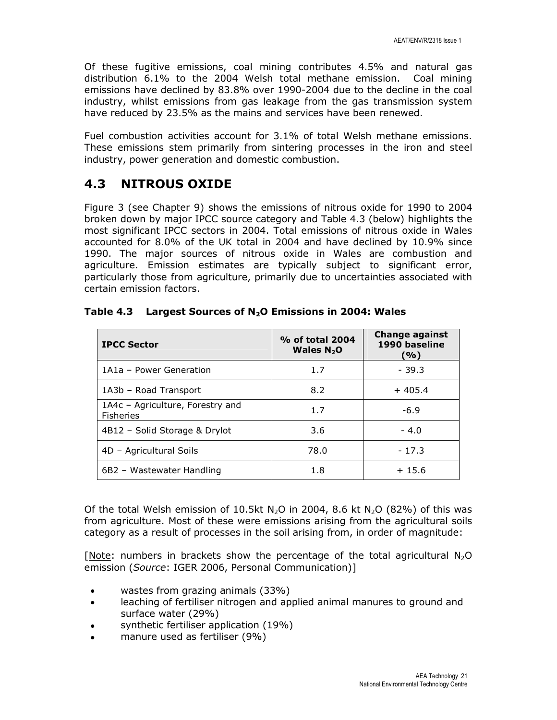Of these fugitive emissions, coal mining contributes 4.5% and natural gas distribution 6.1% to the 2004 Welsh total methane emission. Coal mining emissions have declined by 83.8% over 1990-2004 due to the decline in the coal industry, whilst emissions from gas leakage from the gas transmission system have reduced by 23.5% as the mains and services have been renewed.

Fuel combustion activities account for 3.1% of total Welsh methane emissions. These emissions stem primarily from sintering processes in the iron and steel industry, power generation and domestic combustion.

## 4.3 NITROUS OXIDE

Figure 3 (see Chapter 9) shows the emissions of nitrous oxide for 1990 to 2004 broken down by major IPCC source category and Table 4.3 (below) highlights the most significant IPCC sectors in 2004. Total emissions of nitrous oxide in Wales accounted for 8.0% of the UK total in 2004 and have declined by 10.9% since 1990. The major sources of nitrous oxide in Wales are combustion and agriculture. Emission estimates are typically subject to significant error, particularly those from agriculture, primarily due to uncertainties associated with certain emission factors.

| <b>IPCC Sector</b>                                   | % of total 2004<br>Wales $N_2$ O | <b>Change against</b><br>1990 baseline<br>(%) |
|------------------------------------------------------|----------------------------------|-----------------------------------------------|
| 1A1a - Power Generation                              | 1.7                              | $-39.3$                                       |
| 1A3b - Road Transport                                | 8.2                              | $+405.4$                                      |
| 1A4c - Agriculture, Forestry and<br><b>Fisheries</b> | 1.7                              | $-6.9$                                        |
| 4B12 - Solid Storage & Drylot                        | 3.6                              | $-4.0$                                        |
| 4D - Agricultural Soils                              | 78.0                             | $-17.3$                                       |
| 6B2 - Wastewater Handling                            | 1.8                              | $+15.6$                                       |

Table 4.3 Largest Sources of  $N_2O$  Emissions in 2004: Wales

Of the total Welsh emission of 10.5kt N<sub>2</sub>O in 2004, 8.6 kt N<sub>2</sub>O (82%) of this was from agriculture. Most of these were emissions arising from the agricultural soils category as a result of processes in the soil arising from, in order of magnitude:

[Note: numbers in brackets show the percentage of the total agricultural  $N_2O$ emission (Source: IGER 2006, Personal Communication)]

- wastes from grazing animals (33%)
- leaching of fertiliser nitrogen and applied animal manures to ground and surface water (29%)
- synthetic fertiliser application (19%)
- manure used as fertiliser (9%)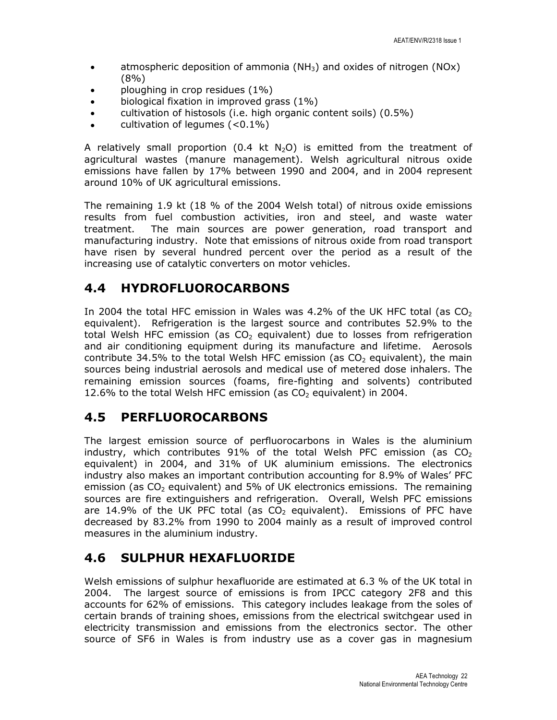- atmospheric deposition of ammonia ( $NH<sub>3</sub>$ ) and oxides of nitrogen ( $NOX$ ) (8%)
- ploughing in crop residues (1%)
- biological fixation in improved grass (1%)
- cultivation of histosols (i.e. high organic content soils) (0.5%)
- cultivation of legumes  $(<0.1\%)$

A relatively small proportion (0.4 kt  $N_2O$ ) is emitted from the treatment of agricultural wastes (manure management). Welsh agricultural nitrous oxide emissions have fallen by 17% between 1990 and 2004, and in 2004 represent around 10% of UK agricultural emissions.

The remaining 1.9 kt (18 % of the 2004 Welsh total) of nitrous oxide emissions results from fuel combustion activities, iron and steel, and waste water treatment. The main sources are power generation, road transport and manufacturing industry. Note that emissions of nitrous oxide from road transport have risen by several hundred percent over the period as a result of the increasing use of catalytic converters on motor vehicles.

## 4.4 HYDROFLUOROCARBONS

In 2004 the total HFC emission in Wales was 4.2% of the UK HFC total (as  $CO<sub>2</sub>$ equivalent). Refrigeration is the largest source and contributes 52.9% to the total Welsh HFC emission (as  $CO<sub>2</sub>$  equivalent) due to losses from refrigeration and air conditioning equipment during its manufacture and lifetime. Aerosols contribute 34.5% to the total Welsh HFC emission (as  $CO<sub>2</sub>$  equivalent), the main sources being industrial aerosols and medical use of metered dose inhalers. The remaining emission sources (foams, fire-fighting and solvents) contributed 12.6% to the total Welsh HFC emission (as  $CO<sub>2</sub>$  equivalent) in 2004.

## 4.5 PERFLUOROCARBONS

The largest emission source of perfluorocarbons in Wales is the aluminium industry, which contributes  $91\%$  of the total Welsh PFC emission (as CO<sub>2</sub>) equivalent) in 2004, and 31% of UK aluminium emissions. The electronics industry also makes an important contribution accounting for 8.9% of Wales' PFC emission (as  $CO<sub>2</sub>$  equivalent) and 5% of UK electronics emissions. The remaining sources are fire extinguishers and refrigeration. Overall, Welsh PFC emissions are 14.9% of the UK PFC total (as  $CO<sub>2</sub>$  equivalent). Emissions of PFC have decreased by 83.2% from 1990 to 2004 mainly as a result of improved control measures in the aluminium industry.

## 4.6 SULPHUR HEXAFLUORIDE

Welsh emissions of sulphur hexafluoride are estimated at 6.3 % of the UK total in 2004. The largest source of emissions is from IPCC category 2F8 and this accounts for 62% of emissions. This category includes leakage from the soles of certain brands of training shoes, emissions from the electrical switchgear used in electricity transmission and emissions from the electronics sector. The other source of SF6 in Wales is from industry use as a cover gas in magnesium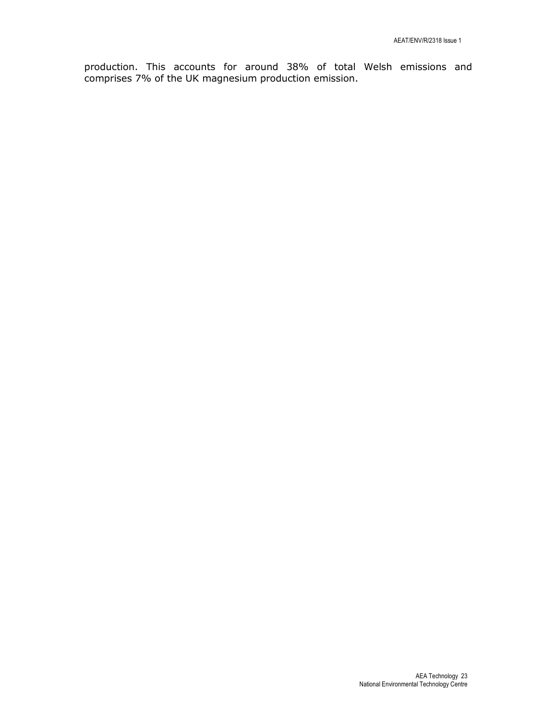production. This accounts for around 38% of total Welsh emissions and comprises 7% of the UK magnesium production emission.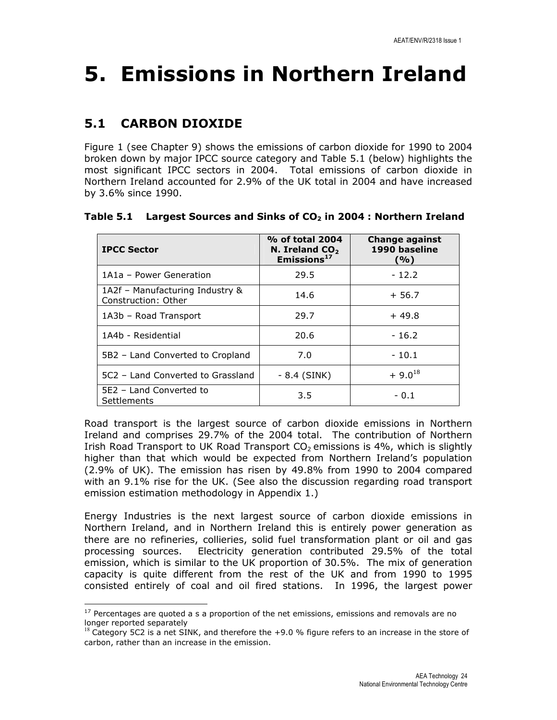# 5. Emissions in Northern Ireland

# 5.1 CARBON DIOXIDE

l

Figure 1 (see Chapter 9) shows the emissions of carbon dioxide for 1990 to 2004 broken down by major IPCC source category and Table 5.1 (below) highlights the most significant IPCC sectors in 2004. Total emissions of carbon dioxide in Northern Ireland accounted for 2.9% of the UK total in 2004 and have increased by 3.6% since 1990.

| <b>IPCC Sector</b>                                     | % of total 2004<br>N. Ireland $CO2$<br>Emissions <sup>17</sup> | <b>Change against</b><br>1990 baseline<br>(%) |
|--------------------------------------------------------|----------------------------------------------------------------|-----------------------------------------------|
| 1A1a - Power Generation                                | 29.5                                                           | $-12.2$                                       |
| 1A2f - Manufacturing Industry &<br>Construction: Other | 14.6                                                           | $+56.7$                                       |
| 1A3b - Road Transport                                  | 29.7                                                           | $+49.8$                                       |
| 1A4b - Residential                                     | 20.6                                                           | $-16.2$                                       |
| 5B2 - Land Converted to Cropland                       | 7.0                                                            | $-10.1$                                       |
| 5C2 - Land Converted to Grassland                      | - 8.4 (SINK)                                                   | $+9.0^{18}$                                   |
| 5E2 - Land Converted to<br>Settlements                 | 3.5                                                            | $-0.1$                                        |

### Table 5.1 Largest Sources and Sinks of  $CO<sub>2</sub>$  in 2004 : Northern Ireland

Road transport is the largest source of carbon dioxide emissions in Northern Ireland and comprises 29.7% of the 2004 total. The contribution of Northern Irish Road Transport to UK Road Transport  $CO<sub>2</sub>$  emissions is 4%, which is slightly higher than that which would be expected from Northern Ireland's population (2.9% of UK). The emission has risen by 49.8% from 1990 to 2004 compared with an 9.1% rise for the UK. (See also the discussion regarding road transport emission estimation methodology in Appendix 1.)

Energy Industries is the next largest source of carbon dioxide emissions in Northern Ireland, and in Northern Ireland this is entirely power generation as there are no refineries, collieries, solid fuel transformation plant or oil and gas processing sources. Electricity generation contributed 29.5% of the total emission, which is similar to the UK proportion of 30.5%. The mix of generation capacity is quite different from the rest of the UK and from 1990 to 1995 consisted entirely of coal and oil fired stations. In 1996, the largest power

 $17$  Percentages are quoted a s a proportion of the net emissions, emissions and removals are no longer reported separately

 $18$  Category 5C2 is a net SINK, and therefore the +9.0 % figure refers to an increase in the store of carbon, rather than an increase in the emission.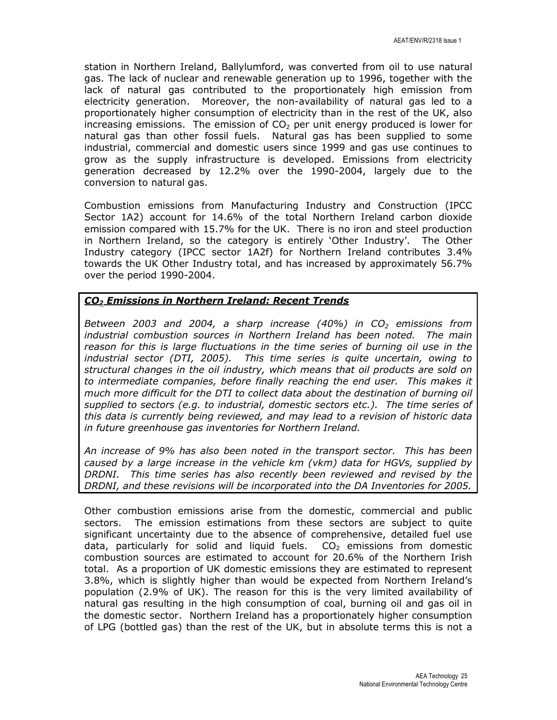station in Northern Ireland, Ballylumford, was converted from oil to use natural gas. The lack of nuclear and renewable generation up to 1996, together with the lack of natural gas contributed to the proportionately high emission from electricity generation. Moreover, the non-availability of natural gas led to a proportionately higher consumption of electricity than in the rest of the UK, also increasing emissions. The emission of  $CO<sub>2</sub>$  per unit energy produced is lower for natural gas than other fossil fuels. Natural gas has been supplied to some industrial, commercial and domestic users since 1999 and gas use continues to grow as the supply infrastructure is developed. Emissions from electricity generation decreased by 12.2% over the 1990-2004, largely due to the conversion to natural gas.

Combustion emissions from Manufacturing Industry and Construction (IPCC Sector 1A2) account for 14.6% of the total Northern Ireland carbon dioxide emission compared with 15.7% for the UK. There is no iron and steel production in Northern Ireland, so the category is entirely 'Other Industry'. The Other Industry category (IPCC sector 1A2f) for Northern Ireland contributes 3.4% towards the UK Other Industry total, and has increased by approximately 56.7% over the period 1990-2004.

### CO<sub>2</sub> Emissions in Northern Ireland: Recent Trends

Between 2003 and 2004, a sharp increase  $(40\%)$  in CO<sub>2</sub> emissions from industrial combustion sources in Northern Ireland has been noted. The main reason for this is large fluctuations in the time series of burning oil use in the industrial sector (DTI, 2005). This time series is quite uncertain, owing to structural changes in the oil industry, which means that oil products are sold on to intermediate companies, before finally reaching the end user. This makes it much more difficult for the DTI to collect data about the destination of burning oil supplied to sectors (e.g. to industrial, domestic sectors etc.). The time series of this data is currently being reviewed, and may lead to a revision of historic data in future greenhouse gas inventories for Northern Ireland.

An increase of 9% has also been noted in the transport sector. This has been caused by a large increase in the vehicle km (vkm) data for HGVs, supplied by DRDNI. This time series has also recently been reviewed and revised by the DRDNI, and these revisions will be incorporated into the DA Inventories for 2005.

Other combustion emissions arise from the domestic, commercial and public sectors. The emission estimations from these sectors are subject to quite significant uncertainty due to the absence of comprehensive, detailed fuel use data, particularly for solid and liquid fuels.  $CO<sub>2</sub>$  emissions from domestic combustion sources are estimated to account for 20.6% of the Northern Irish total. As a proportion of UK domestic emissions they are estimated to represent 3.8%, which is slightly higher than would be expected from Northern Ireland's population (2.9% of UK). The reason for this is the very limited availability of natural gas resulting in the high consumption of coal, burning oil and gas oil in the domestic sector. Northern Ireland has a proportionately higher consumption of LPG (bottled gas) than the rest of the UK, but in absolute terms this is not a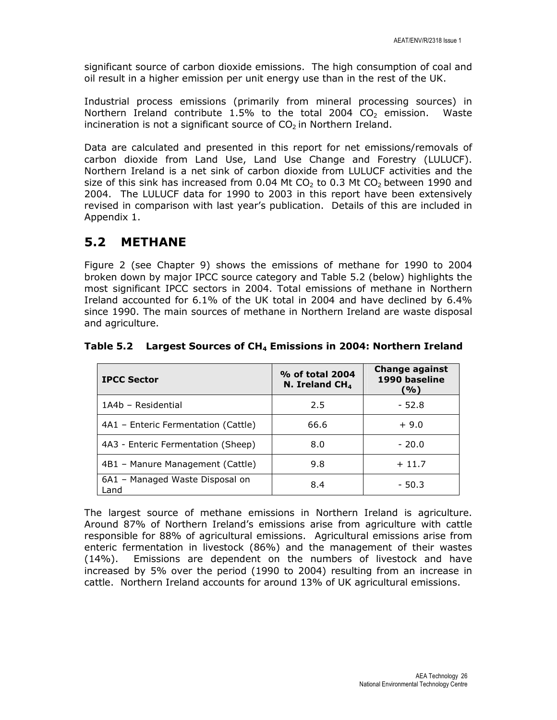significant source of carbon dioxide emissions. The high consumption of coal and oil result in a higher emission per unit energy use than in the rest of the UK.

Industrial process emissions (primarily from mineral processing sources) in Northern Ireland contribute 1.5% to the total 2004  $CO<sub>2</sub>$  emission. Waste incineration is not a significant source of  $CO<sub>2</sub>$  in Northern Ireland.

Data are calculated and presented in this report for net emissions/removals of carbon dioxide from Land Use, Land Use Change and Forestry (LULUCF). Northern Ireland is a net sink of carbon dioxide from LULUCF activities and the size of this sink has increased from 0.04 Mt  $CO<sub>2</sub>$  to 0.3 Mt  $CO<sub>2</sub>$  between 1990 and 2004. The LULUCF data for 1990 to 2003 in this report have been extensively revised in comparison with last year's publication. Details of this are included in Appendix 1.

## 5.2 METHANE

Figure 2 (see Chapter 9) shows the emissions of methane for 1990 to 2004 broken down by major IPCC source category and Table 5.2 (below) highlights the most significant IPCC sectors in 2004. Total emissions of methane in Northern Ireland accounted for 6.1% of the UK total in 2004 and have declined by 6.4% since 1990. The main sources of methane in Northern Ireland are waste disposal and agriculture.

| <b>IPCC Sector</b>                      | % of total 2004<br>N. Ireland $CH4$ | <b>Change against</b><br>1990 baseline<br>(%) |
|-----------------------------------------|-------------------------------------|-----------------------------------------------|
| 1A4b - Residential                      | 2.5                                 | $-52.8$                                       |
| 4A1 - Enteric Fermentation (Cattle)     | 66.6                                | $+9.0$                                        |
| 4A3 - Enteric Fermentation (Sheep)      | 8.0                                 | $-20.0$                                       |
| 4B1 - Manure Management (Cattle)        | 9.8                                 | $+11.7$                                       |
| 6A1 - Managed Waste Disposal on<br>Land | 8.4                                 | $-50.3$                                       |

Table 5.2 Largest Sources of CH4 Emissions in 2004: Northern Ireland

The largest source of methane emissions in Northern Ireland is agriculture. Around 87% of Northern Ireland's emissions arise from agriculture with cattle responsible for 88% of agricultural emissions. Agricultural emissions arise from enteric fermentation in livestock (86%) and the management of their wastes (14%). Emissions are dependent on the numbers of livestock and have increased by 5% over the period (1990 to 2004) resulting from an increase in cattle. Northern Ireland accounts for around 13% of UK agricultural emissions.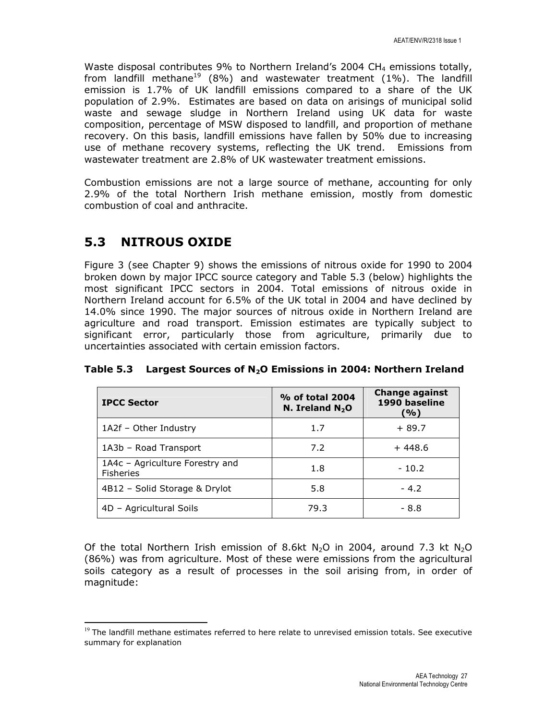Waste disposal contributes 9% to Northern Ireland's 2004 CH<sub>4</sub> emissions totally, from landfill methane<sup>19</sup> (8%) and wastewater treatment (1%). The landfill emission is 1.7% of UK landfill emissions compared to a share of the UK population of 2.9%. Estimates are based on data on arisings of municipal solid waste and sewage sludge in Northern Ireland using UK data for waste composition, percentage of MSW disposed to landfill, and proportion of methane recovery. On this basis, landfill emissions have fallen by 50% due to increasing use of methane recovery systems, reflecting the UK trend. Emissions from wastewater treatment are 2.8% of UK wastewater treatment emissions.

Combustion emissions are not a large source of methane, accounting for only 2.9% of the total Northern Irish methane emission, mostly from domestic combustion of coal and anthracite.

# 5.3 NITROUS OXIDE

l

Figure 3 (see Chapter 9) shows the emissions of nitrous oxide for 1990 to 2004 broken down by major IPCC source category and Table 5.3 (below) highlights the most significant IPCC sectors in 2004. Total emissions of nitrous oxide in Northern Ireland account for 6.5% of the UK total in 2004 and have declined by 14.0% since 1990. The major sources of nitrous oxide in Northern Ireland are agriculture and road transport. Emission estimates are typically subject to significant error, particularly those from agriculture, primarily due to uncertainties associated with certain emission factors.

| <b>IPCC Sector</b>                                  | % of total 2004<br>N. Ireland $N_2O$ | <b>Change against</b><br>1990 baseline<br>(%) |
|-----------------------------------------------------|--------------------------------------|-----------------------------------------------|
| 1A2f - Other Industry                               | 1.7                                  | $+89.7$                                       |
| 1A3b - Road Transport                               | 7.2                                  | $+448.6$                                      |
| 1A4c - Agriculture Forestry and<br><b>Fisheries</b> | 1.8                                  | $-10.2$                                       |
| 4B12 - Solid Storage & Drylot                       | 5.8                                  | $-4.2$                                        |
| 4D - Agricultural Soils                             | 79.3                                 | $-8.8$                                        |

Table 5.3 Largest Sources of  $N_2O$  Emissions in 2004: Northern Ireland

Of the total Northern Irish emission of 8.6kt N<sub>2</sub>O in 2004, around 7.3 kt N<sub>2</sub>O (86%) was from agriculture. Most of these were emissions from the agricultural soils category as a result of processes in the soil arising from, in order of magnitude:

 $19$  The landfill methane estimates referred to here relate to unrevised emission totals. See executive summary for explanation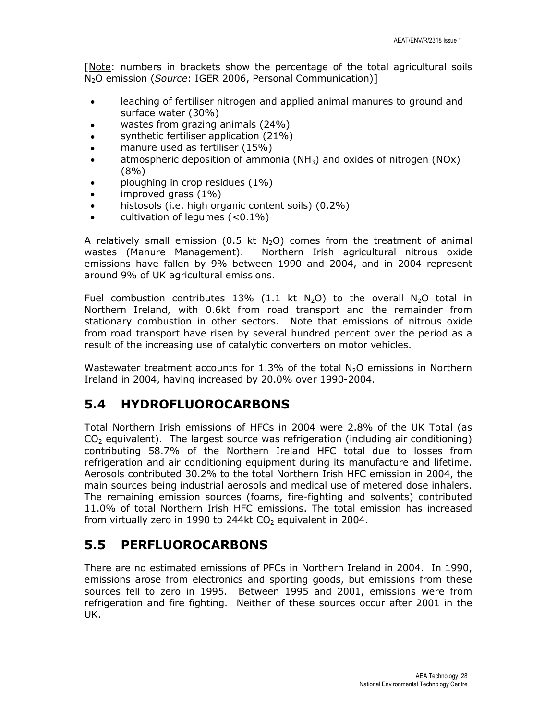[Note: numbers in brackets show the percentage of the total agricultural soils N<sub>2</sub>O emission (Source: IGER 2006, Personal Communication)]

- leaching of fertiliser nitrogen and applied animal manures to ground and surface water (30%)
- wastes from grazing animals (24%)
- synthetic fertiliser application (21%)
- manure used as fertiliser (15%)
- atmospheric deposition of ammonia ( $NH<sub>3</sub>$ ) and oxides of nitrogen (NOx) (8%)
- ploughing in crop residues (1%)
- improved grass  $(1\%)$
- histosols (i.e. high organic content soils) (0.2%)
- cultivation of legumes  $(<0.1\%)$

A relatively small emission (0.5 kt  $N<sub>2</sub>O$ ) comes from the treatment of animal wastes (Manure Management). Northern Irish agricultural nitrous oxide emissions have fallen by 9% between 1990 and 2004, and in 2004 represent around 9% of UK agricultural emissions.

Fuel combustion contributes 13% (1.1 kt  $N_2O$ ) to the overall  $N_2O$  total in Northern Ireland, with 0.6kt from road transport and the remainder from stationary combustion in other sectors. Note that emissions of nitrous oxide from road transport have risen by several hundred percent over the period as a result of the increasing use of catalytic converters on motor vehicles.

Wastewater treatment accounts for 1.3% of the total  $N_2O$  emissions in Northern Ireland in 2004, having increased by 20.0% over 1990-2004.

## 5.4 HYDROFLUOROCARBONS

Total Northern Irish emissions of HFCs in 2004 were 2.8% of the UK Total (as  $CO<sub>2</sub>$  equivalent). The largest source was refrigeration (including air conditioning) contributing 58.7% of the Northern Ireland HFC total due to losses from refrigeration and air conditioning equipment during its manufacture and lifetime. Aerosols contributed 30.2% to the total Northern Irish HFC emission in 2004, the main sources being industrial aerosols and medical use of metered dose inhalers. The remaining emission sources (foams, fire-fighting and solvents) contributed 11.0% of total Northern Irish HFC emissions. The total emission has increased from virtually zero in 1990 to 244kt  $CO<sub>2</sub>$  equivalent in 2004.

## 5.5 PERFLUOROCARBONS

There are no estimated emissions of PFCs in Northern Ireland in 2004. In 1990, emissions arose from electronics and sporting goods, but emissions from these sources fell to zero in 1995. Between 1995 and 2001, emissions were from refrigeration and fire fighting. Neither of these sources occur after 2001 in the UK.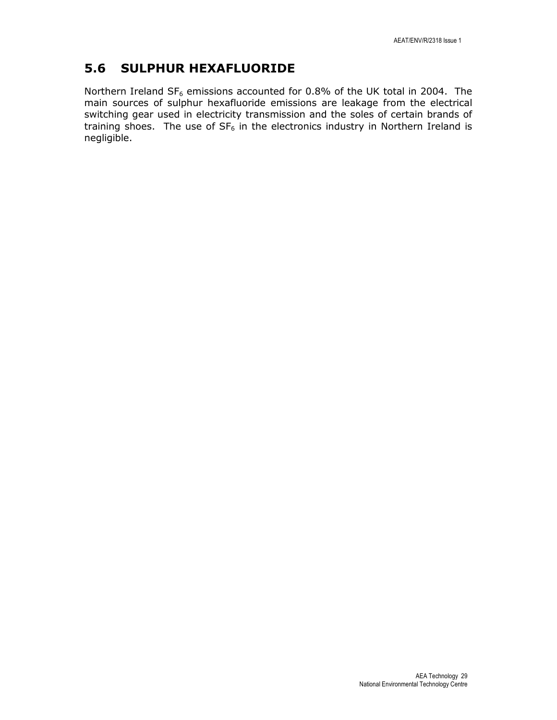## 5.6 SULPHUR HEXAFLUORIDE

Northern Ireland  $SF_6$  emissions accounted for 0.8% of the UK total in 2004. The main sources of sulphur hexafluoride emissions are leakage from the electrical switching gear used in electricity transmission and the soles of certain brands of training shoes. The use of  $SF_6$  in the electronics industry in Northern Ireland is negligible.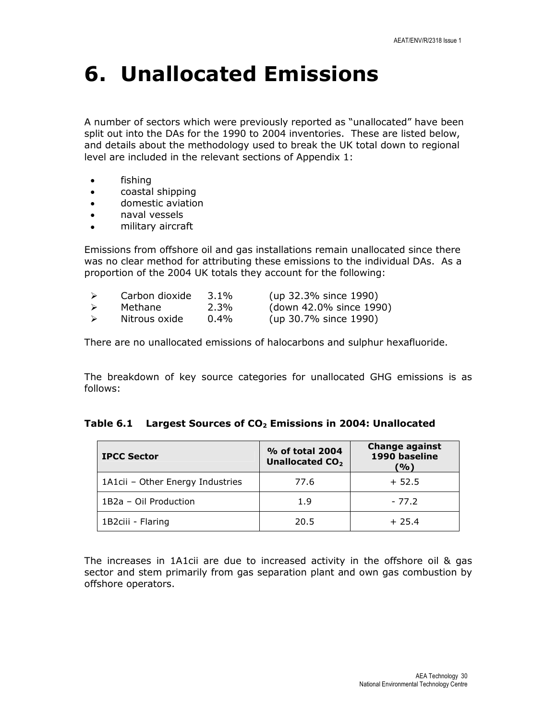# 6. Unallocated Emissions

A number of sectors which were previously reported as "unallocated" have been split out into the DAs for the 1990 to 2004 inventories. These are listed below, and details about the methodology used to break the UK total down to regional level are included in the relevant sections of Appendix 1:

- fishing
- coastal shipping
- domestic aviation
- naval vessels
- military aircraft

Emissions from offshore oil and gas installations remain unallocated since there was no clear method for attributing these emissions to the individual DAs. As a proportion of the 2004 UK totals they account for the following:

|                  | Carbon dioxide | $3.1\%$ | (up 32.3% since 1990)   |
|------------------|----------------|---------|-------------------------|
| $\triangleright$ | Methane        | $2.3\%$ | (down 42.0% since 1990) |
| $\triangleright$ | Nitrous oxide  | $0.4\%$ | (up 30.7% since 1990)   |

There are no unallocated emissions of halocarbons and sulphur hexafluoride.

The breakdown of key source categories for unallocated GHG emissions is as follows:

#### Table 6.1 Largest Sources of  $CO<sub>2</sub>$  Emissions in 2004: Unallocated

| <b>IPCC Sector</b>               | % of total 2004<br>Unallocated CO <sub>2</sub> | <b>Change against</b><br>1990 baseline<br>'%) |
|----------------------------------|------------------------------------------------|-----------------------------------------------|
| 1A1cii - Other Energy Industries | 77.6                                           | $+52.5$                                       |
| 1B2a - Oil Production            | 1.9                                            | $-77.2$                                       |
| 1B2ciii - Flaring                | 20.5                                           | $+25.4$                                       |

The increases in 1A1cii are due to increased activity in the offshore oil & gas sector and stem primarily from gas separation plant and own gas combustion by offshore operators.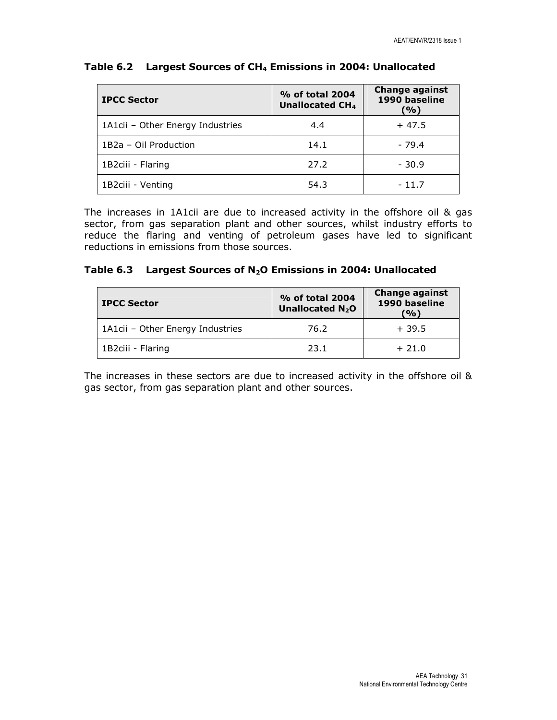| <b>IPCC Sector</b>               | % of total 2004<br>Unallocated CH <sub>4</sub> | <b>Change against</b><br>1990 baseline<br>(%) |  |
|----------------------------------|------------------------------------------------|-----------------------------------------------|--|
| 1A1cii - Other Energy Industries | 4.4                                            | $+47.5$                                       |  |
| 1B2a - Oil Production            | 14.1                                           | $-79.4$                                       |  |
| 1B2ciii - Flaring                | 27.2                                           | $-30.9$                                       |  |
| 1B2ciii - Venting                | 54.3                                           | $-11.7$                                       |  |

### Table 6.2 Largest Sources of CH<sub>4</sub> Emissions in 2004: Unallocated

The increases in 1A1cii are due to increased activity in the offshore oil & gas sector, from gas separation plant and other sources, whilst industry efforts to reduce the flaring and venting of petroleum gases have led to significant reductions in emissions from those sources.

### Table 6.3 Largest Sources of N<sub>2</sub>O Emissions in 2004: Unallocated

| <b>IPCC Sector</b>               | % of total 2004<br>Unallocated N <sub>2</sub> O | <b>Change against</b><br>1990 baseline<br>(%) |  |
|----------------------------------|-------------------------------------------------|-----------------------------------------------|--|
| 1A1cii - Other Energy Industries | 76.2                                            | $+39.5$                                       |  |
| 1B2ciii - Flaring                | 23.1                                            | $+21.0$                                       |  |

The increases in these sectors are due to increased activity in the offshore oil & gas sector, from gas separation plant and other sources.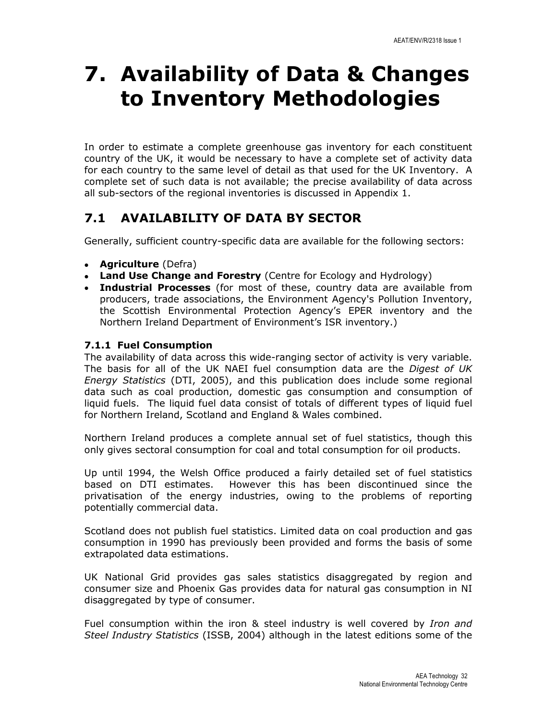# 7. Availability of Data & Changes to Inventory Methodologies

In order to estimate a complete greenhouse gas inventory for each constituent country of the UK, it would be necessary to have a complete set of activity data for each country to the same level of detail as that used for the UK Inventory. A complete set of such data is not available; the precise availability of data across all sub-sectors of the regional inventories is discussed in Appendix 1.

# 7.1 AVAILABILITY OF DATA BY SECTOR

Generally, sufficient country-specific data are available for the following sectors:

- Agriculture (Defra)
- Land Use Change and Forestry (Centre for Ecology and Hydrology)
- Industrial Processes (for most of these, country data are available from producers, trade associations, the Environment Agency's Pollution Inventory, the Scottish Environmental Protection Agency's EPER inventory and the Northern Ireland Department of Environment's ISR inventory.)

## 7.1.1 Fuel Consumption

The availability of data across this wide-ranging sector of activity is very variable. The basis for all of the UK NAEI fuel consumption data are the Digest of UK Energy Statistics (DTI, 2005), and this publication does include some regional data such as coal production, domestic gas consumption and consumption of liquid fuels. The liquid fuel data consist of totals of different types of liquid fuel for Northern Ireland, Scotland and England & Wales combined.

Northern Ireland produces a complete annual set of fuel statistics, though this only gives sectoral consumption for coal and total consumption for oil products.

Up until 1994, the Welsh Office produced a fairly detailed set of fuel statistics based on DTI estimates. However this has been discontinued since the privatisation of the energy industries, owing to the problems of reporting potentially commercial data.

Scotland does not publish fuel statistics. Limited data on coal production and gas consumption in 1990 has previously been provided and forms the basis of some extrapolated data estimations.

UK National Grid provides gas sales statistics disaggregated by region and consumer size and Phoenix Gas provides data for natural gas consumption in NI disaggregated by type of consumer.

Fuel consumption within the iron & steel industry is well covered by Iron and Steel Industry Statistics (ISSB, 2004) although in the latest editions some of the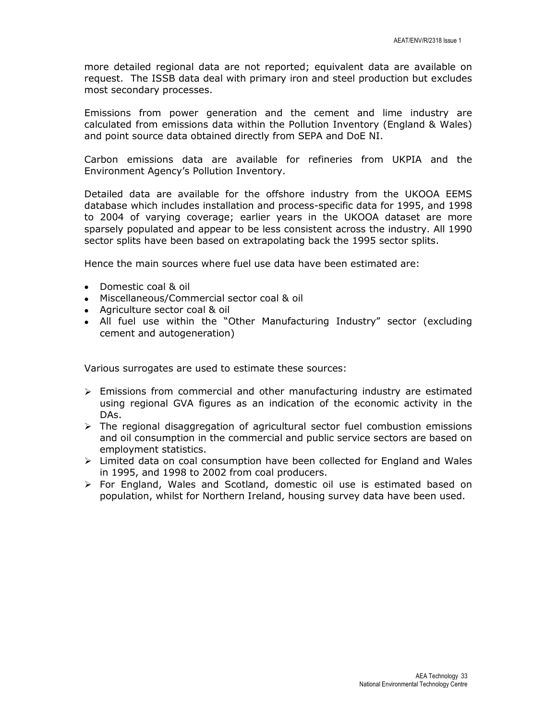more detailed regional data are not reported; equivalent data are available on request. The ISSB data deal with primary iron and steel production but excludes most secondary processes.

Emissions from power generation and the cement and lime industry are calculated from emissions data within the Pollution Inventory (England & Wales) and point source data obtained directly from SEPA and DoE NI.

Carbon emissions data are available for refineries from UKPIA and the Environment Agency's Pollution Inventory.

Detailed data are available for the offshore industry from the UKOOA EEMS database which includes installation and process-specific data for 1995, and 1998 to 2004 of varying coverage; earlier years in the UKOOA dataset are more sparsely populated and appear to be less consistent across the industry. All 1990 sector splits have been based on extrapolating back the 1995 sector splits.

Hence the main sources where fuel use data have been estimated are:

- Domestic coal & oil
- Miscellaneous/Commercial sector coal & oil
- Agriculture sector coal & oil
- All fuel use within the "Other Manufacturing Industry" sector (excluding cement and autogeneration)

Various surrogates are used to estimate these sources:

- $\triangleright$  Emissions from commercial and other manufacturing industry are estimated using regional GVA figures as an indication of the economic activity in the DAs.
- $\triangleright$  The regional disaggregation of agricultural sector fuel combustion emissions and oil consumption in the commercial and public service sectors are based on employment statistics.
- $\triangleright$  Limited data on coal consumption have been collected for England and Wales in 1995, and 1998 to 2002 from coal producers.
- $\triangleright$  For England, Wales and Scotland, domestic oil use is estimated based on population, whilst for Northern Ireland, housing survey data have been used.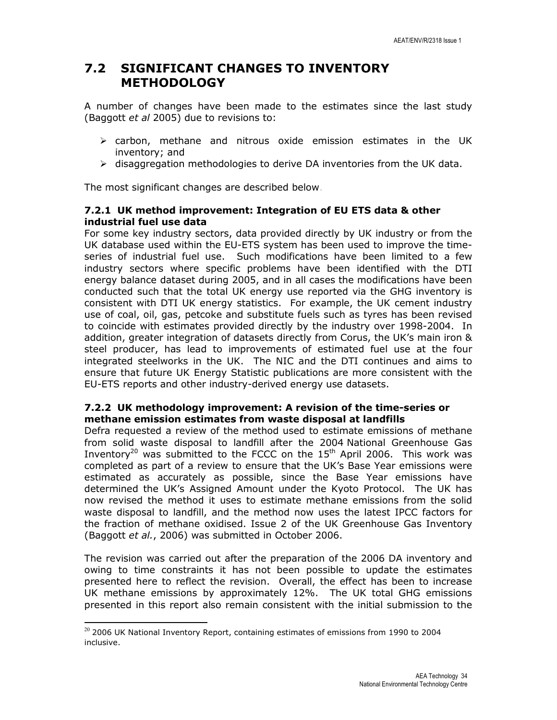## 7.2 SIGNIFICANT CHANGES TO INVENTORY METHODOLOGY

A number of changes have been made to the estimates since the last study (Baggott et al 2005) due to revisions to:

- $\triangleright$  carbon, methane and nitrous oxide emission estimates in the UK inventory; and
- $\triangleright$  disaggregation methodologies to derive DA inventories from the UK data.

The most significant changes are described below.

### 7.2.1 UK method improvement: Integration of EU ETS data & other industrial fuel use data

For some key industry sectors, data provided directly by UK industry or from the UK database used within the EU-ETS system has been used to improve the timeseries of industrial fuel use. Such modifications have been limited to a few industry sectors where specific problems have been identified with the DTI energy balance dataset during 2005, and in all cases the modifications have been conducted such that the total UK energy use reported via the GHG inventory is consistent with DTI UK energy statistics. For example, the UK cement industry use of coal, oil, gas, petcoke and substitute fuels such as tyres has been revised to coincide with estimates provided directly by the industry over 1998-2004. In addition, greater integration of datasets directly from Corus, the UK's main iron & steel producer, has lead to improvements of estimated fuel use at the four integrated steelworks in the UK. The NIC and the DTI continues and aims to ensure that future UK Energy Statistic publications are more consistent with the EU-ETS reports and other industry-derived energy use datasets.

### 7.2.2 UK methodology improvement: A revision of the time-series or methane emission estimates from waste disposal at landfills

Defra requested a review of the method used to estimate emissions of methane from solid waste disposal to landfill after the 2004 National Greenhouse Gas Inventory<sup>20</sup> was submitted to the FCCC on the  $15<sup>th</sup>$  April 2006. This work was completed as part of a review to ensure that the UK's Base Year emissions were estimated as accurately as possible, since the Base Year emissions have determined the UK's Assigned Amount under the Kyoto Protocol. The UK has now revised the method it uses to estimate methane emissions from the solid waste disposal to landfill, and the method now uses the latest IPCC factors for the fraction of methane oxidised. Issue 2 of the UK Greenhouse Gas Inventory (Baggott et al., 2006) was submitted in October 2006.

The revision was carried out after the preparation of the 2006 DA inventory and owing to time constraints it has not been possible to update the estimates presented here to reflect the revision. Overall, the effect has been to increase UK methane emissions by approximately 12%. The UK total GHG emissions presented in this report also remain consistent with the initial submission to the

l

 $20$  2006 UK National Inventory Report, containing estimates of emissions from 1990 to 2004 inclusive.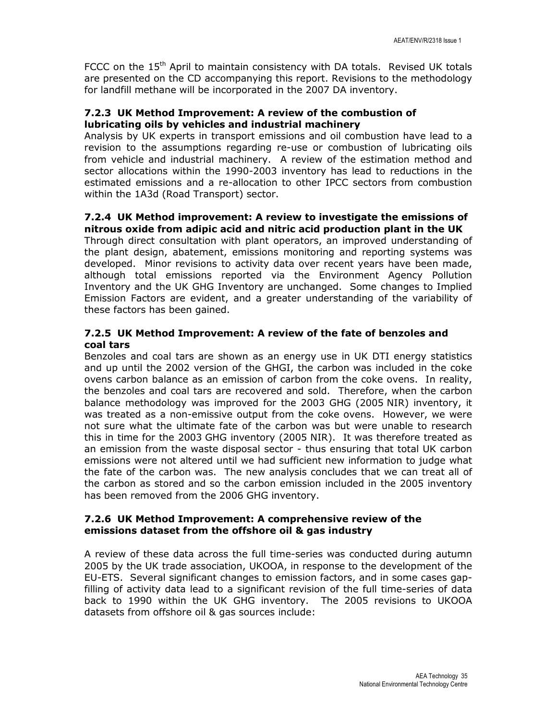FCCC on the 15<sup>th</sup> April to maintain consistency with DA totals. Revised UK totals are presented on the CD accompanying this report. Revisions to the methodology for landfill methane will be incorporated in the 2007 DA inventory.

## 7.2.3 UK Method Improvement: A review of the combustion of lubricating oils by vehicles and industrial machinery

Analysis by UK experts in transport emissions and oil combustion have lead to a revision to the assumptions regarding re-use or combustion of lubricating oils from vehicle and industrial machinery. A review of the estimation method and sector allocations within the 1990-2003 inventory has lead to reductions in the estimated emissions and a re-allocation to other IPCC sectors from combustion within the 1A3d (Road Transport) sector.

### 7.2.4 UK Method improvement: A review to investigate the emissions of nitrous oxide from adipic acid and nitric acid production plant in the UK

Through direct consultation with plant operators, an improved understanding of the plant design, abatement, emissions monitoring and reporting systems was developed. Minor revisions to activity data over recent years have been made, although total emissions reported via the Environment Agency Pollution Inventory and the UK GHG Inventory are unchanged. Some changes to Implied Emission Factors are evident, and a greater understanding of the variability of these factors has been gained.

## 7.2.5 UK Method Improvement: A review of the fate of benzoles and coal tars

Benzoles and coal tars are shown as an energy use in UK DTI energy statistics and up until the 2002 version of the GHGI, the carbon was included in the coke ovens carbon balance as an emission of carbon from the coke ovens. In reality, the benzoles and coal tars are recovered and sold. Therefore, when the carbon balance methodology was improved for the 2003 GHG (2005 NIR) inventory, it was treated as a non-emissive output from the coke ovens. However, we were not sure what the ultimate fate of the carbon was but were unable to research this in time for the 2003 GHG inventory (2005 NIR). It was therefore treated as an emission from the waste disposal sector - thus ensuring that total UK carbon emissions were not altered until we had sufficient new information to judge what the fate of the carbon was. The new analysis concludes that we can treat all of the carbon as stored and so the carbon emission included in the 2005 inventory has been removed from the 2006 GHG inventory.

### 7.2.6 UK Method Improvement: A comprehensive review of the emissions dataset from the offshore oil & gas industry

A review of these data across the full time-series was conducted during autumn 2005 by the UK trade association, UKOOA, in response to the development of the EU-ETS. Several significant changes to emission factors, and in some cases gapfilling of activity data lead to a significant revision of the full time-series of data back to 1990 within the UK GHG inventory. The 2005 revisions to UKOOA datasets from offshore oil & gas sources include: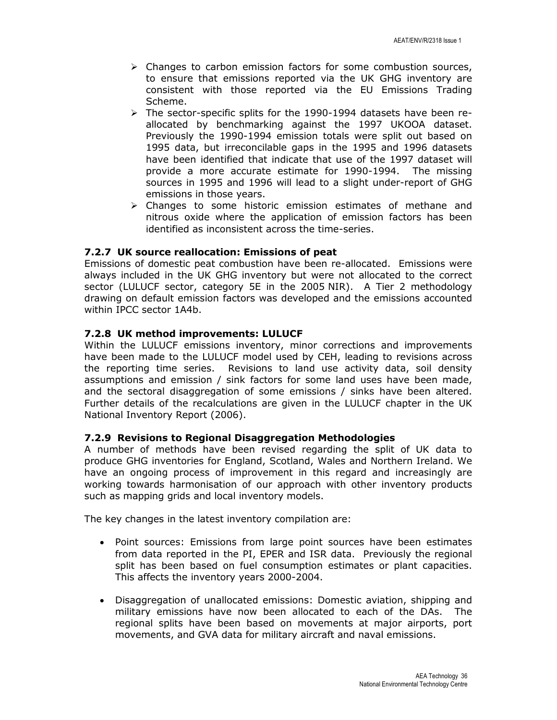- $\triangleright$  Changes to carbon emission factors for some combustion sources, to ensure that emissions reported via the UK GHG inventory are consistent with those reported via the EU Emissions Trading Scheme.
- $\triangleright$  The sector-specific splits for the 1990-1994 datasets have been reallocated by benchmarking against the 1997 UKOOA dataset. Previously the 1990-1994 emission totals were split out based on 1995 data, but irreconcilable gaps in the 1995 and 1996 datasets have been identified that indicate that use of the 1997 dataset will provide a more accurate estimate for 1990-1994. The missing sources in 1995 and 1996 will lead to a slight under-report of GHG emissions in those years.
- $\triangleright$  Changes to some historic emission estimates of methane and nitrous oxide where the application of emission factors has been identified as inconsistent across the time-series.

#### 7.2.7 UK source reallocation: Emissions of peat

Emissions of domestic peat combustion have been re-allocated. Emissions were always included in the UK GHG inventory but were not allocated to the correct sector (LULUCF sector, category 5E in the 2005 NIR). A Tier 2 methodology drawing on default emission factors was developed and the emissions accounted within IPCC sector 1A4b.

#### 7.2.8 UK method improvements: LULUCF

Within the LULUCF emissions inventory, minor corrections and improvements have been made to the LULUCF model used by CEH, leading to revisions across the reporting time series. Revisions to land use activity data, soil density assumptions and emission / sink factors for some land uses have been made, and the sectoral disaggregation of some emissions / sinks have been altered. Further details of the recalculations are given in the LULUCF chapter in the UK National Inventory Report (2006).

#### 7.2.9 Revisions to Regional Disaggregation Methodologies

A number of methods have been revised regarding the split of UK data to produce GHG inventories for England, Scotland, Wales and Northern Ireland. We have an ongoing process of improvement in this regard and increasingly are working towards harmonisation of our approach with other inventory products such as mapping grids and local inventory models.

The key changes in the latest inventory compilation are:

- Point sources: Emissions from large point sources have been estimates from data reported in the PI, EPER and ISR data. Previously the regional split has been based on fuel consumption estimates or plant capacities. This affects the inventory years 2000-2004.
- Disaggregation of unallocated emissions: Domestic aviation, shipping and military emissions have now been allocated to each of the DAs. The regional splits have been based on movements at major airports, port movements, and GVA data for military aircraft and naval emissions.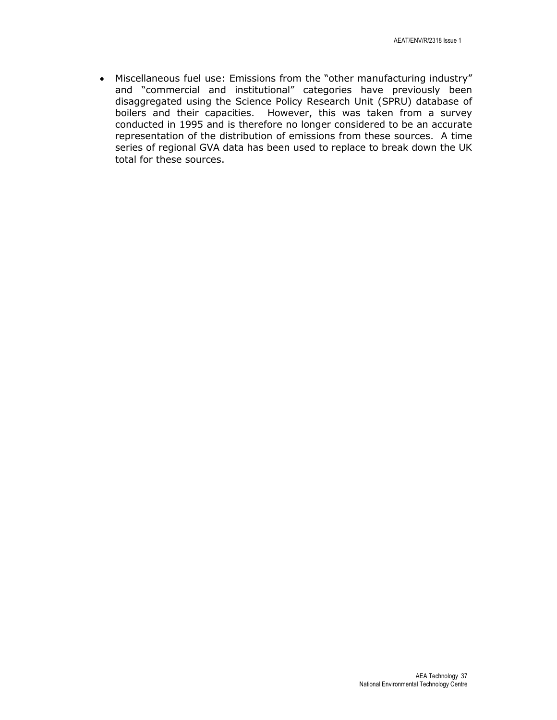• Miscellaneous fuel use: Emissions from the "other manufacturing industry" and "commercial and institutional" categories have previously been disaggregated using the Science Policy Research Unit (SPRU) database of boilers and their capacities. However, this was taken from a survey conducted in 1995 and is therefore no longer considered to be an accurate representation of the distribution of emissions from these sources. A time series of regional GVA data has been used to replace to break down the UK total for these sources.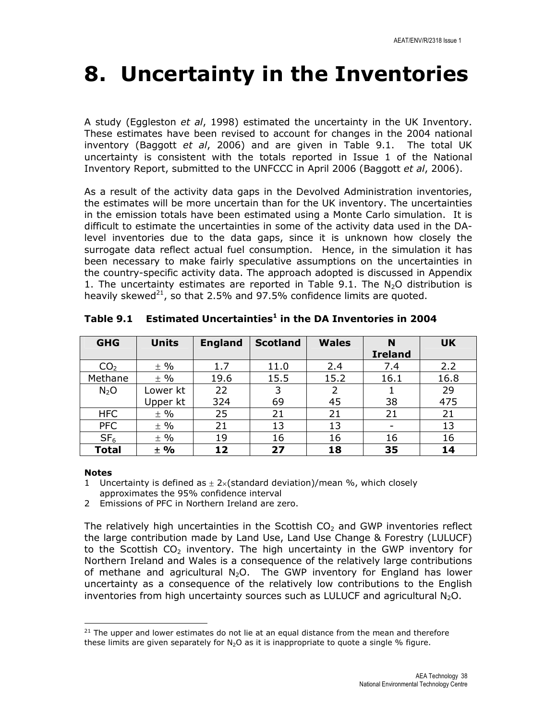# 8. Uncertainty in the Inventories

A study (Eggleston et al, 1998) estimated the uncertainty in the UK Inventory. These estimates have been revised to account for changes in the 2004 national inventory (Baggott et al, 2006) and are given in Table 9.1. The total UK uncertainty is consistent with the totals reported in Issue 1 of the National Inventory Report, submitted to the UNFCCC in April 2006 (Baggott et al, 2006).

As a result of the activity data gaps in the Devolved Administration inventories, the estimates will be more uncertain than for the UK inventory. The uncertainties in the emission totals have been estimated using a Monte Carlo simulation. It is difficult to estimate the uncertainties in some of the activity data used in the DAlevel inventories due to the data gaps, since it is unknown how closely the surrogate data reflect actual fuel consumption. Hence, in the simulation it has been necessary to make fairly speculative assumptions on the uncertainties in the country-specific activity data. The approach adopted is discussed in Appendix 1. The uncertainty estimates are reported in Table 9.1. The  $N_2O$  distribution is heavily skewed<sup>21</sup>, so that 2.5% and 97.5% confidence limits are quoted.

| <b>GHG</b>      | <b>Units</b> | <b>England</b> | <b>Scotland</b> | <b>Wales</b> | N              | <b>UK</b> |
|-----------------|--------------|----------------|-----------------|--------------|----------------|-----------|
|                 |              |                |                 |              | <b>Ireland</b> |           |
| CO <sub>2</sub> | $±$ %        | 1.7            | 11.0            | 2.4          | 7.4            | 2.2       |
| Methane         | $±$ %        | 19.6           | 15.5            | 15.2         | 16.1           | 16.8      |
| $N_2O$          | Lower kt     | 22             | 3               | 2            |                | 29        |
|                 | Upper kt     | 324            | 69              | 45           | 38             | 475       |
| <b>HFC</b>      | $±$ %        | 25             | 21              | 21           | 21             | 21        |
| <b>PFC</b>      | $±$ %        | 21             | 13              | 13           |                | 13        |
| SF <sub>6</sub> | $±$ %        | 19             | 16              | 16           | 16             | 16        |
| <b>Total</b>    | $\pm$ %      | 12             | 27              | 18           | 35             | 14        |

Table 9.1 Estimated Uncertainties<sup>1</sup> in the DA Inventories in 2004

#### Notes

l

- 1 Uncertainty is defined as  $\pm$  2×(standard deviation)/mean %, which closely
- approximates the 95% confidence interval
- 2 Emissions of PFC in Northern Ireland are zero.

The relatively high uncertainties in the Scottish  $CO<sub>2</sub>$  and GWP inventories reflect the large contribution made by Land Use, Land Use Change & Forestry (LULUCF) to the Scottish  $CO<sub>2</sub>$  inventory. The high uncertainty in the GWP inventory for Northern Ireland and Wales is a consequence of the relatively large contributions of methane and agricultural  $N_2O$ . The GWP inventory for England has lower uncertainty as a consequence of the relatively low contributions to the English inventories from high uncertainty sources such as LULUCF and agricultural  $N_2O$ .

 $21$  The upper and lower estimates do not lie at an equal distance from the mean and therefore these limits are given separately for  $N_2O$  as it is inappropriate to quote a single % figure.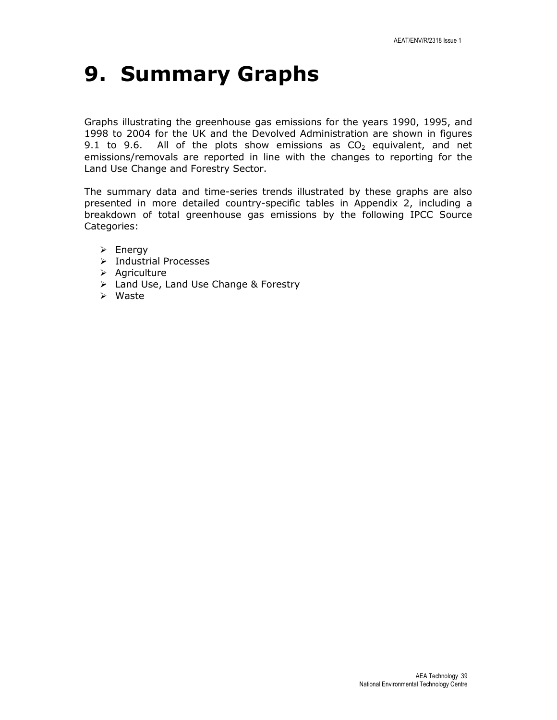# 9. Summary Graphs

Graphs illustrating the greenhouse gas emissions for the years 1990, 1995, and 1998 to 2004 for the UK and the Devolved Administration are shown in figures 9.1 to 9.6. All of the plots show emissions as  $CO<sub>2</sub>$  equivalent, and net emissions/removals are reported in line with the changes to reporting for the Land Use Change and Forestry Sector.

The summary data and time-series trends illustrated by these graphs are also presented in more detailed country-specific tables in Appendix 2, including a breakdown of total greenhouse gas emissions by the following IPCC Source Categories:

- $\triangleright$  Energy
- $\triangleright$  Industrial Processes
- $\triangleright$  Agriculture
- Land Use, Land Use Change & Forestry
- Waste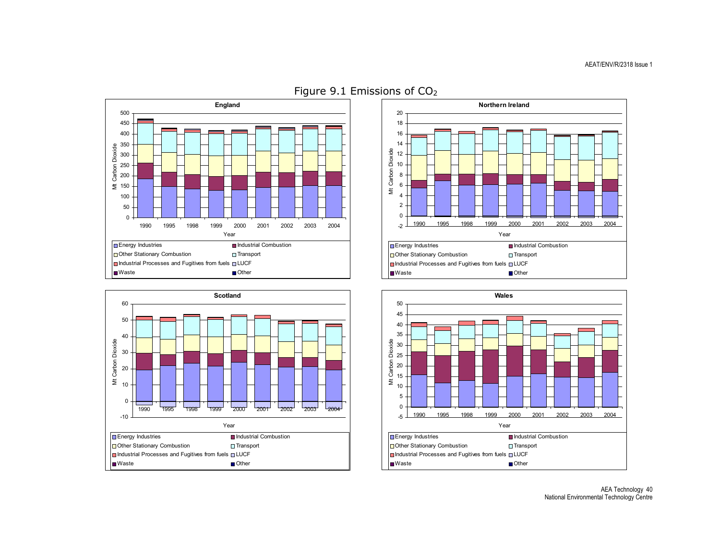







Figure 9.1 Emissions of CO2

AEA Technology 40 National Environmental Technology Centre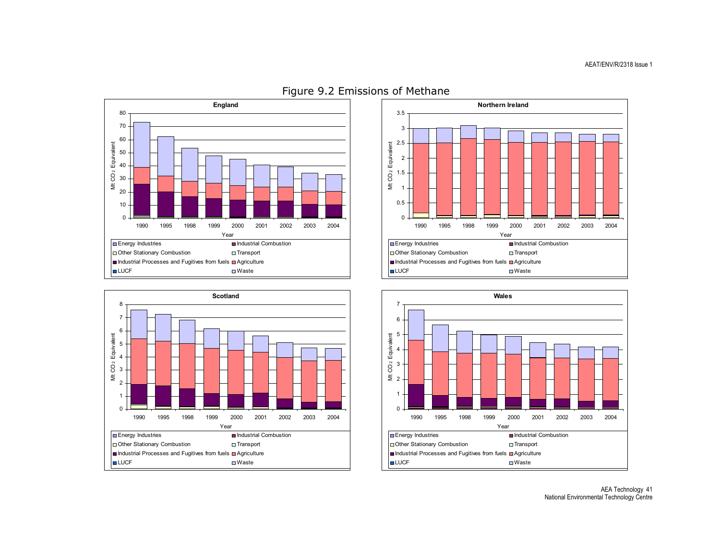









AEA Technology 41 National Environmental Technology Centre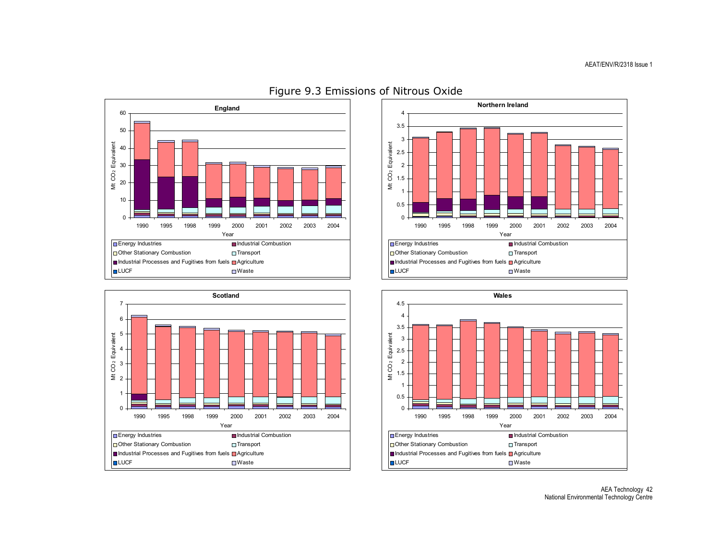







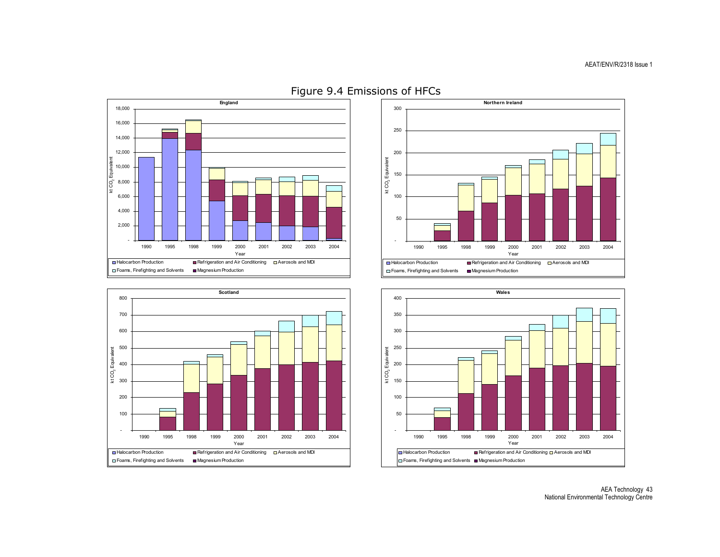









AEA Technology 43 National Environmental Technology Centre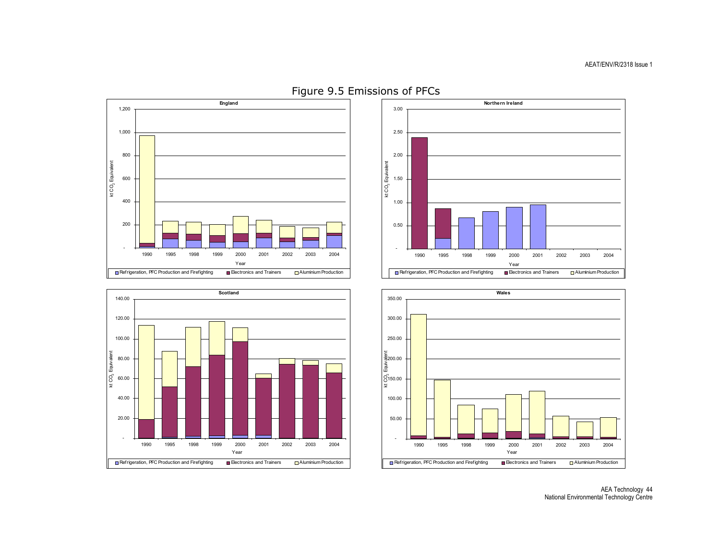









AEA Technology 44 National Environmental Technology Centre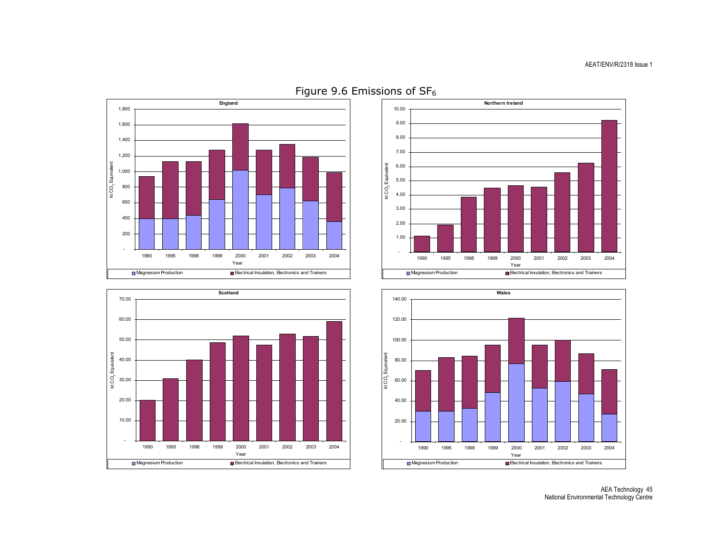







AEA Technology 45 National Environmental Technology Centre

Figure 9.6 Emissions of  $SF<sub>6</sub>$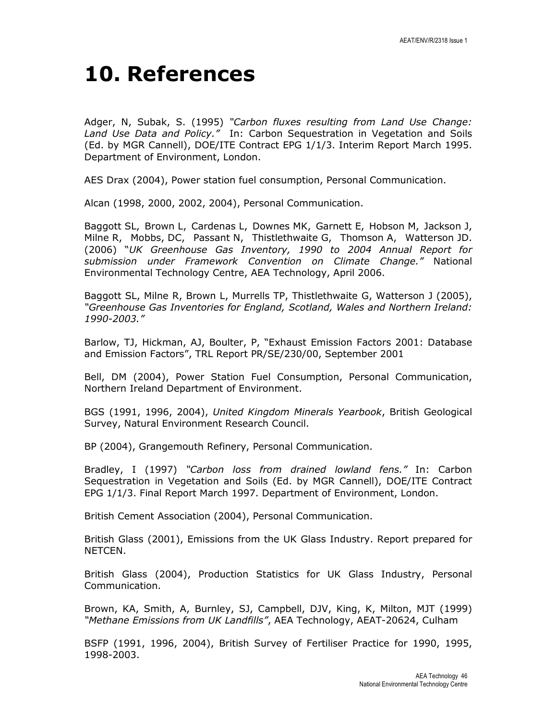## 10. References

Adger, N, Subak, S. (1995) "Carbon fluxes resulting from Land Use Change: Land Use Data and Policy." In: Carbon Sequestration in Vegetation and Soils (Ed. by MGR Cannell), DOE/ITE Contract EPG 1/1/3. Interim Report March 1995. Department of Environment, London.

AES Drax (2004), Power station fuel consumption, Personal Communication.

Alcan (1998, 2000, 2002, 2004), Personal Communication.

Baggott SL, Brown L, Cardenas L, Downes MK, Garnett E, Hobson M, Jackson J, Milne R, Mobbs, DC, Passant N, Thistlethwaite G, Thomson A, Watterson JD. (2006) "UK Greenhouse Gas Inventory, 1990 to 2004 Annual Report for submission under Framework Convention on Climate Change." National Environmental Technology Centre, AEA Technology, April 2006.

Baggott SL, Milne R, Brown L, Murrells TP, Thistlethwaite G, Watterson J (2005), "Greenhouse Gas Inventories for England, Scotland, Wales and Northern Ireland: 1990-2003."

Barlow, TJ, Hickman, AJ, Boulter, P, "Exhaust Emission Factors 2001: Database and Emission Factors", TRL Report PR/SE/230/00, September 2001

Bell, DM (2004), Power Station Fuel Consumption, Personal Communication, Northern Ireland Department of Environment.

BGS (1991, 1996, 2004), United Kingdom Minerals Yearbook, British Geological Survey, Natural Environment Research Council.

BP (2004), Grangemouth Refinery, Personal Communication.

Bradley, I (1997) "Carbon loss from drained lowland fens." In: Carbon Sequestration in Vegetation and Soils (Ed. by MGR Cannell), DOE/ITE Contract EPG 1/1/3. Final Report March 1997. Department of Environment, London.

British Cement Association (2004), Personal Communication.

British Glass (2001), Emissions from the UK Glass Industry. Report prepared for NETCEN.

British Glass (2004), Production Statistics for UK Glass Industry, Personal Communication.

Brown, KA, Smith, A, Burnley, SJ, Campbell, DJV, King, K, Milton, MJT (1999) "Methane Emissions from UK Landfills", AEA Technology, AEAT-20624, Culham

BSFP (1991, 1996, 2004), British Survey of Fertiliser Practice for 1990, 1995, 1998-2003.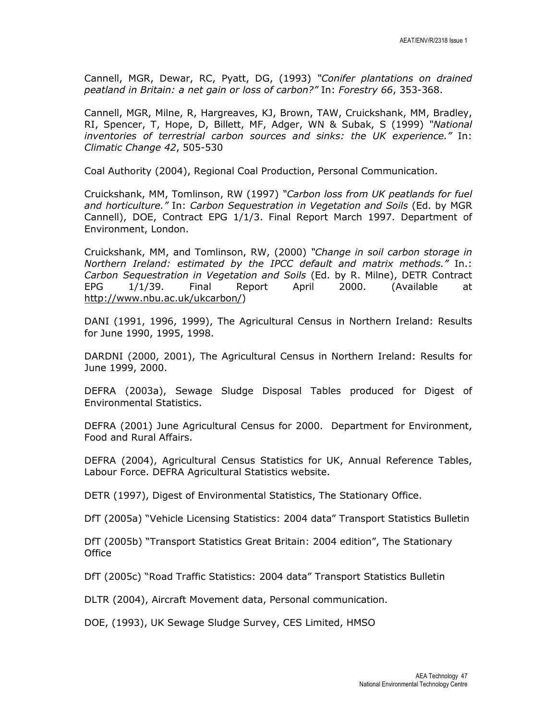Cannell, MGR, Dewar, RC, Pyatt, DG, (1993) "Conifer plantations on drained peatland in Britain: a net gain or loss of carbon?" In: Forestry 66, 353-368.

Cannell, MGR, Milne, R, Hargreaves, KJ, Brown, TAW, Cruickshank, MM, Bradley, RI, Spencer, T, Hope, D, Billett, MF, Adger, WN & Subak, S (1999) "National inventories of terrestrial carbon sources and sinks: the UK experience." In: Climatic Change 42, 505-530

Coal Authority (2004), Regional Coal Production, Personal Communication.

Cruickshank, MM, Tomlinson, RW (1997) "Carbon loss from UK peatlands for fuel and horticulture." In: Carbon Sequestration in Vegetation and Soils (Ed. by MGR Cannell), DOE, Contract EPG 1/1/3. Final Report March 1997. Department of Environment, London.

Cruickshank, MM, and Tomlinson, RW, (2000) "Change in soil carbon storage in Northern Ireland: estimated by the IPCC default and matrix methods." In.: Carbon Sequestration in Vegetation and Soils (Ed. by R. Milne), DETR Contract EPG 1/1/39. Final Report April 2000. (Available at http://www.nbu.ac.uk/ukcarbon/)

DANI (1991, 1996, 1999), The Agricultural Census in Northern Ireland: Results for June 1990, 1995, 1998.

DARDNI (2000, 2001), The Agricultural Census in Northern Ireland: Results for June 1999, 2000.

DEFRA (2003a), Sewage Sludge Disposal Tables produced for Digest of Environmental Statistics.

DEFRA (2001) June Agricultural Census for 2000. Department for Environment, Food and Rural Affairs.

DEFRA (2004), Agricultural Census Statistics for UK, Annual Reference Tables, Labour Force. DEFRA Agricultural Statistics website.

DETR (1997), Digest of Environmental Statistics, The Stationary Office.

DfT (2005a) "Vehicle Licensing Statistics: 2004 data" Transport Statistics Bulletin

DfT (2005b) "Transport Statistics Great Britain: 2004 edition", The Stationary **Office** 

DfT (2005c) "Road Traffic Statistics: 2004 data" Transport Statistics Bulletin

DLTR (2004), Aircraft Movement data, Personal communication.

DOE, (1993), UK Sewage Sludge Survey, CES Limited, HMSO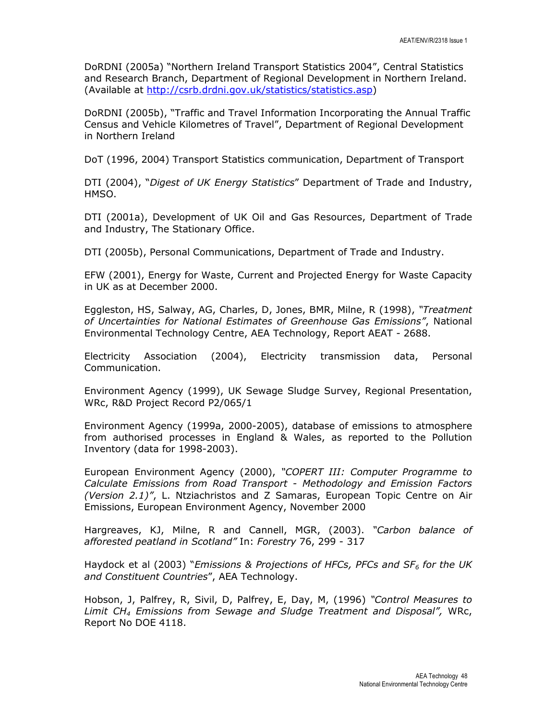DoRDNI (2005a) "Northern Ireland Transport Statistics 2004", Central Statistics and Research Branch, Department of Regional Development in Northern Ireland. (Available at http://csrb.drdni.gov.uk/statistics/statistics.asp)

DoRDNI (2005b), "Traffic and Travel Information Incorporating the Annual Traffic Census and Vehicle Kilometres of Travel", Department of Regional Development in Northern Ireland

DoT (1996, 2004) Transport Statistics communication, Department of Transport

DTI (2004), "Digest of UK Energy Statistics" Department of Trade and Industry, HMSO.

DTI (2001a), Development of UK Oil and Gas Resources, Department of Trade and Industry, The Stationary Office.

DTI (2005b), Personal Communications, Department of Trade and Industry.

EFW (2001), Energy for Waste, Current and Projected Energy for Waste Capacity in UK as at December 2000.

Eggleston, HS, Salway, AG, Charles, D, Jones, BMR, Milne, R (1998), "Treatment of Uncertainties for National Estimates of Greenhouse Gas Emissions", National Environmental Technology Centre, AEA Technology, Report AEAT - 2688.

Electricity Association (2004), Electricity transmission data, Personal Communication.

Environment Agency (1999), UK Sewage Sludge Survey, Regional Presentation, WRc, R&D Project Record P2/065/1

Environment Agency (1999a, 2000-2005), database of emissions to atmosphere from authorised processes in England & Wales, as reported to the Pollution Inventory (data for 1998-2003).

European Environment Agency (2000), "COPERT III: Computer Programme to Calculate Emissions from Road Transport - Methodology and Emission Factors (Version 2.1)", L. Ntziachristos and Z Samaras, European Topic Centre on Air Emissions, European Environment Agency, November 2000

Hargreaves, KJ, Milne, R and Cannell, MGR, (2003). "Carbon balance of afforested peatland in Scotland" In: Forestry 76, 299 - 317

Haydock et al (2003) "Emissions & Projections of HFCs, PFCs and  $SF<sub>6</sub>$  for the UK and Constituent Countries", AEA Technology.

Hobson, J, Palfrey, R, Sivil, D, Palfrey, E, Day, M, (1996) "Control Measures to Limit CH4 Emissions from Sewage and Sludge Treatment and Disposal", WRc, Report No DOE 4118.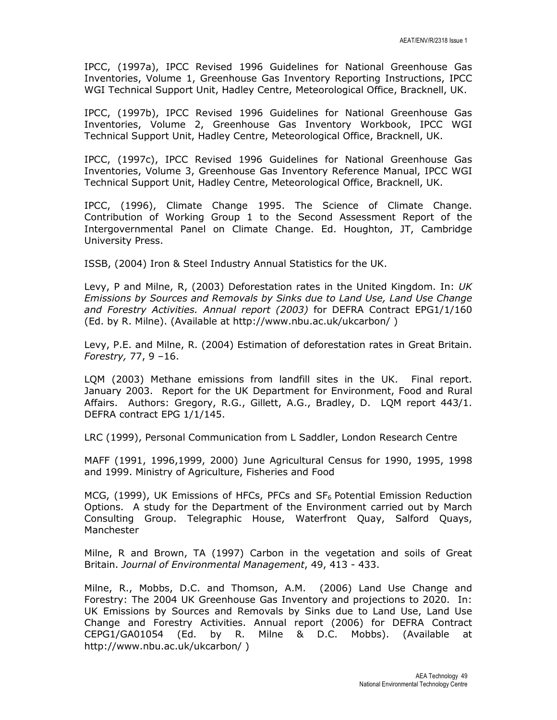IPCC, (1997a), IPCC Revised 1996 Guidelines for National Greenhouse Gas Inventories, Volume 1, Greenhouse Gas Inventory Reporting Instructions, IPCC WGI Technical Support Unit, Hadley Centre, Meteorological Office, Bracknell, UK.

IPCC, (1997b), IPCC Revised 1996 Guidelines for National Greenhouse Gas Inventories, Volume 2, Greenhouse Gas Inventory Workbook, IPCC WGI Technical Support Unit, Hadley Centre, Meteorological Office, Bracknell, UK.

IPCC, (1997c), IPCC Revised 1996 Guidelines for National Greenhouse Gas Inventories, Volume 3, Greenhouse Gas Inventory Reference Manual, IPCC WGI Technical Support Unit, Hadley Centre, Meteorological Office, Bracknell, UK.

IPCC, (1996), Climate Change 1995. The Science of Climate Change. Contribution of Working Group 1 to the Second Assessment Report of the Intergovernmental Panel on Climate Change. Ed. Houghton, JT, Cambridge University Press.

ISSB, (2004) Iron & Steel Industry Annual Statistics for the UK.

Levy, P and Milne, R, (2003) Deforestation rates in the United Kingdom. In: UK Emissions by Sources and Removals by Sinks due to Land Use, Land Use Change and Forestry Activities. Annual report (2003) for DEFRA Contract EPG1/1/160 (Ed. by R. Milne). (Available at http://www.nbu.ac.uk/ukcarbon/ )

Levy, P.E. and Milne, R. (2004) Estimation of deforestation rates in Great Britain. Forestry, 77, 9 –16.

LQM (2003) Methane emissions from landfill sites in the UK. Final report. January 2003. Report for the UK Department for Environment, Food and Rural Affairs. Authors: Gregory, R.G., Gillett, A.G., Bradley, D. LQM report 443/1. DEFRA contract EPG 1/1/145.

LRC (1999), Personal Communication from L Saddler, London Research Centre

MAFF (1991, 1996,1999, 2000) June Agricultural Census for 1990, 1995, 1998 and 1999. Ministry of Agriculture, Fisheries and Food

MCG, (1999), UK Emissions of HFCs, PFCs and  $SF_6$  Potential Emission Reduction Options. A study for the Department of the Environment carried out by March Consulting Group. Telegraphic House, Waterfront Quay, Salford Quays, Manchester

Milne, R and Brown, TA (1997) Carbon in the vegetation and soils of Great Britain. Journal of Environmental Management, 49, 413 - 433.

Milne, R., Mobbs, D.C. and Thomson, A.M. (2006) Land Use Change and Forestry: The 2004 UK Greenhouse Gas Inventory and projections to 2020. In: UK Emissions by Sources and Removals by Sinks due to Land Use, Land Use Change and Forestry Activities. Annual report (2006) for DEFRA Contract CEPG1/GA01054 (Ed. by R. Milne & D.C. Mobbs). (Available at http://www.nbu.ac.uk/ukcarbon/ )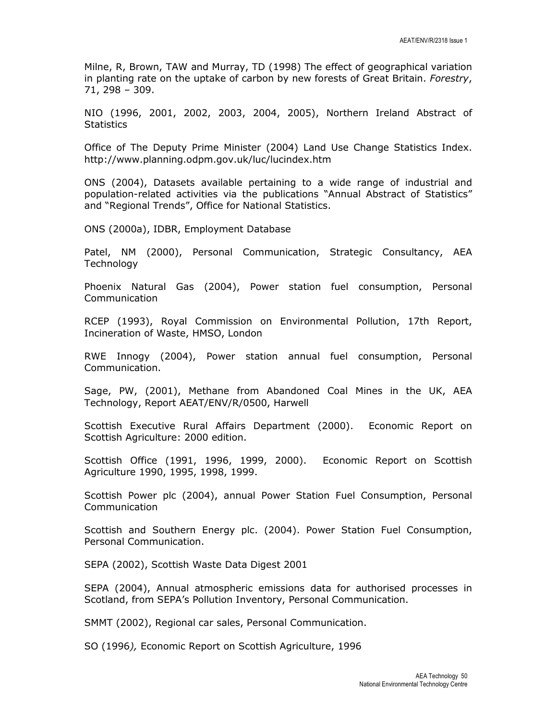Milne, R, Brown, TAW and Murray, TD (1998) The effect of geographical variation in planting rate on the uptake of carbon by new forests of Great Britain. Forestry, 71, 298 – 309.

NIO (1996, 2001, 2002, 2003, 2004, 2005), Northern Ireland Abstract of **Statistics** 

Office of The Deputy Prime Minister (2004) Land Use Change Statistics Index. http://www.planning.odpm.gov.uk/luc/lucindex.htm

ONS (2004), Datasets available pertaining to a wide range of industrial and population-related activities via the publications "Annual Abstract of Statistics" and "Regional Trends", Office for National Statistics.

ONS (2000a), IDBR, Employment Database

Patel, NM (2000), Personal Communication, Strategic Consultancy, AEA Technology

Phoenix Natural Gas (2004), Power station fuel consumption, Personal Communication

RCEP (1993), Royal Commission on Environmental Pollution, 17th Report, Incineration of Waste, HMSO, London

RWE Innogy (2004), Power station annual fuel consumption, Personal Communication.

Sage, PW, (2001), Methane from Abandoned Coal Mines in the UK, AEA Technology, Report AEAT/ENV/R/0500, Harwell

Scottish Executive Rural Affairs Department (2000). Economic Report on Scottish Agriculture: 2000 edition.

Scottish Office (1991, 1996, 1999, 2000). Economic Report on Scottish Agriculture 1990, 1995, 1998, 1999.

Scottish Power plc (2004), annual Power Station Fuel Consumption, Personal Communication

Scottish and Southern Energy plc. (2004). Power Station Fuel Consumption, Personal Communication.

SEPA (2002), Scottish Waste Data Digest 2001

SEPA (2004), Annual atmospheric emissions data for authorised processes in Scotland, from SEPA's Pollution Inventory, Personal Communication.

SMMT (2002), Regional car sales, Personal Communication.

SO (1996), Economic Report on Scottish Agriculture, 1996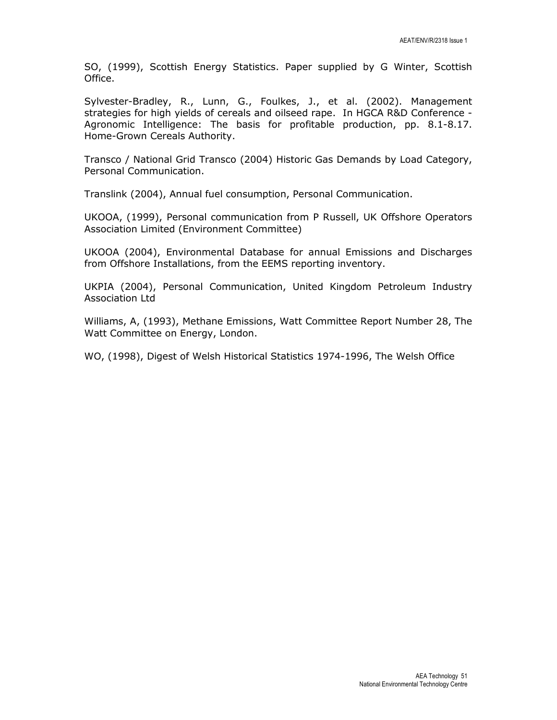SO, (1999), Scottish Energy Statistics. Paper supplied by G Winter, Scottish Office.

Sylvester-Bradley, R., Lunn, G., Foulkes, J., et al. (2002). Management strategies for high yields of cereals and oilseed rape. In HGCA R&D Conference - Agronomic Intelligence: The basis for profitable production, pp. 8.1-8.17. Home-Grown Cereals Authority.

Transco / National Grid Transco (2004) Historic Gas Demands by Load Category, Personal Communication.

Translink (2004), Annual fuel consumption, Personal Communication.

UKOOA, (1999), Personal communication from P Russell, UK Offshore Operators Association Limited (Environment Committee)

UKOOA (2004), Environmental Database for annual Emissions and Discharges from Offshore Installations, from the EEMS reporting inventory.

UKPIA (2004), Personal Communication, United Kingdom Petroleum Industry Association Ltd

Williams, A, (1993), Methane Emissions, Watt Committee Report Number 28, The Watt Committee on Energy, London.

WO, (1998), Digest of Welsh Historical Statistics 1974-1996, The Welsh Office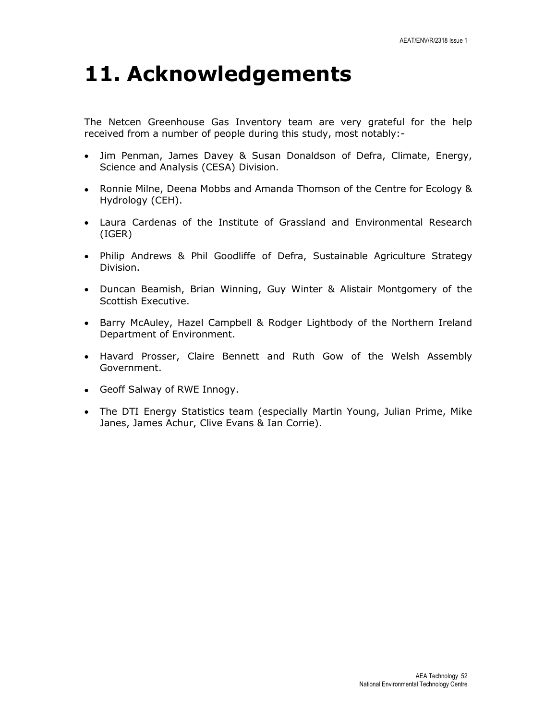## 11. Acknowledgements

The Netcen Greenhouse Gas Inventory team are very grateful for the help received from a number of people during this study, most notably:-

- Jim Penman, James Davey & Susan Donaldson of Defra, Climate, Energy, Science and Analysis (CESA) Division.
- Ronnie Milne, Deena Mobbs and Amanda Thomson of the Centre for Ecology & Hydrology (CEH).
- Laura Cardenas of the Institute of Grassland and Environmental Research (IGER)
- Philip Andrews & Phil Goodliffe of Defra, Sustainable Agriculture Strategy Division.
- Duncan Beamish, Brian Winning, Guy Winter & Alistair Montgomery of the Scottish Executive.
- Barry McAuley, Hazel Campbell & Rodger Lightbody of the Northern Ireland Department of Environment.
- Havard Prosser, Claire Bennett and Ruth Gow of the Welsh Assembly Government.
- Geoff Salway of RWE Innogy.
- The DTI Energy Statistics team (especially Martin Young, Julian Prime, Mike Janes, James Achur, Clive Evans & Ian Corrie).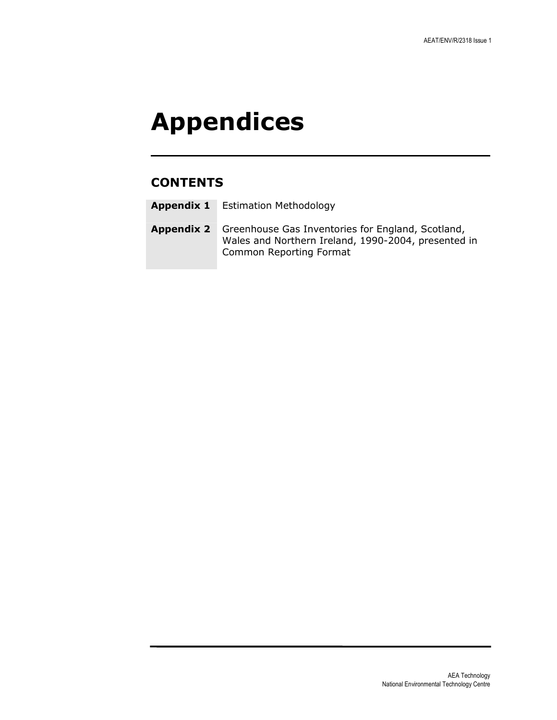## Appendices

## **CONTENTS**

| <b>Appendix 1</b> | <b>Estimation Methodology</b> |
|-------------------|-------------------------------|
|-------------------|-------------------------------|

Appendix 2 Greenhouse Gas Inventories for England, Scotland, Wales and Northern Ireland, 1990-2004, presented in Common Reporting Format